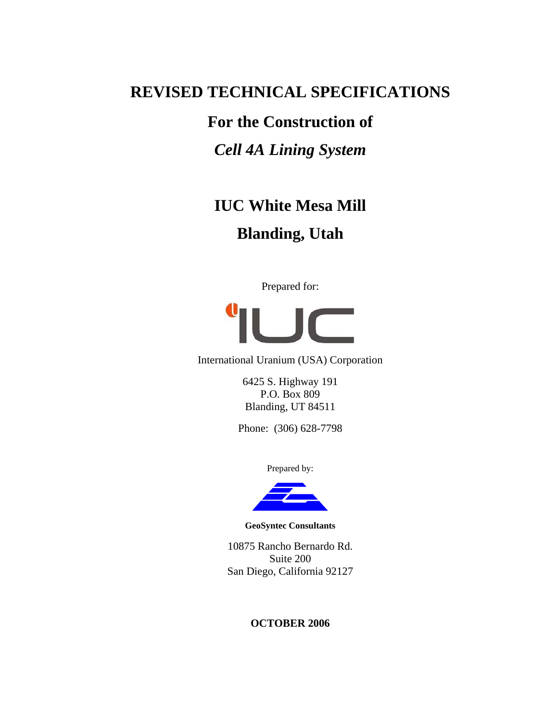# **REVISED TECHNICAL SPECIFICATIONS**

# **For the Construction of**

# *Cell 4A Lining System*

# **IUC White Mesa Mill Blanding, Utah**

Prepared for:



International Uranium (USA) Corporation

6425 S. Highway 191 P.O. Box 809 Blanding, UT 84511

Phone: (306) 628-7798

Prepared by:



**GeoSyntec Consultants** 

10875 Rancho Bernardo Rd. Suite 200 San Diego, California 92127

# **OCTOBER 2006**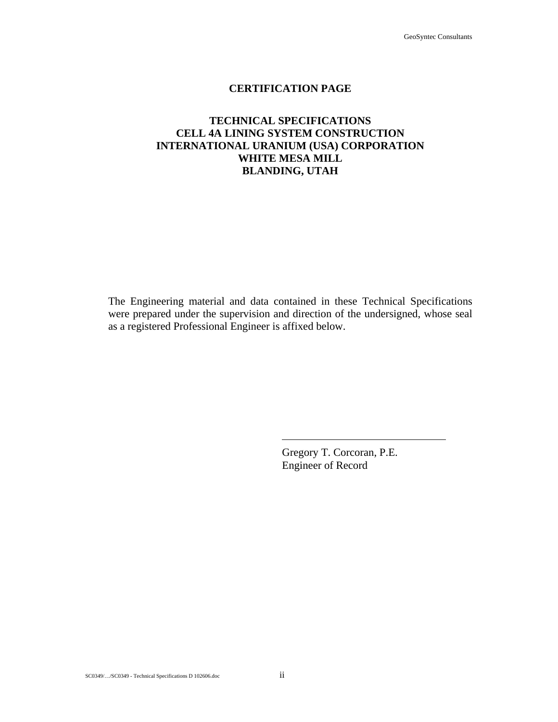# **CERTIFICATION PAGE**

# **TECHNICAL SPECIFICATIONS CELL 4A LINING SYSTEM CONSTRUCTION INTERNATIONAL URANIUM (USA) CORPORATION WHITE MESA MILL BLANDING, UTAH**

The Engineering material and data contained in these Technical Specifications were prepared under the supervision and direction of the undersigned, whose seal as a registered Professional Engineer is affixed below.

> Gregory T. Corcoran, P.E. Engineer of Record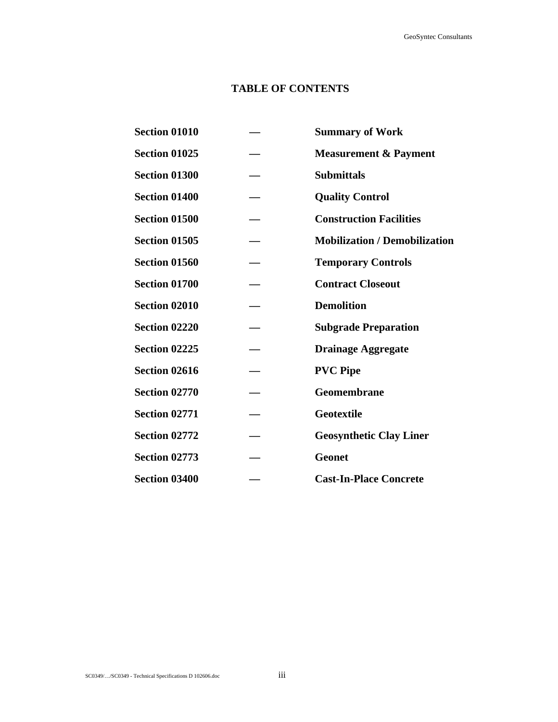# **TABLE OF CONTENTS**

| <b>Section 01010</b> | <b>Summary of Work</b>               |
|----------------------|--------------------------------------|
| <b>Section 01025</b> | <b>Measurement &amp; Payment</b>     |
| <b>Section 01300</b> | <b>Submittals</b>                    |
| <b>Section 01400</b> | <b>Quality Control</b>               |
| <b>Section 01500</b> | <b>Construction Facilities</b>       |
| <b>Section 01505</b> | <b>Mobilization / Demobilization</b> |
| <b>Section 01560</b> | <b>Temporary Controls</b>            |
| <b>Section 01700</b> | <b>Contract Closeout</b>             |
| <b>Section 02010</b> | <b>Demolition</b>                    |
| <b>Section 02220</b> | <b>Subgrade Preparation</b>          |
| <b>Section 02225</b> | <b>Drainage Aggregate</b>            |
| <b>Section 02616</b> | <b>PVC Pipe</b>                      |
| <b>Section 02770</b> | <b>Geomembrane</b>                   |
| <b>Section 02771</b> | <b>Geotextile</b>                    |
| <b>Section 02772</b> | <b>Geosynthetic Clay Liner</b>       |
| <b>Section 02773</b> | <b>Geonet</b>                        |
| <b>Section 03400</b> | <b>Cast-In-Place Concrete</b>        |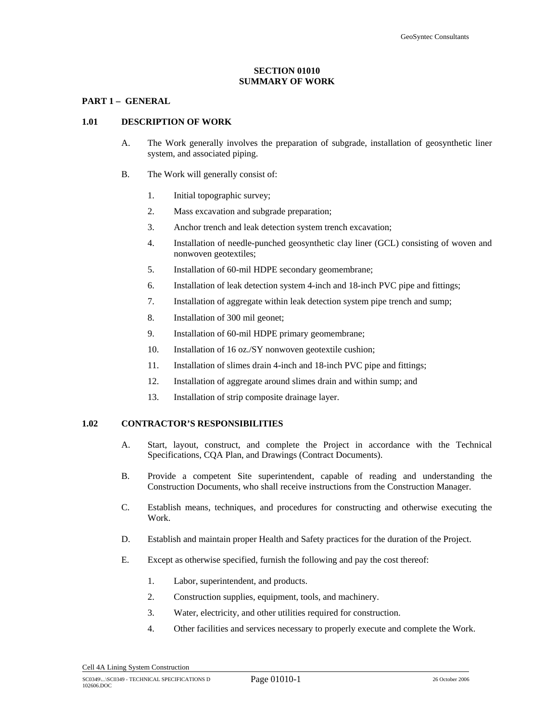#### **SECTION 01010 SUMMARY OF WORK**

#### **PART 1 – GENERAL**

#### **1.01 DESCRIPTION OF WORK**

- A. The Work generally involves the preparation of subgrade, installation of geosynthetic liner system, and associated piping.
- B. The Work will generally consist of:
	- 1. Initial topographic survey;
	- 2. Mass excavation and subgrade preparation;
	- 3. Anchor trench and leak detection system trench excavation;
	- 4. Installation of needle-punched geosynthetic clay liner (GCL) consisting of woven and nonwoven geotextiles;
	- 5. Installation of 60-mil HDPE secondary geomembrane;
	- 6. Installation of leak detection system 4-inch and 18-inch PVC pipe and fittings;
	- 7. Installation of aggregate within leak detection system pipe trench and sump;
	- 8. Installation of 300 mil geonet;
	- 9. Installation of 60-mil HDPE primary geomembrane;
	- 10. Installation of 16 oz./SY nonwoven geotextile cushion;
	- 11. Installation of slimes drain 4-inch and 18-inch PVC pipe and fittings;
	- 12. Installation of aggregate around slimes drain and within sump; and
	- 13. Installation of strip composite drainage layer.

#### **1.02 CONTRACTOR'S RESPONSIBILITIES**

- A. Start, layout, construct, and complete the Project in accordance with the Technical Specifications, CQA Plan, and Drawings (Contract Documents).
- B. Provide a competent Site superintendent, capable of reading and understanding the Construction Documents, who shall receive instructions from the Construction Manager.
- C. Establish means, techniques, and procedures for constructing and otherwise executing the Work.
- D. Establish and maintain proper Health and Safety practices for the duration of the Project.
- E. Except as otherwise specified, furnish the following and pay the cost thereof:
	- 1. Labor, superintendent, and products.
	- 2. Construction supplies, equipment, tools, and machinery.
	- 3. Water, electricity, and other utilities required for construction.
	- 4. Other facilities and services necessary to properly execute and complete the Work.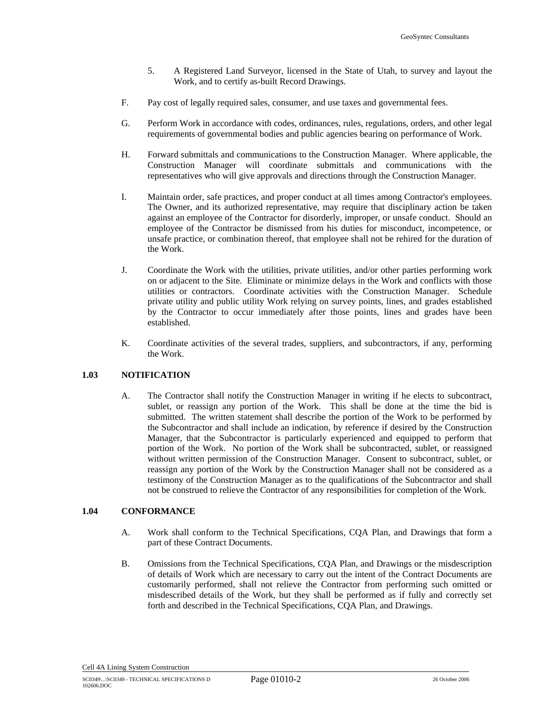- 5. A Registered Land Surveyor, licensed in the State of Utah, to survey and layout the Work, and to certify as-built Record Drawings.
- F. Pay cost of legally required sales, consumer, and use taxes and governmental fees.
- G. Perform Work in accordance with codes, ordinances, rules, regulations, orders, and other legal requirements of governmental bodies and public agencies bearing on performance of Work.
- H. Forward submittals and communications to the Construction Manager. Where applicable, the Construction Manager will coordinate submittals and communications with the representatives who will give approvals and directions through the Construction Manager.
- I. Maintain order, safe practices, and proper conduct at all times among Contractor's employees. The Owner, and its authorized representative, may require that disciplinary action be taken against an employee of the Contractor for disorderly, improper, or unsafe conduct. Should an employee of the Contractor be dismissed from his duties for misconduct, incompetence, or unsafe practice, or combination thereof, that employee shall not be rehired for the duration of the Work.
- J. Coordinate the Work with the utilities, private utilities, and/or other parties performing work on or adjacent to the Site. Eliminate or minimize delays in the Work and conflicts with those utilities or contractors. Coordinate activities with the Construction Manager. Schedule private utility and public utility Work relying on survey points, lines, and grades established by the Contractor to occur immediately after those points, lines and grades have been established.
- K. Coordinate activities of the several trades, suppliers, and subcontractors, if any, performing the Work.

#### **1.03 NOTIFICATION**

A. The Contractor shall notify the Construction Manager in writing if he elects to subcontract, sublet, or reassign any portion of the Work. This shall be done at the time the bid is submitted. The written statement shall describe the portion of the Work to be performed by the Subcontractor and shall include an indication, by reference if desired by the Construction Manager, that the Subcontractor is particularly experienced and equipped to perform that portion of the Work. No portion of the Work shall be subcontracted, sublet, or reassigned without written permission of the Construction Manager. Consent to subcontract, sublet, or reassign any portion of the Work by the Construction Manager shall not be considered as a testimony of the Construction Manager as to the qualifications of the Subcontractor and shall not be construed to relieve the Contractor of any responsibilities for completion of the Work.

# **1.04 CONFORMANCE**

- A. Work shall conform to the Technical Specifications, CQA Plan, and Drawings that form a part of these Contract Documents.
- B. Omissions from the Technical Specifications, CQA Plan, and Drawings or the misdescription of details of Work which are necessary to carry out the intent of the Contract Documents are customarily performed, shall not relieve the Contractor from performing such omitted or misdescribed details of the Work, but they shall be performed as if fully and correctly set forth and described in the Technical Specifications, CQA Plan, and Drawings.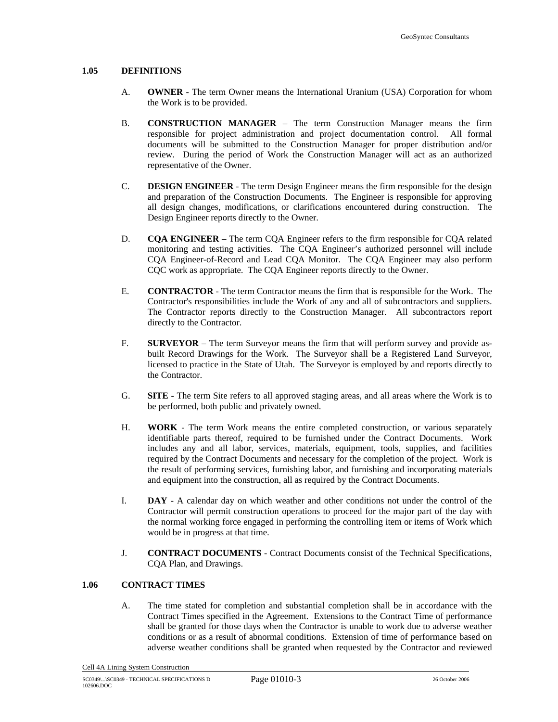#### **1.05 DEFINITIONS**

- A. **OWNER** The term Owner means the International Uranium (USA) Corporation for whom the Work is to be provided.
- B. **CONSTRUCTION MANAGER**  The term Construction Manager means the firm responsible for project administration and project documentation control. All formal documents will be submitted to the Construction Manager for proper distribution and/or review. During the period of Work the Construction Manager will act as an authorized representative of the Owner.
- C. **DESIGN ENGINEER** The term Design Engineer means the firm responsible for the design and preparation of the Construction Documents. The Engineer is responsible for approving all design changes, modifications, or clarifications encountered during construction. The Design Engineer reports directly to the Owner.
- D. **CQA ENGINEER**  The term CQA Engineer refers to the firm responsible for CQA related monitoring and testing activities. The CQA Engineer's authorized personnel will include CQA Engineer-of-Record and Lead CQA Monitor. The CQA Engineer may also perform CQC work as appropriate. The CQA Engineer reports directly to the Owner.
- E. **CONTRACTOR** The term Contractor means the firm that is responsible for the Work. The Contractor's responsibilities include the Work of any and all of subcontractors and suppliers. The Contractor reports directly to the Construction Manager. All subcontractors report directly to the Contractor.
- F. **SURVEYOR**  The term Surveyor means the firm that will perform survey and provide asbuilt Record Drawings for the Work. The Surveyor shall be a Registered Land Surveyor, licensed to practice in the State of Utah. The Surveyor is employed by and reports directly to the Contractor.
- G. **SITE** The term Site refers to all approved staging areas, and all areas where the Work is to be performed, both public and privately owned.
- H. **WORK** The term Work means the entire completed construction, or various separately identifiable parts thereof, required to be furnished under the Contract Documents. Work includes any and all labor, services, materials, equipment, tools, supplies, and facilities required by the Contract Documents and necessary for the completion of the project. Work is the result of performing services, furnishing labor, and furnishing and incorporating materials and equipment into the construction, all as required by the Contract Documents.
- I. **DAY** A calendar day on which weather and other conditions not under the control of the Contractor will permit construction operations to proceed for the major part of the day with the normal working force engaged in performing the controlling item or items of Work which would be in progress at that time.
- J. **CONTRACT DOCUMENTS** Contract Documents consist of the Technical Specifications, CQA Plan, and Drawings.

#### **1.06 CONTRACT TIMES**

A. The time stated for completion and substantial completion shall be in accordance with the Contract Times specified in the Agreement. Extensions to the Contract Time of performance shall be granted for those days when the Contractor is unable to work due to adverse weather conditions or as a result of abnormal conditions. Extension of time of performance based on adverse weather conditions shall be granted when requested by the Contractor and reviewed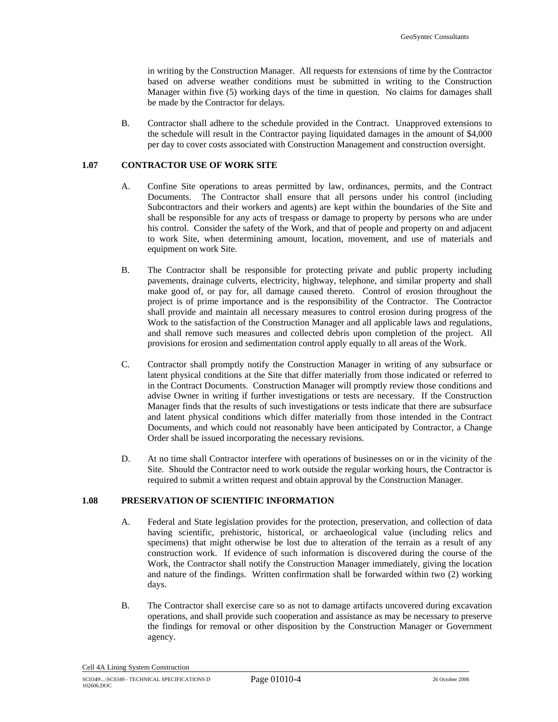in writing by the Construction Manager. All requests for extensions of time by the Contractor based on adverse weather conditions must be submitted in writing to the Construction Manager within five (5) working days of the time in question. No claims for damages shall be made by the Contractor for delays.

B. Contractor shall adhere to the schedule provided in the Contract. Unapproved extensions to the schedule will result in the Contractor paying liquidated damages in the amount of \$4,000 per day to cover costs associated with Construction Management and construction oversight.

#### **1.07 CONTRACTOR USE OF WORK SITE**

- A. Confine Site operations to areas permitted by law, ordinances, permits, and the Contract Documents. The Contractor shall ensure that all persons under his control (including Subcontractors and their workers and agents) are kept within the boundaries of the Site and shall be responsible for any acts of trespass or damage to property by persons who are under his control. Consider the safety of the Work, and that of people and property on and adjacent to work Site, when determining amount, location, movement, and use of materials and equipment on work Site.
- B. The Contractor shall be responsible for protecting private and public property including pavements, drainage culverts, electricity, highway, telephone, and similar property and shall make good of, or pay for, all damage caused thereto. Control of erosion throughout the project is of prime importance and is the responsibility of the Contractor. The Contractor shall provide and maintain all necessary measures to control erosion during progress of the Work to the satisfaction of the Construction Manager and all applicable laws and regulations, and shall remove such measures and collected debris upon completion of the project. All provisions for erosion and sedimentation control apply equally to all areas of the Work.
- C. Contractor shall promptly notify the Construction Manager in writing of any subsurface or latent physical conditions at the Site that differ materially from those indicated or referred to in the Contract Documents. Construction Manager will promptly review those conditions and advise Owner in writing if further investigations or tests are necessary. If the Construction Manager finds that the results of such investigations or tests indicate that there are subsurface and latent physical conditions which differ materially from those intended in the Contract Documents, and which could not reasonably have been anticipated by Contractor, a Change Order shall be issued incorporating the necessary revisions.
- D. At no time shall Contractor interfere with operations of businesses on or in the vicinity of the Site. Should the Contractor need to work outside the regular working hours, the Contractor is required to submit a written request and obtain approval by the Construction Manager.

#### **1.08 PRESERVATION OF SCIENTIFIC INFORMATION**

- A. Federal and State legislation provides for the protection, preservation, and collection of data having scientific, prehistoric, historical, or archaeological value (including relics and specimens) that might otherwise be lost due to alteration of the terrain as a result of any construction work. If evidence of such information is discovered during the course of the Work, the Contractor shall notify the Construction Manager immediately, giving the location and nature of the findings. Written confirmation shall be forwarded within two (2) working days.
- B. The Contractor shall exercise care so as not to damage artifacts uncovered during excavation operations, and shall provide such cooperation and assistance as may be necessary to preserve the findings for removal or other disposition by the Construction Manager or Government agency.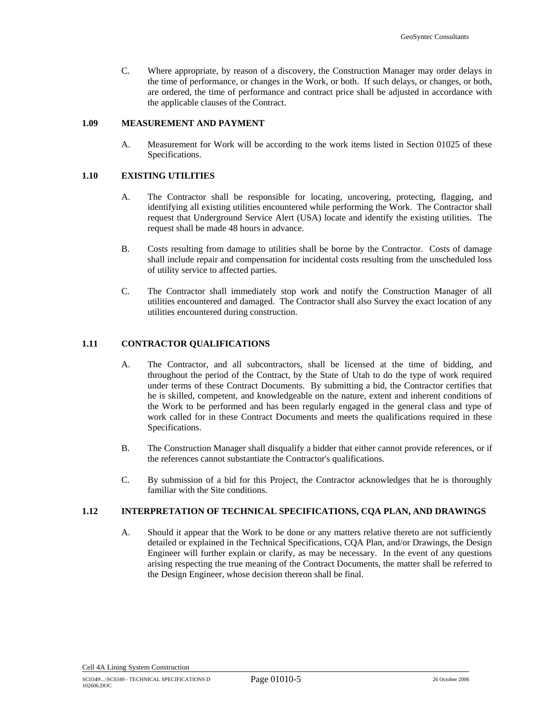C. Where appropriate, by reason of a discovery, the Construction Manager may order delays in the time of performance, or changes in the Work, or both. If such delays, or changes, or both, are ordered, the time of performance and contract price shall be adjusted in accordance with the applicable clauses of the Contract.

#### **1.09 MEASUREMENT AND PAYMENT**

A. Measurement for Work will be according to the work items listed in Section 01025 of these Specifications.

#### **1.10 EXISTING UTILITIES**

- A. The Contractor shall be responsible for locating, uncovering, protecting, flagging, and identifying all existing utilities encountered while performing the Work. The Contractor shall request that Underground Service Alert (USA) locate and identify the existing utilities. The request shall be made 48 hours in advance.
- B. Costs resulting from damage to utilities shall be borne by the Contractor. Costs of damage shall include repair and compensation for incidental costs resulting from the unscheduled loss of utility service to affected parties.
- C. The Contractor shall immediately stop work and notify the Construction Manager of all utilities encountered and damaged. The Contractor shall also Survey the exact location of any utilities encountered during construction.

# **1.11 CONTRACTOR QUALIFICATIONS**

- A. The Contractor, and all subcontractors, shall be licensed at the time of bidding, and throughout the period of the Contract, by the State of Utah to do the type of work required under terms of these Contract Documents. By submitting a bid, the Contractor certifies that he is skilled, competent, and knowledgeable on the nature, extent and inherent conditions of the Work to be performed and has been regularly engaged in the general class and type of work called for in these Contract Documents and meets the qualifications required in these Specifications.
- B. The Construction Manager shall disqualify a bidder that either cannot provide references, or if the references cannot substantiate the Contractor's qualifications.
- C. By submission of a bid for this Project, the Contractor acknowledges that he is thoroughly familiar with the Site conditions.

# **1.12 INTERPRETATION OF TECHNICAL SPECIFICATIONS, CQA PLAN, AND DRAWINGS**

A. Should it appear that the Work to be done or any matters relative thereto are not sufficiently detailed or explained in the Technical Specifications, CQA Plan, and/or Drawings, the Design Engineer will further explain or clarify, as may be necessary. In the event of any questions arising respecting the true meaning of the Contract Documents, the matter shall be referred to the Design Engineer, whose decision thereon shall be final.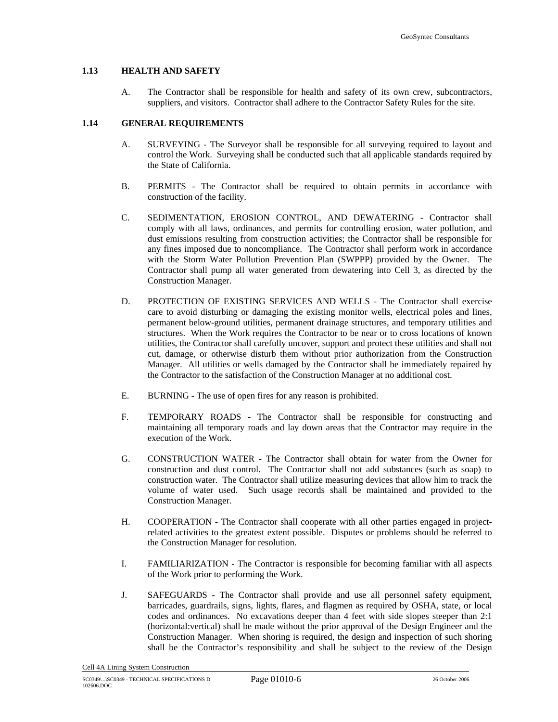#### **1.13 HEALTH AND SAFETY**

A. The Contractor shall be responsible for health and safety of its own crew, subcontractors, suppliers, and visitors. Contractor shall adhere to the Contractor Safety Rules for the site.

#### **1.14 GENERAL REQUIREMENTS**

- A. SURVEYING The Surveyor shall be responsible for all surveying required to layout and control the Work. Surveying shall be conducted such that all applicable standards required by the State of California.
- B. PERMITS The Contractor shall be required to obtain permits in accordance with construction of the facility.
- C. SEDIMENTATION, EROSION CONTROL, AND DEWATERING Contractor shall comply with all laws, ordinances, and permits for controlling erosion, water pollution, and dust emissions resulting from construction activities; the Contractor shall be responsible for any fines imposed due to noncompliance. The Contractor shall perform work in accordance with the Storm Water Pollution Prevention Plan (SWPPP) provided by the Owner. The Contractor shall pump all water generated from dewatering into Cell 3, as directed by the Construction Manager.
- D. PROTECTION OF EXISTING SERVICES AND WELLS The Contractor shall exercise care to avoid disturbing or damaging the existing monitor wells, electrical poles and lines, permanent below-ground utilities, permanent drainage structures, and temporary utilities and structures. When the Work requires the Contractor to be near or to cross locations of known utilities, the Contractor shall carefully uncover, support and protect these utilities and shall not cut, damage, or otherwise disturb them without prior authorization from the Construction Manager. All utilities or wells damaged by the Contractor shall be immediately repaired by the Contractor to the satisfaction of the Construction Manager at no additional cost.
- E. BURNING The use of open fires for any reason is prohibited.
- F. TEMPORARY ROADS The Contractor shall be responsible for constructing and maintaining all temporary roads and lay down areas that the Contractor may require in the execution of the Work.
- G. CONSTRUCTION WATER The Contractor shall obtain for water from the Owner for construction and dust control. The Contractor shall not add substances (such as soap) to construction water. The Contractor shall utilize measuring devices that allow him to track the volume of water used. Such usage records shall be maintained and provided to the Construction Manager.
- H. COOPERATION The Contractor shall cooperate with all other parties engaged in projectrelated activities to the greatest extent possible. Disputes or problems should be referred to the Construction Manager for resolution.
- I. FAMILIARIZATION The Contractor is responsible for becoming familiar with all aspects of the Work prior to performing the Work.
- J. SAFEGUARDS The Contractor shall provide and use all personnel safety equipment, barricades, guardrails, signs, lights, flares, and flagmen as required by OSHA, state, or local codes and ordinances. No excavations deeper than 4 feet with side slopes steeper than 2:1 (horizontal:vertical) shall be made without the prior approval of the Design Engineer and the Construction Manager. When shoring is required, the design and inspection of such shoring shall be the Contractor's responsibility and shall be subject to the review of the Design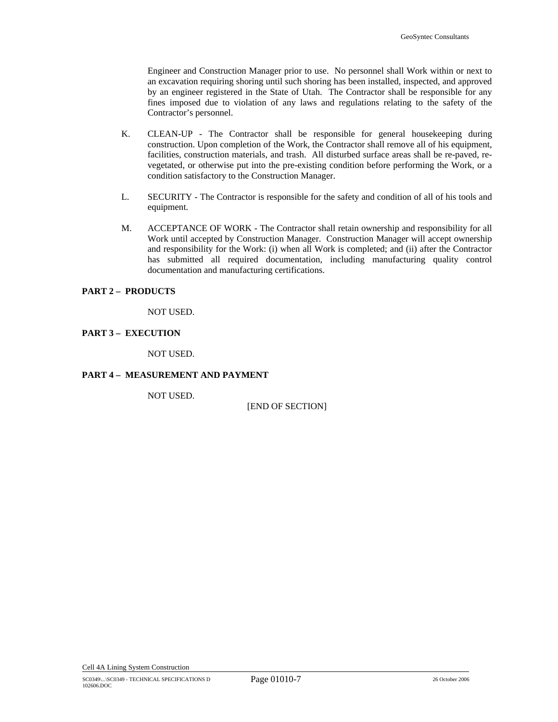Engineer and Construction Manager prior to use. No personnel shall Work within or next to an excavation requiring shoring until such shoring has been installed, inspected, and approved by an engineer registered in the State of Utah. The Contractor shall be responsible for any fines imposed due to violation of any laws and regulations relating to the safety of the Contractor's personnel.

- K. CLEAN-UP The Contractor shall be responsible for general housekeeping during construction. Upon completion of the Work, the Contractor shall remove all of his equipment, facilities, construction materials, and trash. All disturbed surface areas shall be re-paved, revegetated, or otherwise put into the pre-existing condition before performing the Work, or a condition satisfactory to the Construction Manager.
- L. SECURITY The Contractor is responsible for the safety and condition of all of his tools and equipment.
- M. ACCEPTANCE OF WORK The Contractor shall retain ownership and responsibility for all Work until accepted by Construction Manager. Construction Manager will accept ownership and responsibility for the Work: (i) when all Work is completed; and (ii) after the Contractor has submitted all required documentation, including manufacturing quality control documentation and manufacturing certifications.

#### **PART 2 – PRODUCTS**

NOT USED.

#### **PART 3 – EXECUTION**

NOT USED.

#### **PART 4 – MEASUREMENT AND PAYMENT**

NOT USED.

[END OF SECTION]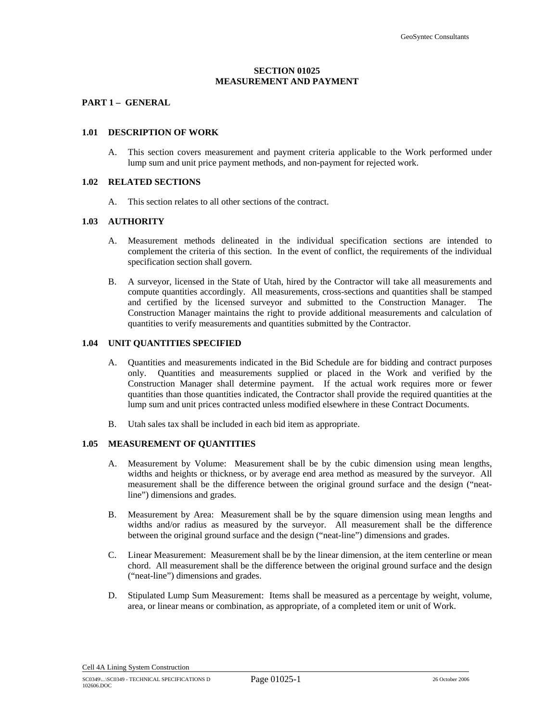#### **SECTION 01025 MEASUREMENT AND PAYMENT**

#### **PART 1 – GENERAL**

#### **1.01 DESCRIPTION OF WORK**

A. This section covers measurement and payment criteria applicable to the Work performed under lump sum and unit price payment methods, and non-payment for rejected work.

#### **1.02 RELATED SECTIONS**

A. This section relates to all other sections of the contract.

#### **1.03 AUTHORITY**

- A. Measurement methods delineated in the individual specification sections are intended to complement the criteria of this section. In the event of conflict, the requirements of the individual specification section shall govern.
- B. A surveyor, licensed in the State of Utah, hired by the Contractor will take all measurements and compute quantities accordingly. All measurements, cross-sections and quantities shall be stamped and certified by the licensed surveyor and submitted to the Construction Manager. The Construction Manager maintains the right to provide additional measurements and calculation of quantities to verify measurements and quantities submitted by the Contractor.

#### **1.04 UNIT QUANTITIES SPECIFIED**

- A. Quantities and measurements indicated in the Bid Schedule are for bidding and contract purposes only. Quantities and measurements supplied or placed in the Work and verified by the Construction Manager shall determine payment. If the actual work requires more or fewer quantities than those quantities indicated, the Contractor shall provide the required quantities at the lump sum and unit prices contracted unless modified elsewhere in these Contract Documents.
- B. Utah sales tax shall be included in each bid item as appropriate.

#### **1.05 MEASUREMENT OF QUANTITIES**

- A. Measurement by Volume: Measurement shall be by the cubic dimension using mean lengths, widths and heights or thickness, or by average end area method as measured by the surveyor. All measurement shall be the difference between the original ground surface and the design ("neatline") dimensions and grades.
- B. Measurement by Area: Measurement shall be by the square dimension using mean lengths and widths and/or radius as measured by the surveyor. All measurement shall be the difference between the original ground surface and the design ("neat-line") dimensions and grades.
- C. Linear Measurement: Measurement shall be by the linear dimension, at the item centerline or mean chord. All measurement shall be the difference between the original ground surface and the design ("neat-line") dimensions and grades.
- D. Stipulated Lump Sum Measurement: Items shall be measured as a percentage by weight, volume, area, or linear means or combination, as appropriate, of a completed item or unit of Work.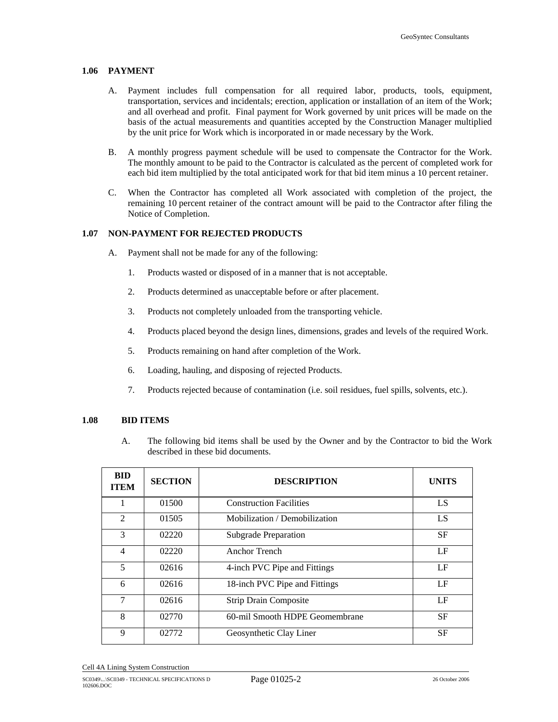#### **1.06 PAYMENT**

- A. Payment includes full compensation for all required labor, products, tools, equipment, transportation, services and incidentals; erection, application or installation of an item of the Work; and all overhead and profit. Final payment for Work governed by unit prices will be made on the basis of the actual measurements and quantities accepted by the Construction Manager multiplied by the unit price for Work which is incorporated in or made necessary by the Work.
- B. A monthly progress payment schedule will be used to compensate the Contractor for the Work. The monthly amount to be paid to the Contractor is calculated as the percent of completed work for each bid item multiplied by the total anticipated work for that bid item minus a 10 percent retainer.
- C. When the Contractor has completed all Work associated with completion of the project, the remaining 10 percent retainer of the contract amount will be paid to the Contractor after filing the Notice of Completion.

#### **1.07 NON-PAYMENT FOR REJECTED PRODUCTS**

- A. Payment shall not be made for any of the following:
	- 1. Products wasted or disposed of in a manner that is not acceptable.
	- 2. Products determined as unacceptable before or after placement.
	- 3. Products not completely unloaded from the transporting vehicle.
	- 4. Products placed beyond the design lines, dimensions, grades and levels of the required Work.
	- 5. Products remaining on hand after completion of the Work.
	- 6. Loading, hauling, and disposing of rejected Products.
	- 7. Products rejected because of contamination (i.e. soil residues, fuel spills, solvents, etc.).

#### **1.08 BID ITEMS**

A. The following bid items shall be used by the Owner and by the Contractor to bid the Work described in these bid documents.

| <b>BID</b><br><b>ITEM</b> | <b>SECTION</b> | <b>DESCRIPTION</b>             | <b>UNITS</b> |
|---------------------------|----------------|--------------------------------|--------------|
|                           | 01500          | <b>Construction Facilities</b> | LS           |
| 2                         | 01505          | Mobilization / Demobilization  | LS           |
| 3                         | 02220          | <b>Subgrade Preparation</b>    | <b>SF</b>    |
| 4                         | 02220          | Anchor Trench                  | LF           |
| 5                         | 02616          | 4-inch PVC Pipe and Fittings   | LF           |
| 6                         | 02616          | 18-inch PVC Pipe and Fittings  | LF           |
| 7                         | 02616          | <b>Strip Drain Composite</b>   | LF           |
| 8                         | 02770          | 60-mil Smooth HDPE Geomembrane | <b>SF</b>    |
| 9                         | 02772          | Geosynthetic Clay Liner        | <b>SF</b>    |

Cell 4A Lining System Construction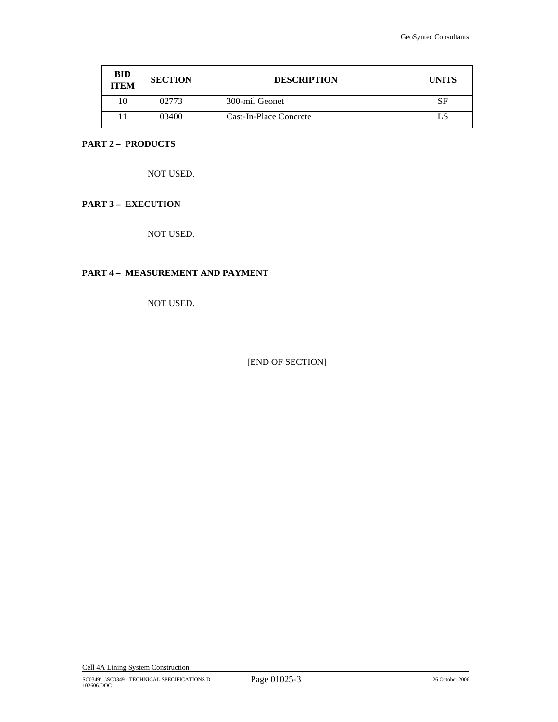| <b>BID</b><br><b>ITEM</b> | <b>SECTION</b> | <b>DESCRIPTION</b>     | <b>UNITS</b> |
|---------------------------|----------------|------------------------|--------------|
| 10                        | 02773          | 300-mil Geonet         | SF           |
|                           | 03400          | Cast-In-Place Concrete |              |

# **PART 2 – PRODUCTS**

NOT USED.

# **PART 3 – EXECUTION**

NOT USED.

# **PART 4 – MEASUREMENT AND PAYMENT**

NOT USED.

[END OF SECTION]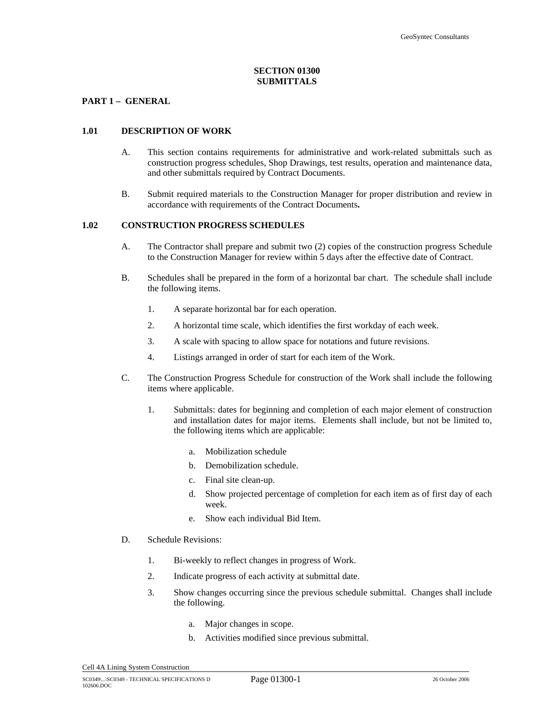#### **SECTION 01300 SUBMITTALS**

#### **PART 1 – GENERAL**

#### **1.01 DESCRIPTION OF WORK**

- A. This section contains requirements for administrative and work-related submittals such as construction progress schedules, Shop Drawings, test results, operation and maintenance data, and other submittals required by Contract Documents.
- B. Submit required materials to the Construction Manager for proper distribution and review in accordance with requirements of the Contract Documents**.**

#### **1.02 CONSTRUCTION PROGRESS SCHEDULES**

- A. The Contractor shall prepare and submit two (2) copies of the construction progress Schedule to the Construction Manager for review within 5 days after the effective date of Contract.
- B. Schedules shall be prepared in the form of a horizontal bar chart. The schedule shall include the following items.
	- 1. A separate horizontal bar for each operation.
	- 2. A horizontal time scale, which identifies the first workday of each week.
	- 3. A scale with spacing to allow space for notations and future revisions.
	- 4. Listings arranged in order of start for each item of the Work.
- C. The Construction Progress Schedule for construction of the Work shall include the following items where applicable.
	- 1. Submittals: dates for beginning and completion of each major element of construction and installation dates for major items. Elements shall include, but not be limited to, the following items which are applicable:
		- a. Mobilization schedule
		- b. Demobilization schedule.
		- c. Final site clean-up.
		- d. Show projected percentage of completion for each item as of first day of each week.
		- e. Show each individual Bid Item.
- D. Schedule Revisions:
	- 1. Bi-weekly to reflect changes in progress of Work.
	- 2. Indicate progress of each activity at submittal date.
	- 3. Show changes occurring since the previous schedule submittal. Changes shall include the following.
		- a. Major changes in scope.
		- b. Activities modified since previous submittal.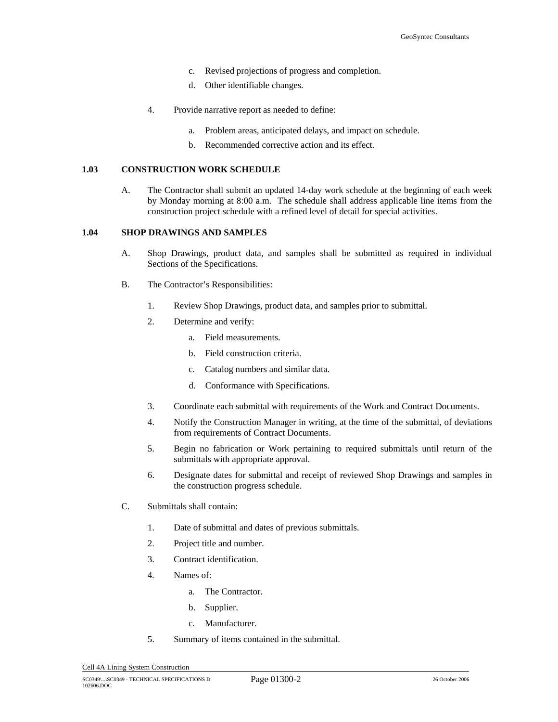- c. Revised projections of progress and completion.
- d. Other identifiable changes.
- 4. Provide narrative report as needed to define:
	- a. Problem areas, anticipated delays, and impact on schedule.
	- b. Recommended corrective action and its effect.

#### **1.03 CONSTRUCTION WORK SCHEDULE**

A. The Contractor shall submit an updated 14-day work schedule at the beginning of each week by Monday morning at 8:00 a.m. The schedule shall address applicable line items from the construction project schedule with a refined level of detail for special activities.

#### **1.04 SHOP DRAWINGS AND SAMPLES**

- A. Shop Drawings, product data, and samples shall be submitted as required in individual Sections of the Specifications.
- B. The Contractor's Responsibilities:
	- 1. Review Shop Drawings, product data, and samples prior to submittal.
	- 2. Determine and verify:
		- a. Field measurements.
		- b. Field construction criteria.
		- c. Catalog numbers and similar data.
		- d. Conformance with Specifications.
	- 3. Coordinate each submittal with requirements of the Work and Contract Documents.
	- 4. Notify the Construction Manager in writing, at the time of the submittal, of deviations from requirements of Contract Documents.
	- 5. Begin no fabrication or Work pertaining to required submittals until return of the submittals with appropriate approval.
	- 6. Designate dates for submittal and receipt of reviewed Shop Drawings and samples in the construction progress schedule.
- C. Submittals shall contain:
	- 1. Date of submittal and dates of previous submittals.
	- 2. Project title and number.
	- 3. Contract identification.
	- 4. Names of:
		- a. The Contractor.
		- b. Supplier.
		- c. Manufacturer.
	- 5. Summary of items contained in the submittal.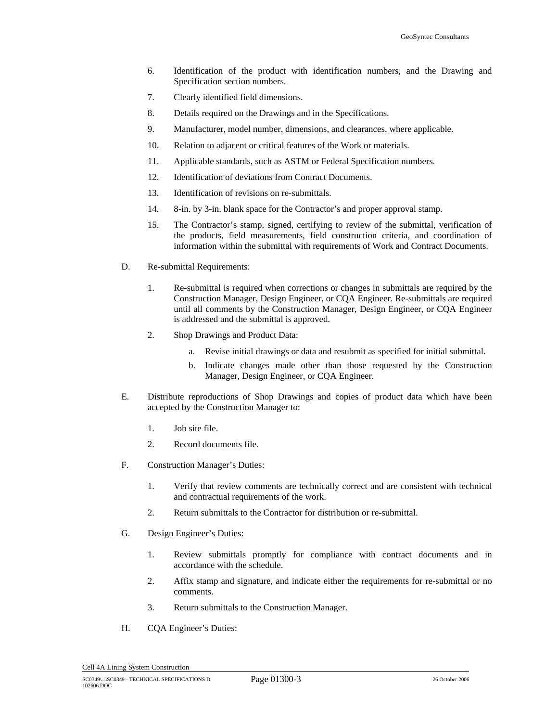- 6. Identification of the product with identification numbers, and the Drawing and Specification section numbers.
- 7. Clearly identified field dimensions.
- 8. Details required on the Drawings and in the Specifications.
- 9. Manufacturer, model number, dimensions, and clearances, where applicable.
- 10. Relation to adjacent or critical features of the Work or materials.
- 11. Applicable standards, such as ASTM or Federal Specification numbers.
- 12. Identification of deviations from Contract Documents.
- 13. Identification of revisions on re-submittals.
- 14. 8-in. by 3-in. blank space for the Contractor's and proper approval stamp.
- 15. The Contractor's stamp, signed, certifying to review of the submittal, verification of the products, field measurements, field construction criteria, and coordination of information within the submittal with requirements of Work and Contract Documents.
- D. Re-submittal Requirements:
	- 1. Re-submittal is required when corrections or changes in submittals are required by the Construction Manager, Design Engineer, or CQA Engineer. Re-submittals are required until all comments by the Construction Manager, Design Engineer, or CQA Engineer is addressed and the submittal is approved.
	- 2. Shop Drawings and Product Data:
		- a. Revise initial drawings or data and resubmit as specified for initial submittal.
		- b. Indicate changes made other than those requested by the Construction Manager, Design Engineer, or CQA Engineer.
- E. Distribute reproductions of Shop Drawings and copies of product data which have been accepted by the Construction Manager to:
	- 1. Job site file.
	- 2. Record documents file.
- F. Construction Manager's Duties:
	- 1. Verify that review comments are technically correct and are consistent with technical and contractual requirements of the work.
	- 2. Return submittals to the Contractor for distribution or re-submittal.
- G. Design Engineer's Duties:
	- 1. Review submittals promptly for compliance with contract documents and in accordance with the schedule.
	- 2. Affix stamp and signature, and indicate either the requirements for re-submittal or no comments.
	- 3. Return submittals to the Construction Manager.
- H. CQA Engineer's Duties: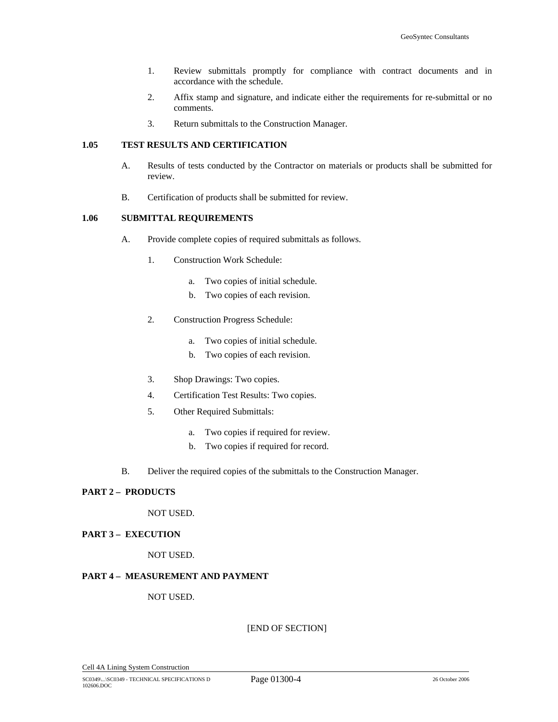- 1. Review submittals promptly for compliance with contract documents and in accordance with the schedule.
- 2. Affix stamp and signature, and indicate either the requirements for re-submittal or no comments.
- 3. Return submittals to the Construction Manager.

#### **1.05 TEST RESULTS AND CERTIFICATION**

- A. Results of tests conducted by the Contractor on materials or products shall be submitted for review.
- B. Certification of products shall be submitted for review.

#### **1.06 SUBMITTAL REQUIREMENTS**

- A. Provide complete copies of required submittals as follows.
	- 1. Construction Work Schedule:
		- a. Two copies of initial schedule.
		- b. Two copies of each revision.
	- 2. Construction Progress Schedule:
		- a. Two copies of initial schedule.
		- b. Two copies of each revision.
	- 3. Shop Drawings: Two copies.
	- 4. Certification Test Results: Two copies.
	- 5. Other Required Submittals:
		- a. Two copies if required for review.
		- b. Two copies if required for record.
- B. Deliver the required copies of the submittals to the Construction Manager.

# **PART 2 – PRODUCTS**

NOT USED.

#### **PART 3 – EXECUTION**

NOT USED.

#### **PART 4 – MEASUREMENT AND PAYMENT**

#### NOT USED.

[END OF SECTION]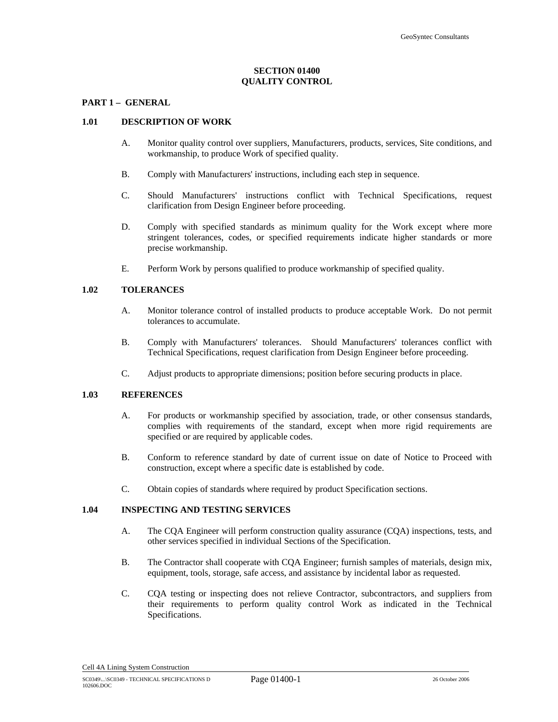#### **SECTION 01400 QUALITY CONTROL**

#### **PART 1 – GENERAL**

#### **1.01 DESCRIPTION OF WORK**

- A. Monitor quality control over suppliers, Manufacturers, products, services, Site conditions, and workmanship, to produce Work of specified quality.
- B. Comply with Manufacturers' instructions, including each step in sequence.
- C. Should Manufacturers' instructions conflict with Technical Specifications, request clarification from Design Engineer before proceeding.
- D. Comply with specified standards as minimum quality for the Work except where more stringent tolerances, codes, or specified requirements indicate higher standards or more precise workmanship.
- E. Perform Work by persons qualified to produce workmanship of specified quality.

#### **1.02 TOLERANCES**

- A. Monitor tolerance control of installed products to produce acceptable Work. Do not permit tolerances to accumulate.
- B. Comply with Manufacturers' tolerances. Should Manufacturers' tolerances conflict with Technical Specifications, request clarification from Design Engineer before proceeding.
- C. Adjust products to appropriate dimensions; position before securing products in place.

#### **1.03 REFERENCES**

- A. For products or workmanship specified by association, trade, or other consensus standards, complies with requirements of the standard, except when more rigid requirements are specified or are required by applicable codes.
- B. Conform to reference standard by date of current issue on date of Notice to Proceed with construction, except where a specific date is established by code.
- C. Obtain copies of standards where required by product Specification sections.

#### **1.04 INSPECTING AND TESTING SERVICES**

- A. The CQA Engineer will perform construction quality assurance (CQA) inspections, tests, and other services specified in individual Sections of the Specification.
- B. The Contractor shall cooperate with CQA Engineer; furnish samples of materials, design mix, equipment, tools, storage, safe access, and assistance by incidental labor as requested.
- C. CQA testing or inspecting does not relieve Contractor, subcontractors, and suppliers from their requirements to perform quality control Work as indicated in the Technical Specifications.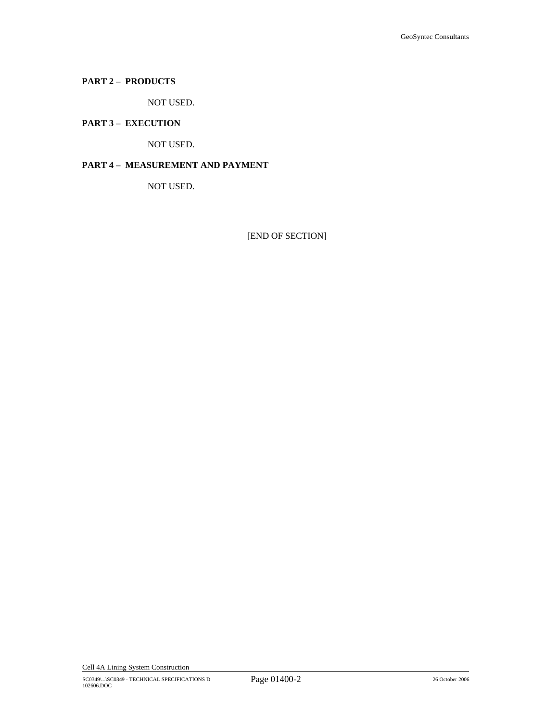# **PART 2 – PRODUCTS**

NOT USED.

# **PART 3 – EXECUTION**

NOT USED.

# **PART 4 – MEASUREMENT AND PAYMENT**

NOT USED.

[END OF SECTION]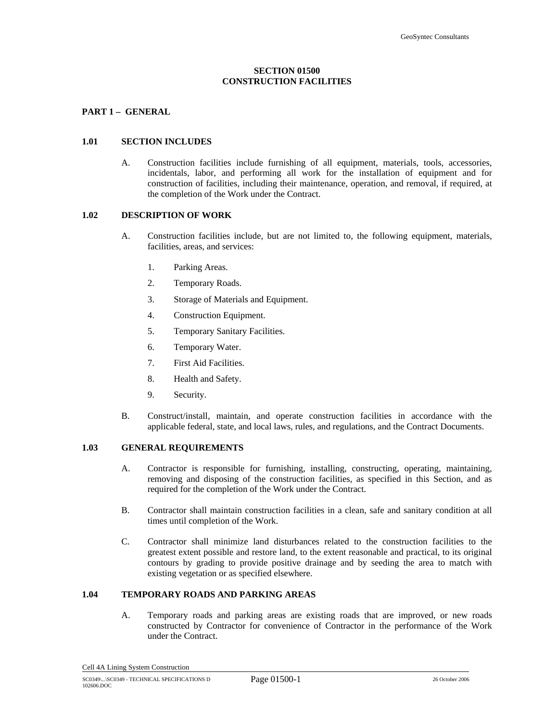#### **SECTION 01500 CONSTRUCTION FACILITIES**

#### **PART 1 – GENERAL**

#### **1.01 SECTION INCLUDES**

A. Construction facilities include furnishing of all equipment, materials, tools, accessories, incidentals, labor, and performing all work for the installation of equipment and for construction of facilities, including their maintenance, operation, and removal, if required, at the completion of the Work under the Contract.

#### **1.02 DESCRIPTION OF WORK**

- A. Construction facilities include, but are not limited to, the following equipment, materials, facilities, areas, and services:
	- 1. Parking Areas.
	- 2. Temporary Roads.
	- 3. Storage of Materials and Equipment.
	- 4. Construction Equipment.
	- 5. Temporary Sanitary Facilities.
	- 6. Temporary Water.
	- 7. First Aid Facilities.
	- 8. Health and Safety.
	- 9. Security.
- B. Construct/install, maintain, and operate construction facilities in accordance with the applicable federal, state, and local laws, rules, and regulations, and the Contract Documents.

#### **1.03 GENERAL REQUIREMENTS**

- A. Contractor is responsible for furnishing, installing, constructing, operating, maintaining, removing and disposing of the construction facilities, as specified in this Section, and as required for the completion of the Work under the Contract.
- B. Contractor shall maintain construction facilities in a clean, safe and sanitary condition at all times until completion of the Work.
- C. Contractor shall minimize land disturbances related to the construction facilities to the greatest extent possible and restore land, to the extent reasonable and practical, to its original contours by grading to provide positive drainage and by seeding the area to match with existing vegetation or as specified elsewhere.

#### **1.04 TEMPORARY ROADS AND PARKING AREAS**

A. Temporary roads and parking areas are existing roads that are improved, or new roads constructed by Contractor for convenience of Contractor in the performance of the Work under the Contract.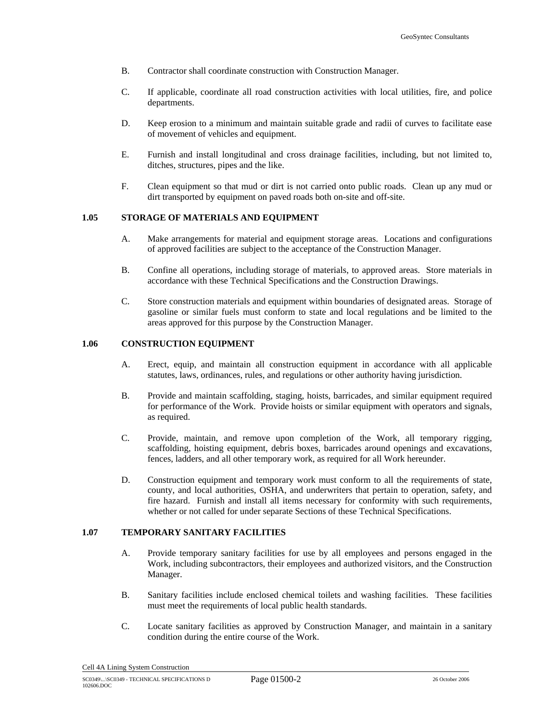- B. Contractor shall coordinate construction with Construction Manager.
- C. If applicable, coordinate all road construction activities with local utilities, fire, and police departments.
- D. Keep erosion to a minimum and maintain suitable grade and radii of curves to facilitate ease of movement of vehicles and equipment.
- E. Furnish and install longitudinal and cross drainage facilities, including, but not limited to, ditches, structures, pipes and the like.
- F. Clean equipment so that mud or dirt is not carried onto public roads. Clean up any mud or dirt transported by equipment on paved roads both on-site and off-site.

#### **1.05 STORAGE OF MATERIALS AND EQUIPMENT**

- A. Make arrangements for material and equipment storage areas. Locations and configurations of approved facilities are subject to the acceptance of the Construction Manager.
- B. Confine all operations, including storage of materials, to approved areas. Store materials in accordance with these Technical Specifications and the Construction Drawings.
- C. Store construction materials and equipment within boundaries of designated areas. Storage of gasoline or similar fuels must conform to state and local regulations and be limited to the areas approved for this purpose by the Construction Manager.

#### **1.06 CONSTRUCTION EQUIPMENT**

- A. Erect, equip, and maintain all construction equipment in accordance with all applicable statutes, laws, ordinances, rules, and regulations or other authority having jurisdiction.
- B. Provide and maintain scaffolding, staging, hoists, barricades, and similar equipment required for performance of the Work. Provide hoists or similar equipment with operators and signals, as required.
- C. Provide, maintain, and remove upon completion of the Work, all temporary rigging, scaffolding, hoisting equipment, debris boxes, barricades around openings and excavations, fences, ladders, and all other temporary work, as required for all Work hereunder.
- D. Construction equipment and temporary work must conform to all the requirements of state, county, and local authorities, OSHA, and underwriters that pertain to operation, safety, and fire hazard. Furnish and install all items necessary for conformity with such requirements, whether or not called for under separate Sections of these Technical Specifications.

#### **1.07 TEMPORARY SANITARY FACILITIES**

- A. Provide temporary sanitary facilities for use by all employees and persons engaged in the Work, including subcontractors, their employees and authorized visitors, and the Construction Manager.
- B. Sanitary facilities include enclosed chemical toilets and washing facilities. These facilities must meet the requirements of local public health standards.
- C. Locate sanitary facilities as approved by Construction Manager, and maintain in a sanitary condition during the entire course of the Work.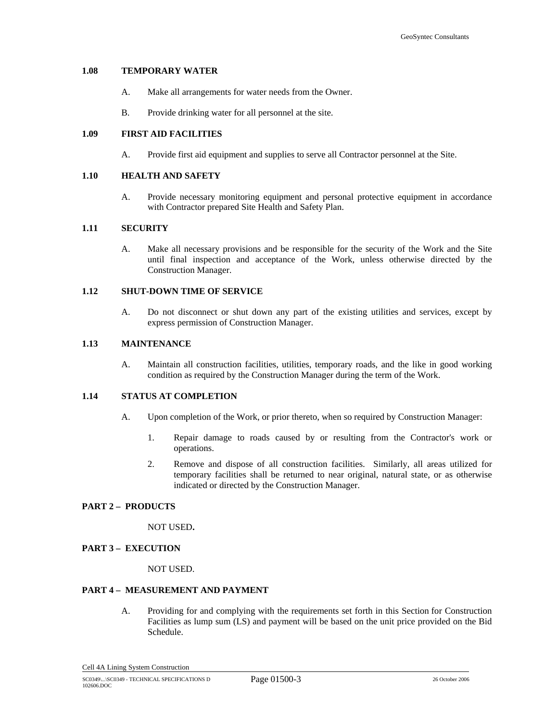# **1.08 TEMPORARY WATER**

- A. Make all arrangements for water needs from the Owner.
- B. Provide drinking water for all personnel at the site.

#### **1.09 FIRST AID FACILITIES**

A. Provide first aid equipment and supplies to serve all Contractor personnel at the Site.

#### **1.10 HEALTH AND SAFETY**

A. Provide necessary monitoring equipment and personal protective equipment in accordance with Contractor prepared Site Health and Safety Plan.

#### **1.11 SECURITY**

A. Make all necessary provisions and be responsible for the security of the Work and the Site until final inspection and acceptance of the Work, unless otherwise directed by the Construction Manager.

#### **1.12 SHUT-DOWN TIME OF SERVICE**

A. Do not disconnect or shut down any part of the existing utilities and services, except by express permission of Construction Manager.

#### **1.13 MAINTENANCE**

A. Maintain all construction facilities, utilities, temporary roads, and the like in good working condition as required by the Construction Manager during the term of the Work.

# **1.14 STATUS AT COMPLETION**

- A. Upon completion of the Work, or prior thereto, when so required by Construction Manager:
	- 1. Repair damage to roads caused by or resulting from the Contractor's work or operations.
	- 2. Remove and dispose of all construction facilities. Similarly, all areas utilized for temporary facilities shall be returned to near original, natural state, or as otherwise indicated or directed by the Construction Manager.

# **PART 2 – PRODUCTS**

NOT USED**.** 

#### **PART 3 – EXECUTION**

NOT USED.

#### **PART 4 – MEASUREMENT AND PAYMENT**

A. Providing for and complying with the requirements set forth in this Section for Construction Facilities as lump sum (LS) and payment will be based on the unit price provided on the Bid Schedule.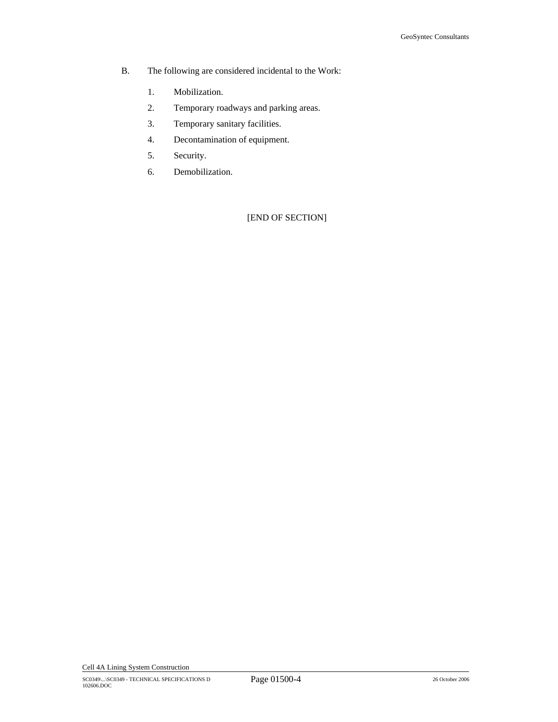- B. The following are considered incidental to the Work:
	- 1. Mobilization.
	- 2. Temporary roadways and parking areas.
	- 3. Temporary sanitary facilities.
	- 4. Decontamination of equipment.
	- 5. Security.
	- 6. Demobilization.

[END OF SECTION]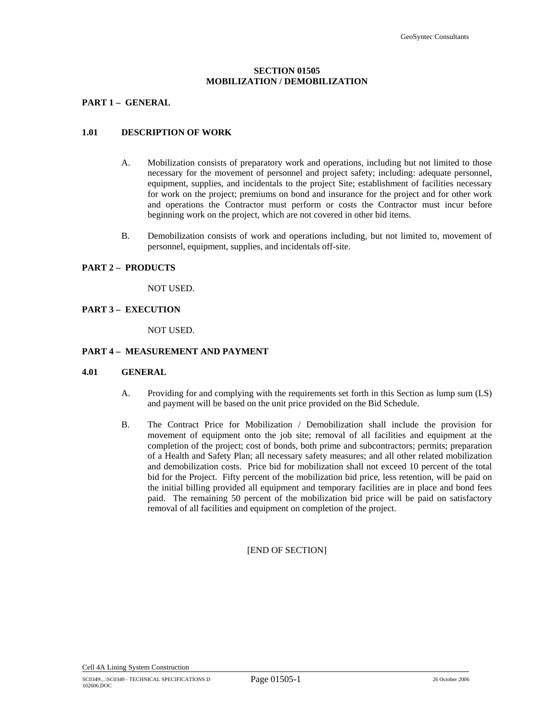#### **SECTION 01505 MOBILIZATION / DEMOBILIZATION**

#### **PART 1 – GENERAL**

#### **1.01 DESCRIPTION OF WORK**

- A. Mobilization consists of preparatory work and operations, including but not limited to those necessary for the movement of personnel and project safety; including: adequate personnel, equipment, supplies, and incidentals to the project Site; establishment of facilities necessary for work on the project; premiums on bond and insurance for the project and for other work and operations the Contractor must perform or costs the Contractor must incur before beginning work on the project, which are not covered in other bid items.
- B. Demobilization consists of work and operations including, but not limited to, movement of personnel, equipment, supplies, and incidentals off-site.

#### **PART 2 – PRODUCTS**

NOT USED.

#### **PART 3 – EXECUTION**

NOT USED.

#### **PART 4 – MEASUREMENT AND PAYMENT**

#### **4.01 GENERAL**

- A. Providing for and complying with the requirements set forth in this Section as lump sum (LS) and payment will be based on the unit price provided on the Bid Schedule.
- B. The Contract Price for Mobilization / Demobilization shall include the provision for movement of equipment onto the job site; removal of all facilities and equipment at the completion of the project; cost of bonds, both prime and subcontractors; permits; preparation of a Health and Safety Plan; all necessary safety measures; and all other related mobilization and demobilization costs. Price bid for mobilization shall not exceed 10 percent of the total bid for the Project. Fifty percent of the mobilization bid price, less retention, will be paid on the initial billing provided all equipment and temporary facilities are in place and bond fees paid. The remaining 50 percent of the mobilization bid price will be paid on satisfactory removal of all facilities and equipment on completion of the project.

#### [END OF SECTION]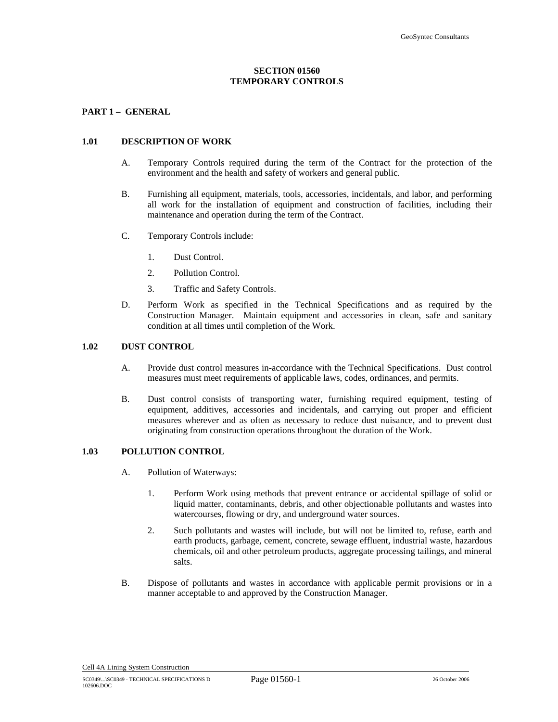#### **SECTION 01560 TEMPORARY CONTROLS**

#### **PART 1 – GENERAL**

#### **1.01 DESCRIPTION OF WORK**

- A. Temporary Controls required during the term of the Contract for the protection of the environment and the health and safety of workers and general public.
- B. Furnishing all equipment, materials, tools, accessories, incidentals, and labor, and performing all work for the installation of equipment and construction of facilities, including their maintenance and operation during the term of the Contract.
- C. Temporary Controls include:
	- 1. Dust Control.
	- 2. Pollution Control.
	- 3. Traffic and Safety Controls.
- D. Perform Work as specified in the Technical Specifications and as required by the Construction Manager. Maintain equipment and accessories in clean, safe and sanitary condition at all times until completion of the Work.

#### **1.02 DUST CONTROL**

- A. Provide dust control measures in-accordance with the Technical Specifications. Dust control measures must meet requirements of applicable laws, codes, ordinances, and permits.
- B. Dust control consists of transporting water, furnishing required equipment, testing of equipment, additives, accessories and incidentals, and carrying out proper and efficient measures wherever and as often as necessary to reduce dust nuisance, and to prevent dust originating from construction operations throughout the duration of the Work.

#### **1.03 POLLUTION CONTROL**

- A. Pollution of Waterways:
	- 1. Perform Work using methods that prevent entrance or accidental spillage of solid or liquid matter, contaminants, debris, and other objectionable pollutants and wastes into watercourses, flowing or dry, and underground water sources.
	- 2. Such pollutants and wastes will include, but will not be limited to, refuse, earth and earth products, garbage, cement, concrete, sewage effluent, industrial waste, hazardous chemicals, oil and other petroleum products, aggregate processing tailings, and mineral salts.
- B. Dispose of pollutants and wastes in accordance with applicable permit provisions or in a manner acceptable to and approved by the Construction Manager.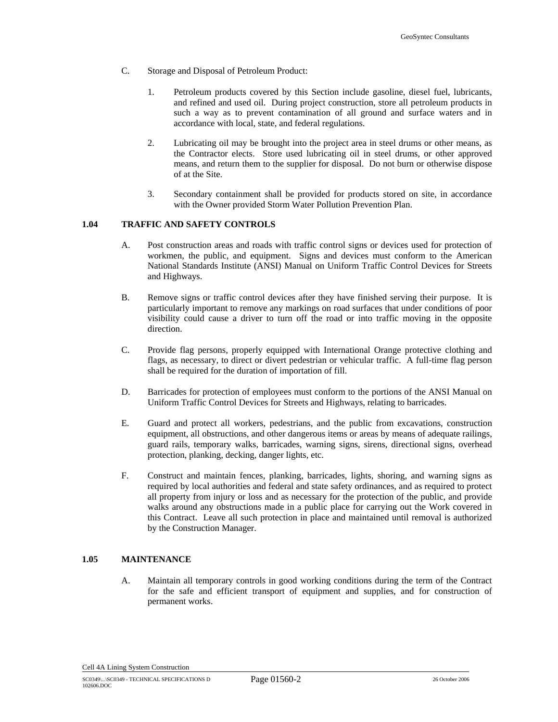- C. Storage and Disposal of Petroleum Product:
	- 1. Petroleum products covered by this Section include gasoline, diesel fuel, lubricants, and refined and used oil. During project construction, store all petroleum products in such a way as to prevent contamination of all ground and surface waters and in accordance with local, state, and federal regulations.
	- 2. Lubricating oil may be brought into the project area in steel drums or other means, as the Contractor elects. Store used lubricating oil in steel drums, or other approved means, and return them to the supplier for disposal. Do not burn or otherwise dispose of at the Site.
	- 3. Secondary containment shall be provided for products stored on site, in accordance with the Owner provided Storm Water Pollution Prevention Plan.

#### **1.04 TRAFFIC AND SAFETY CONTROLS**

- A. Post construction areas and roads with traffic control signs or devices used for protection of workmen, the public, and equipment. Signs and devices must conform to the American National Standards Institute (ANSI) Manual on Uniform Traffic Control Devices for Streets and Highways.
- B. Remove signs or traffic control devices after they have finished serving their purpose. It is particularly important to remove any markings on road surfaces that under conditions of poor visibility could cause a driver to turn off the road or into traffic moving in the opposite direction.
- C. Provide flag persons, properly equipped with International Orange protective clothing and flags, as necessary, to direct or divert pedestrian or vehicular traffic. A full-time flag person shall be required for the duration of importation of fill.
- D. Barricades for protection of employees must conform to the portions of the ANSI Manual on Uniform Traffic Control Devices for Streets and Highways, relating to barricades.
- E. Guard and protect all workers, pedestrians, and the public from excavations, construction equipment, all obstructions, and other dangerous items or areas by means of adequate railings, guard rails, temporary walks, barricades, warning signs, sirens, directional signs, overhead protection, planking, decking, danger lights, etc.
- F. Construct and maintain fences, planking, barricades, lights, shoring, and warning signs as required by local authorities and federal and state safety ordinances, and as required to protect all property from injury or loss and as necessary for the protection of the public, and provide walks around any obstructions made in a public place for carrying out the Work covered in this Contract. Leave all such protection in place and maintained until removal is authorized by the Construction Manager.

#### **1.05 MAINTENANCE**

A. Maintain all temporary controls in good working conditions during the term of the Contract for the safe and efficient transport of equipment and supplies, and for construction of permanent works.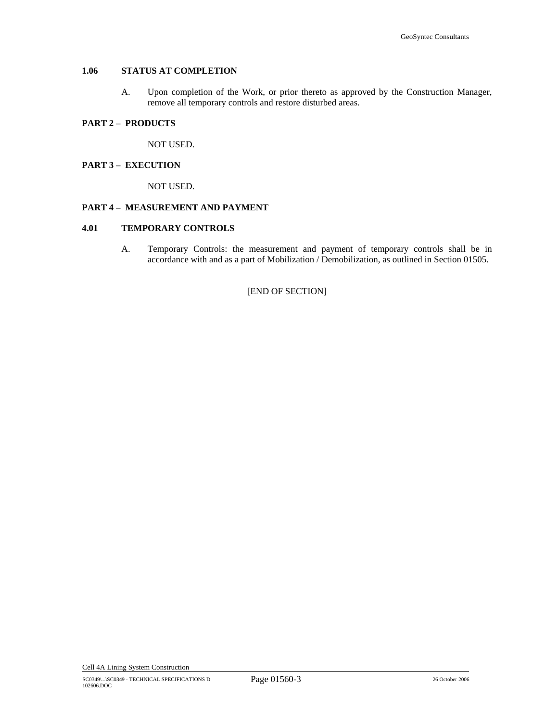# **1.06 STATUS AT COMPLETION**

A. Upon completion of the Work, or prior thereto as approved by the Construction Manager, remove all temporary controls and restore disturbed areas.

#### **PART 2 – PRODUCTS**

NOT USED.

# **PART 3 – EXECUTION**

NOT USED.

#### **PART 4 – MEASUREMENT AND PAYMENT**

#### **4.01 TEMPORARY CONTROLS**

A. Temporary Controls: the measurement and payment of temporary controls shall be in accordance with and as a part of Mobilization / Demobilization, as outlined in Section 01505.

[END OF SECTION]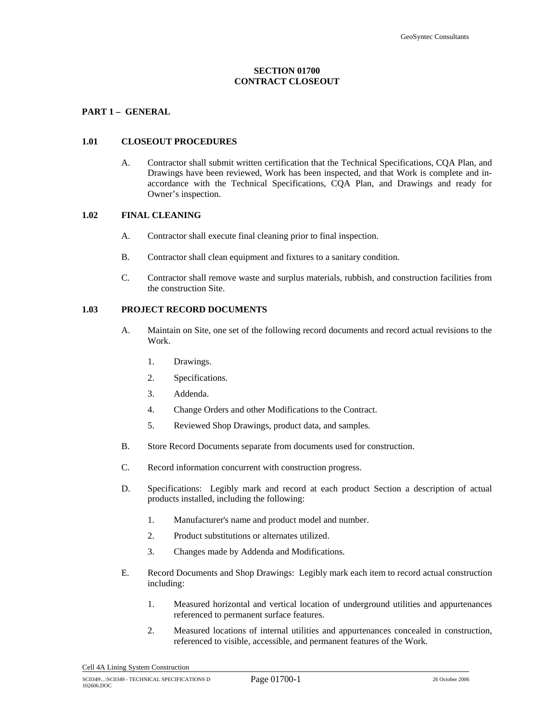#### **SECTION 01700 CONTRACT CLOSEOUT**

#### **PART 1 – GENERAL**

#### **1.01 CLOSEOUT PROCEDURES**

A. Contractor shall submit written certification that the Technical Specifications, CQA Plan, and Drawings have been reviewed, Work has been inspected, and that Work is complete and inaccordance with the Technical Specifications, CQA Plan, and Drawings and ready for Owner's inspection.

#### **1.02 FINAL CLEANING**

- A. Contractor shall execute final cleaning prior to final inspection.
- B. Contractor shall clean equipment and fixtures to a sanitary condition.
- C. Contractor shall remove waste and surplus materials, rubbish, and construction facilities from the construction Site.

#### **1.03 PROJECT RECORD DOCUMENTS**

- A. Maintain on Site, one set of the following record documents and record actual revisions to the Work.
	- 1. Drawings.
	- 2. Specifications.
	- 3. Addenda.
	- 4. Change Orders and other Modifications to the Contract.
	- 5. Reviewed Shop Drawings, product data, and samples.
- B. Store Record Documents separate from documents used for construction.
- C. Record information concurrent with construction progress.
- D. Specifications: Legibly mark and record at each product Section a description of actual products installed, including the following:
	- 1. Manufacturer's name and product model and number.
	- 2. Product substitutions or alternates utilized.
	- 3. Changes made by Addenda and Modifications.
- E. Record Documents and Shop Drawings: Legibly mark each item to record actual construction including:
	- 1. Measured horizontal and vertical location of underground utilities and appurtenances referenced to permanent surface features.
	- 2. Measured locations of internal utilities and appurtenances concealed in construction, referenced to visible, accessible, and permanent features of the Work.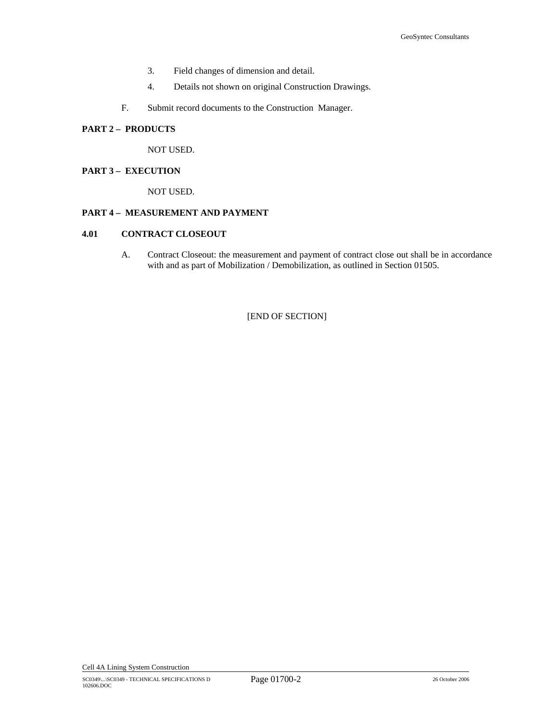- 3. Field changes of dimension and detail.
- 4. Details not shown on original Construction Drawings.
- F. Submit record documents to the Construction Manager.

#### **PART 2 – PRODUCTS**

NOT USED.

#### **PART 3 – EXECUTION**

NOT USED.

# **PART 4 – MEASUREMENT AND PAYMENT**

#### **4.01 CONTRACT CLOSEOUT**

A. Contract Closeout: the measurement and payment of contract close out shall be in accordance with and as part of Mobilization / Demobilization, as outlined in Section 01505.

[END OF SECTION]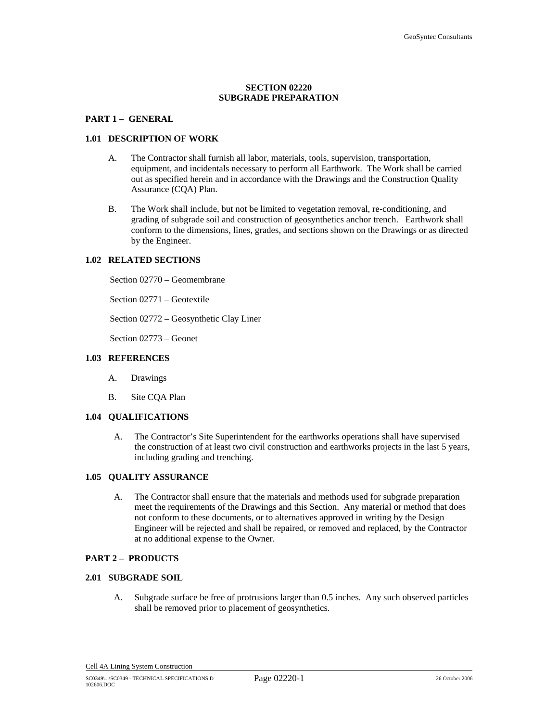#### **SECTION 02220 SUBGRADE PREPARATION**

#### **PART 1 – GENERAL**

#### **1.01 DESCRIPTION OF WORK**

- A. The Contractor shall furnish all labor, materials, tools, supervision, transportation, equipment, and incidentals necessary to perform all Earthwork. The Work shall be carried out as specified herein and in accordance with the Drawings and the Construction Quality Assurance (CQA) Plan.
- B. The Work shall include, but not be limited to vegetation removal, re-conditioning, and grading of subgrade soil and construction of geosynthetics anchor trench. Earthwork shall conform to the dimensions, lines, grades, and sections shown on the Drawings or as directed by the Engineer.

#### **1.02 RELATED SECTIONS**

Section 02770 – Geomembrane

Section 02771 – Geotextile

Section 02772 – Geosynthetic Clay Liner

Section 02773 – Geonet

#### **1.03 REFERENCES**

- A. Drawings
- B. Site CQA Plan

# **1.04 QUALIFICATIONS**

A. The Contractor's Site Superintendent for the earthworks operations shall have supervised the construction of at least two civil construction and earthworks projects in the last 5 years, including grading and trenching.

#### **1.05 QUALITY ASSURANCE**

A. The Contractor shall ensure that the materials and methods used for subgrade preparation meet the requirements of the Drawings and this Section. Any material or method that does not conform to these documents, or to alternatives approved in writing by the Design Engineer will be rejected and shall be repaired, or removed and replaced, by the Contractor at no additional expense to the Owner.

#### **PART 2 – PRODUCTS**

#### **2.01 SUBGRADE SOIL**

A. Subgrade surface be free of protrusions larger than 0.5 inches. Any such observed particles shall be removed prior to placement of geosynthetics.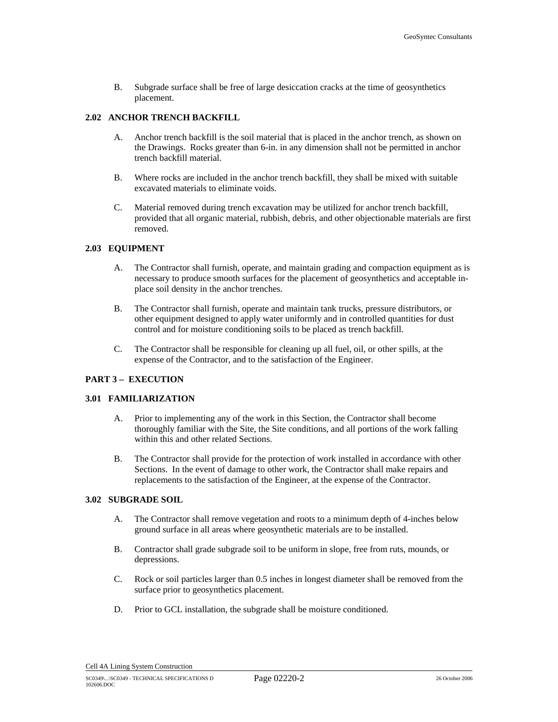B. Subgrade surface shall be free of large desiccation cracks at the time of geosynthetics placement.

#### **2.02 ANCHOR TRENCH BACKFILL**

- A. Anchor trench backfill is the soil material that is placed in the anchor trench, as shown on the Drawings. Rocks greater than 6-in. in any dimension shall not be permitted in anchor trench backfill material.
- B. Where rocks are included in the anchor trench backfill, they shall be mixed with suitable excavated materials to eliminate voids.
- C. Material removed during trench excavation may be utilized for anchor trench backfill, provided that all organic material, rubbish, debris, and other objectionable materials are first removed.

#### **2.03 EQUIPMENT**

- A. The Contractor shall furnish, operate, and maintain grading and compaction equipment as is necessary to produce smooth surfaces for the placement of geosynthetics and acceptable inplace soil density in the anchor trenches.
- B. The Contractor shall furnish, operate and maintain tank trucks, pressure distributors, or other equipment designed to apply water uniformly and in controlled quantities for dust control and for moisture conditioning soils to be placed as trench backfill.
- C. The Contractor shall be responsible for cleaning up all fuel, oil, or other spills, at the expense of the Contractor, and to the satisfaction of the Engineer.

#### **PART 3 – EXECUTION**

#### **3.01 FAMILIARIZATION**

- A. Prior to implementing any of the work in this Section, the Contractor shall become thoroughly familiar with the Site, the Site conditions, and all portions of the work falling within this and other related Sections.
- B. The Contractor shall provide for the protection of work installed in accordance with other Sections. In the event of damage to other work, the Contractor shall make repairs and replacements to the satisfaction of the Engineer, at the expense of the Contractor.

#### **3.02 SUBGRADE SOIL**

- A. The Contractor shall remove vegetation and roots to a minimum depth of 4-inches below ground surface in all areas where geosynthetic materials are to be installed.
- B. Contractor shall grade subgrade soil to be uniform in slope, free from ruts, mounds, or depressions.
- C. Rock or soil particles larger than 0.5 inches in longest diameter shall be removed from the surface prior to geosynthetics placement.
- D. Prior to GCL installation, the subgrade shall be moisture conditioned.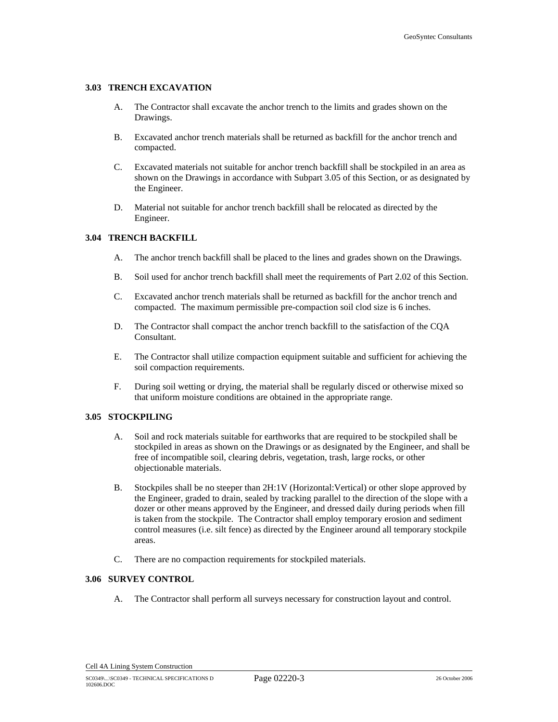#### **3.03 TRENCH EXCAVATION**

- A. The Contractor shall excavate the anchor trench to the limits and grades shown on the Drawings.
- B. Excavated anchor trench materials shall be returned as backfill for the anchor trench and compacted.
- C. Excavated materials not suitable for anchor trench backfill shall be stockpiled in an area as shown on the Drawings in accordance with Subpart 3.05 of this Section, or as designated by the Engineer.
- D. Material not suitable for anchor trench backfill shall be relocated as directed by the Engineer.

# **3.04 TRENCH BACKFILL**

- A. The anchor trench backfill shall be placed to the lines and grades shown on the Drawings.
- B. Soil used for anchor trench backfill shall meet the requirements of Part 2.02 of this Section.
- C. Excavated anchor trench materials shall be returned as backfill for the anchor trench and compacted. The maximum permissible pre-compaction soil clod size is 6 inches.
- D. The Contractor shall compact the anchor trench backfill to the satisfaction of the CQA Consultant.
- E. The Contractor shall utilize compaction equipment suitable and sufficient for achieving the soil compaction requirements.
- F. During soil wetting or drying, the material shall be regularly disced or otherwise mixed so that uniform moisture conditions are obtained in the appropriate range.

#### **3.05 STOCKPILING**

- A. Soil and rock materials suitable for earthworks that are required to be stockpiled shall be stockpiled in areas as shown on the Drawings or as designated by the Engineer, and shall be free of incompatible soil, clearing debris, vegetation, trash, large rocks, or other objectionable materials.
- B. Stockpiles shall be no steeper than 2H:1V (Horizontal:Vertical) or other slope approved by the Engineer, graded to drain, sealed by tracking parallel to the direction of the slope with a dozer or other means approved by the Engineer, and dressed daily during periods when fill is taken from the stockpile. The Contractor shall employ temporary erosion and sediment control measures (i.e. silt fence) as directed by the Engineer around all temporary stockpile areas.
- C. There are no compaction requirements for stockpiled materials.

#### **3.06 SURVEY CONTROL**

A. The Contractor shall perform all surveys necessary for construction layout and control.

Cell 4A Lining System Construction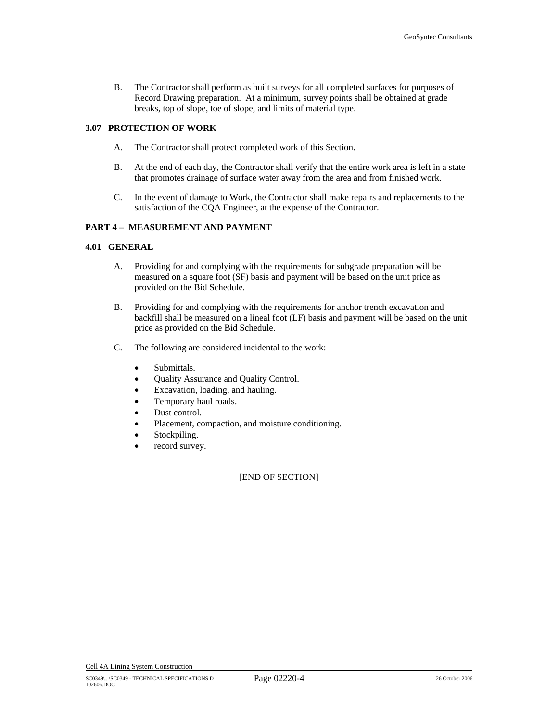B. The Contractor shall perform as built surveys for all completed surfaces for purposes of Record Drawing preparation. At a minimum, survey points shall be obtained at grade breaks, top of slope, toe of slope, and limits of material type.

#### **3.07 PROTECTION OF WORK**

- A. The Contractor shall protect completed work of this Section.
- B. At the end of each day, the Contractor shall verify that the entire work area is left in a state that promotes drainage of surface water away from the area and from finished work.
- C. In the event of damage to Work, the Contractor shall make repairs and replacements to the satisfaction of the CQA Engineer, at the expense of the Contractor.

#### **PART 4 – MEASUREMENT AND PAYMENT**

#### **4.01 GENERAL**

- A. Providing for and complying with the requirements for subgrade preparation will be measured on a square foot (SF) basis and payment will be based on the unit price as provided on the Bid Schedule.
- B. Providing for and complying with the requirements for anchor trench excavation and backfill shall be measured on a lineal foot (LF) basis and payment will be based on the unit price as provided on the Bid Schedule.
- C. The following are considered incidental to the work:
	- Submittals.
	- Quality Assurance and Quality Control.
	- Excavation, loading, and hauling.
	- Temporary haul roads.
	- Dust control.
	- Placement, compaction, and moisture conditioning.
	- Stockpiling.
	- record survey.

#### [END OF SECTION]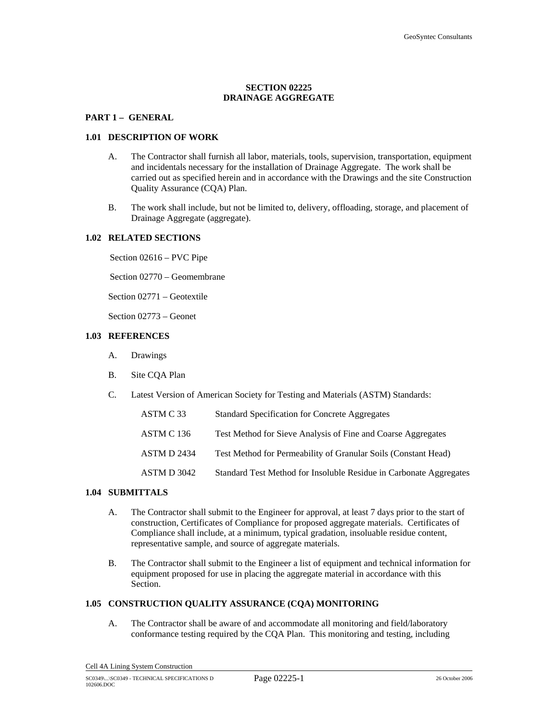#### **SECTION 02225 DRAINAGE AGGREGATE**

#### **PART 1 – GENERAL**

#### **1.01 DESCRIPTION OF WORK**

- A. The Contractor shall furnish all labor, materials, tools, supervision, transportation, equipment and incidentals necessary for the installation of Drainage Aggregate. The work shall be carried out as specified herein and in accordance with the Drawings and the site Construction Quality Assurance (CQA) Plan.
- B. The work shall include, but not be limited to, delivery, offloading, storage, and placement of Drainage Aggregate (aggregate).

#### **1.02 RELATED SECTIONS**

Section 02616 – PVC Pipe

Section 02770 – Geomembrane

Section 02771 – Geotextile

Section 02773 – Geonet

#### **1.03 REFERENCES**

- A. Drawings
- B. Site CQA Plan
- C. Latest Version of American Society for Testing and Materials (ASTM) Standards:

| ASTM C 33   | Standard Specification for Concrete Aggregates                     |
|-------------|--------------------------------------------------------------------|
| ASTM C 136  | Test Method for Sieve Analysis of Fine and Coarse Aggregates       |
| ASTM D 2434 | Test Method for Permeability of Granular Soils (Constant Head)     |
| ASTM D 3042 | Standard Test Method for Insoluble Residue in Carbonate Aggregates |

#### **1.04 SUBMITTALS**

- A. The Contractor shall submit to the Engineer for approval, at least 7 days prior to the start of construction, Certificates of Compliance for proposed aggregate materials. Certificates of Compliance shall include, at a minimum, typical gradation, insoluable residue content, representative sample, and source of aggregate materials.
- B. The Contractor shall submit to the Engineer a list of equipment and technical information for equipment proposed for use in placing the aggregate material in accordance with this Section.

#### **1.05 CONSTRUCTION QUALITY ASSURANCE (CQA) MONITORING**

A. The Contractor shall be aware of and accommodate all monitoring and field/laboratory conformance testing required by the CQA Plan. This monitoring and testing, including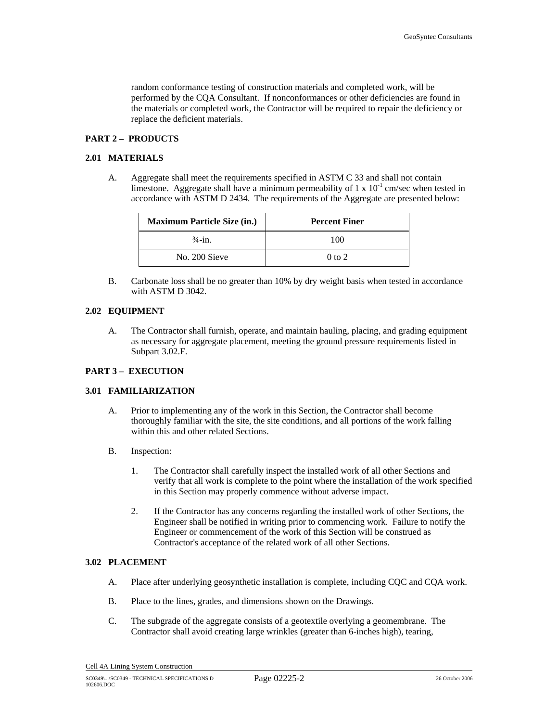random conformance testing of construction materials and completed work, will be performed by the CQA Consultant. If nonconformances or other deficiencies are found in the materials or completed work, the Contractor will be required to repair the deficiency or replace the deficient materials.

#### **PART 2 – PRODUCTS**

#### **2.01 MATERIALS**

A. Aggregate shall meet the requirements specified in ASTM C 33 and shall not contain limestone. Aggregate shall have a minimum permeability of 1 x  $10^{-1}$  cm/sec when tested in accordance with ASTM D 2434. The requirements of the Aggregate are presented below:

| <b>Maximum Particle Size (in.)</b> | <b>Percent Finer</b> |
|------------------------------------|----------------------|
| $\frac{3}{4}$ -in.                 | 100                  |
| No. 200 Sieve                      | $0$ to $2$           |

B. Carbonate loss shall be no greater than 10% by dry weight basis when tested in accordance with ASTM D 3042.

#### **2.02 EQUIPMENT**

A. The Contractor shall furnish, operate, and maintain hauling, placing, and grading equipment as necessary for aggregate placement, meeting the ground pressure requirements listed in Subpart 3.02.F.

#### **PART 3 – EXECUTION**

#### **3.01 FAMILIARIZATION**

- A. Prior to implementing any of the work in this Section, the Contractor shall become thoroughly familiar with the site, the site conditions, and all portions of the work falling within this and other related Sections.
- B. Inspection:
	- 1. The Contractor shall carefully inspect the installed work of all other Sections and verify that all work is complete to the point where the installation of the work specified in this Section may properly commence without adverse impact.
	- 2. If the Contractor has any concerns regarding the installed work of other Sections, the Engineer shall be notified in writing prior to commencing work. Failure to notify the Engineer or commencement of the work of this Section will be construed as Contractor's acceptance of the related work of all other Sections.

# **3.02 PLACEMENT**

- A. Place after underlying geosynthetic installation is complete, including CQC and CQA work.
- B. Place to the lines, grades, and dimensions shown on the Drawings.
- C. The subgrade of the aggregate consists of a geotextile overlying a geomembrane. The Contractor shall avoid creating large wrinkles (greater than 6-inches high), tearing,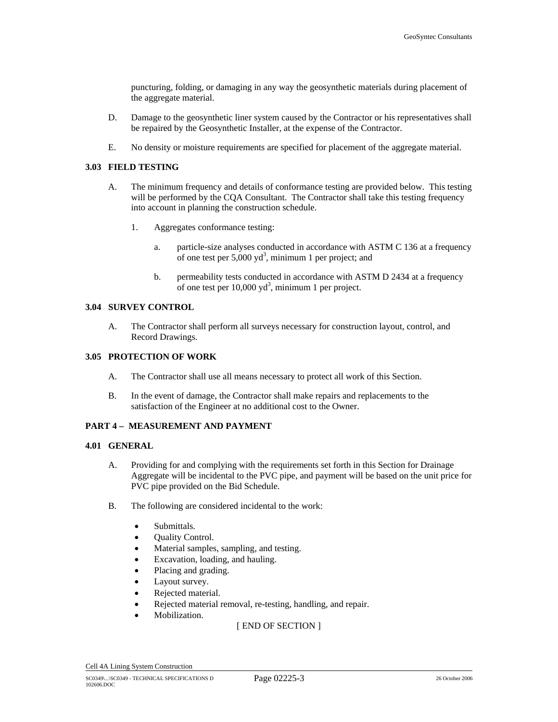puncturing, folding, or damaging in any way the geosynthetic materials during placement of the aggregate material.

- D. Damage to the geosynthetic liner system caused by the Contractor or his representatives shall be repaired by the Geosynthetic Installer, at the expense of the Contractor.
- E. No density or moisture requirements are specified for placement of the aggregate material.

#### **3.03 FIELD TESTING**

- A. The minimum frequency and details of conformance testing are provided below. This testing will be performed by the CQA Consultant. The Contractor shall take this testing frequency into account in planning the construction schedule.
	- 1. Aggregates conformance testing:
		- a. particle-size analyses conducted in accordance with ASTM C 136 at a frequency of one test per  $5,000 \text{ yd}^3$ , minimum 1 per project; and
		- b. permeability tests conducted in accordance with ASTM D 2434 at a frequency of one test per  $10,000 \text{ yd}^3$ , minimum 1 per project.

#### **3.04 SURVEY CONTROL**

A. The Contractor shall perform all surveys necessary for construction layout, control, and Record Drawings.

#### **3.05 PROTECTION OF WORK**

- A. The Contractor shall use all means necessary to protect all work of this Section.
- B. In the event of damage, the Contractor shall make repairs and replacements to the satisfaction of the Engineer at no additional cost to the Owner.

#### **PART 4 – MEASUREMENT AND PAYMENT**

#### **4.01 GENERAL**

- A. Providing for and complying with the requirements set forth in this Section for Drainage Aggregate will be incidental to the PVC pipe, and payment will be based on the unit price for PVC pipe provided on the Bid Schedule.
- B. The following are considered incidental to the work:
	- Submittals.
	- Quality Control.
	- Material samples, sampling, and testing.
	- Excavation, loading, and hauling.
	- Placing and grading.
	- Layout survey.
	- Rejected material.
	- Rejected material removal, re-testing, handling, and repair.
	- Mobilization.

[ END OF SECTION ]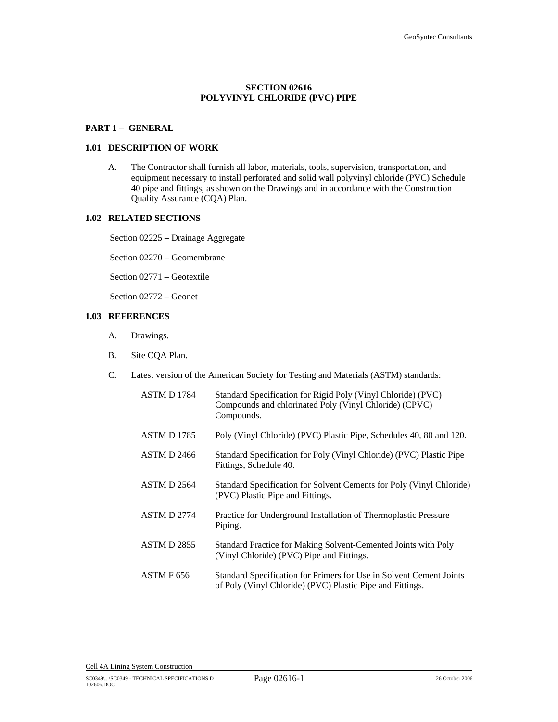## **SECTION 02616 POLYVINYL CHLORIDE (PVC) PIPE**

#### **PART 1 – GENERAL**

#### **1.01 DESCRIPTION OF WORK**

A. The Contractor shall furnish all labor, materials, tools, supervision, transportation, and equipment necessary to install perforated and solid wall polyvinyl chloride (PVC) Schedule 40 pipe and fittings, as shown on the Drawings and in accordance with the Construction Quality Assurance (CQA) Plan.

# **1.02 RELATED SECTIONS**

Section 02225 – Drainage Aggregate

Section 02270 – Geomembrane

Section 02771 – Geotextile

Section 02772 – Geonet

# **1.03 REFERENCES**

- A. Drawings.
- B. Site CQA Plan.
- C. Latest version of the American Society for Testing and Materials (ASTM) standards:

| ASTM D 1784        | Standard Specification for Rigid Poly (Vinyl Chloride) (PVC)<br>Compounds and chlorinated Poly (Vinyl Chloride) (CPVC)<br>Compounds. |
|--------------------|--------------------------------------------------------------------------------------------------------------------------------------|
| <b>ASTM D 1785</b> | Poly (Vinyl Chloride) (PVC) Plastic Pipe, Schedules 40, 80 and 120.                                                                  |
| <b>ASTM D 2466</b> | Standard Specification for Poly (Vinyl Chloride) (PVC) Plastic Pipe<br>Fittings, Schedule 40.                                        |
| ASTM D 2564        | Standard Specification for Solvent Cements for Poly (Vinyl Chloride)<br>(PVC) Plastic Pipe and Fittings.                             |
| ASTM D 2774        | Practice for Underground Installation of Thermoplastic Pressure<br>Piping.                                                           |
| <b>ASTM D 2855</b> | Standard Practice for Making Solvent-Cemented Joints with Poly<br>(Vinyl Chloride) (PVC) Pipe and Fittings.                          |
| ASTM F 656         | Standard Specification for Primers for Use in Solvent Cement Joints<br>of Poly (Vinyl Chloride) (PVC) Plastic Pipe and Fittings.     |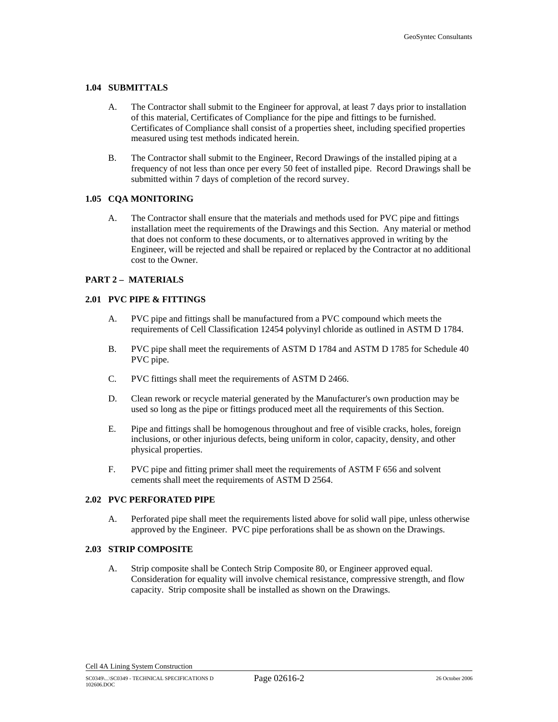#### **1.04 SUBMITTALS**

- A. The Contractor shall submit to the Engineer for approval, at least 7 days prior to installation of this material, Certificates of Compliance for the pipe and fittings to be furnished. Certificates of Compliance shall consist of a properties sheet, including specified properties measured using test methods indicated herein.
- B. The Contractor shall submit to the Engineer, Record Drawings of the installed piping at a frequency of not less than once per every 50 feet of installed pipe. Record Drawings shall be submitted within 7 days of completion of the record survey.

### **1.05 CQA MONITORING**

A. The Contractor shall ensure that the materials and methods used for PVC pipe and fittings installation meet the requirements of the Drawings and this Section. Any material or method that does not conform to these documents, or to alternatives approved in writing by the Engineer, will be rejected and shall be repaired or replaced by the Contractor at no additional cost to the Owner.

## **PART 2 – MATERIALS**

### **2.01 PVC PIPE & FITTINGS**

- A. PVC pipe and fittings shall be manufactured from a PVC compound which meets the requirements of Cell Classification 12454 polyvinyl chloride as outlined in ASTM D 1784.
- B. PVC pipe shall meet the requirements of ASTM D 1784 and ASTM D 1785 for Schedule 40 PVC pipe.
- C. PVC fittings shall meet the requirements of ASTM D 2466.
- D. Clean rework or recycle material generated by the Manufacturer's own production may be used so long as the pipe or fittings produced meet all the requirements of this Section.
- E. Pipe and fittings shall be homogenous throughout and free of visible cracks, holes, foreign inclusions, or other injurious defects, being uniform in color, capacity, density, and other physical properties.
- F. PVC pipe and fitting primer shall meet the requirements of ASTM F 656 and solvent cements shall meet the requirements of ASTM D 2564.

### **2.02 PVC PERFORATED PIPE**

A. Perforated pipe shall meet the requirements listed above for solid wall pipe, unless otherwise approved by the Engineer. PVC pipe perforations shall be as shown on the Drawings.

#### **2.03 STRIP COMPOSITE**

A. Strip composite shall be Contech Strip Composite 80, or Engineer approved equal. Consideration for equality will involve chemical resistance, compressive strength, and flow capacity. Strip composite shall be installed as shown on the Drawings.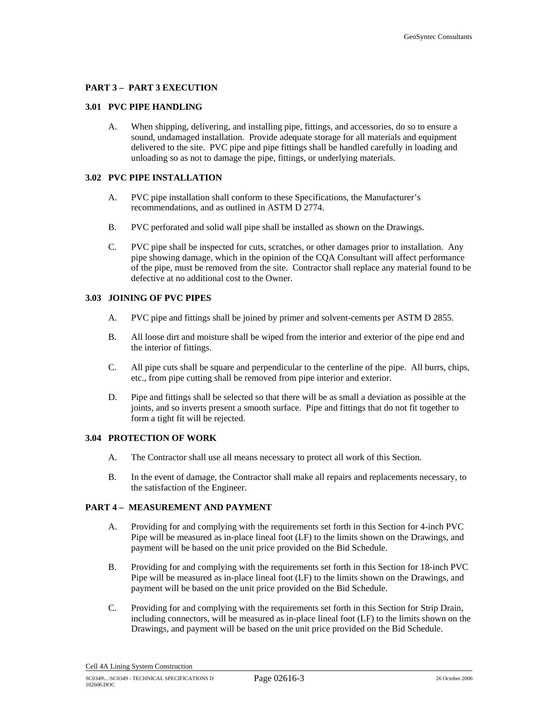#### **PART 3 – PART 3 EXECUTION**

#### **3.01 PVC PIPE HANDLING**

A. When shipping, delivering, and installing pipe, fittings, and accessories, do so to ensure a sound, undamaged installation. Provide adequate storage for all materials and equipment delivered to the site. PVC pipe and pipe fittings shall be handled carefully in loading and unloading so as not to damage the pipe, fittings, or underlying materials.

#### **3.02 PVC PIPE INSTALLATION**

- A. PVC pipe installation shall conform to these Specifications, the Manufacturer's recommendations, and as outlined in ASTM D 2774.
- B. PVC perforated and solid wall pipe shall be installed as shown on the Drawings.
- C. PVC pipe shall be inspected for cuts, scratches, or other damages prior to installation. Any pipe showing damage, which in the opinion of the CQA Consultant will affect performance of the pipe, must be removed from the site. Contractor shall replace any material found to be defective at no additional cost to the Owner.

# **3.03 JOINING OF PVC PIPES**

- A. PVC pipe and fittings shall be joined by primer and solvent-cements per ASTM D 2855.
- B. All loose dirt and moisture shall be wiped from the interior and exterior of the pipe end and the interior of fittings.
- C. All pipe cuts shall be square and perpendicular to the centerline of the pipe. All burrs, chips, etc., from pipe cutting shall be removed from pipe interior and exterior.
- D. Pipe and fittings shall be selected so that there will be as small a deviation as possible at the joints, and so inverts present a smooth surface. Pipe and fittings that do not fit together to form a tight fit will be rejected.

#### **3.04 PROTECTION OF WORK**

- A. The Contractor shall use all means necessary to protect all work of this Section.
- B. In the event of damage, the Contractor shall make all repairs and replacements necessary, to the satisfaction of the Engineer.

# **PART 4 – MEASUREMENT AND PAYMENT**

- A. Providing for and complying with the requirements set forth in this Section for 4-inch PVC Pipe will be measured as in-place lineal foot (LF) to the limits shown on the Drawings, and payment will be based on the unit price provided on the Bid Schedule.
- B. Providing for and complying with the requirements set forth in this Section for 18-inch PVC Pipe will be measured as in-place lineal foot (LF) to the limits shown on the Drawings, and payment will be based on the unit price provided on the Bid Schedule.
- C. Providing for and complying with the requirements set forth in this Section for Strip Drain, including connectors, will be measured as in-place lineal foot (LF) to the limits shown on the Drawings, and payment will be based on the unit price provided on the Bid Schedule.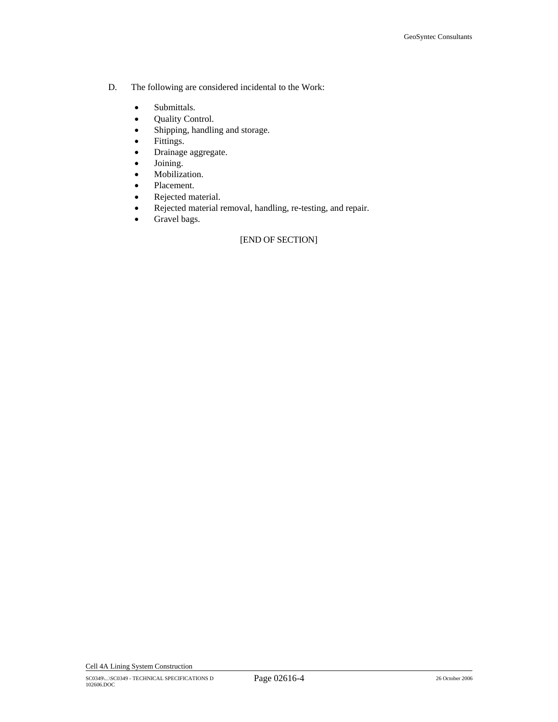- D. The following are considered incidental to the Work:
	- Submittals.
	- Quality Control.
	- Shipping, handling and storage.
	- Fittings.
	- Drainage aggregate.
	- Joining.
	- Mobilization.
	- Placement.
	- Rejected material.
	- Rejected material removal, handling, re-testing, and repair.
	- Gravel bags.

# [END OF SECTION]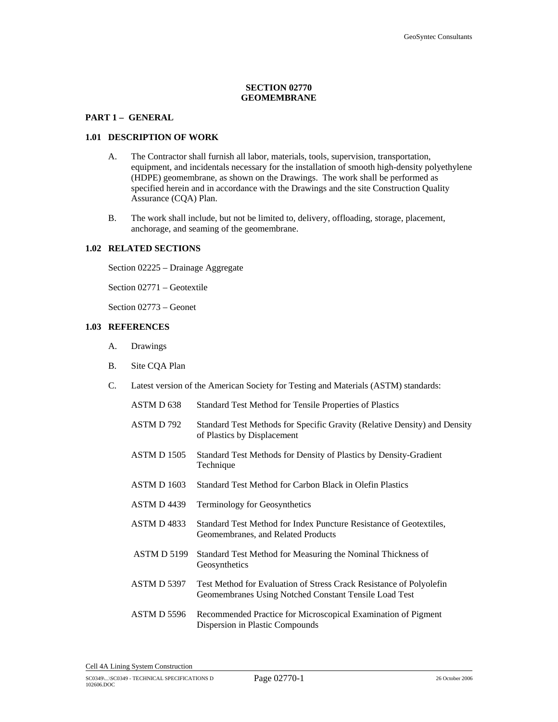# **SECTION 02770 GEOMEMBRANE**

# **PART 1 – GENERAL**

#### **1.01 DESCRIPTION OF WORK**

- A. The Contractor shall furnish all labor, materials, tools, supervision, transportation, equipment, and incidentals necessary for the installation of smooth high-density polyethylene (HDPE) geomembrane, as shown on the Drawings. The work shall be performed as specified herein and in accordance with the Drawings and the site Construction Quality Assurance (CQA) Plan.
- B. The work shall include, but not be limited to, delivery, offloading, storage, placement, anchorage, and seaming of the geomembrane.

#### **1.02 RELATED SECTIONS**

Section 02225 – Drainage Aggregate

Section 02771 – Geotextile

Section 02773 – Geonet

# **1.03 REFERENCES**

- A. Drawings
- B. Site CQA Plan
- C. Latest version of the American Society for Testing and Materials (ASTM) standards:

| ASTM D <sub>638</sub> | Standard Test Method for Tensile Properties of Plastics                                                                      |
|-----------------------|------------------------------------------------------------------------------------------------------------------------------|
| ASTM D 792            | Standard Test Methods for Specific Gravity (Relative Density) and Density<br>of Plastics by Displacement                     |
| ASTM D 1505           | Standard Test Methods for Density of Plastics by Density-Gradient<br>Technique                                               |
| <b>ASTM D 1603</b>    | Standard Test Method for Carbon Black in Olefin Plastics                                                                     |
| ASTM D4439            | <b>Terminology for Geosynthetics</b>                                                                                         |
| <b>ASTM D 4833</b>    | Standard Test Method for Index Puncture Resistance of Geotextiles,<br>Geomembranes, and Related Products                     |
| ASTM D 5199           | Standard Test Method for Measuring the Nominal Thickness of<br>Geosynthetics                                                 |
| <b>ASTM D 5397</b>    | Test Method for Evaluation of Stress Crack Resistance of Polyolefin<br>Geomembranes Using Notched Constant Tensile Load Test |
| ASTM D 5596           | Recommended Practice for Microscopical Examination of Pigment<br>Dispersion in Plastic Compounds                             |
|                       |                                                                                                                              |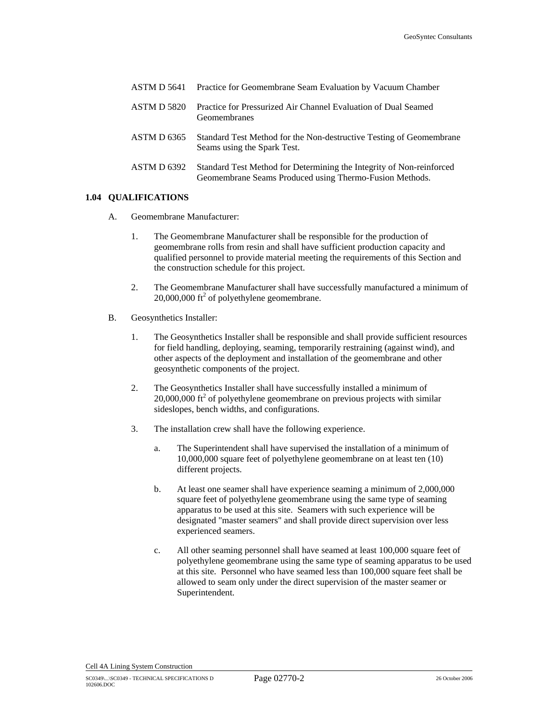|                    | <b>ASTM D 5641</b> Practice for Geomembrane Seam Evaluation by Vacuum Chamber                                                   |
|--------------------|---------------------------------------------------------------------------------------------------------------------------------|
| <b>ASTM D 5820</b> | Practice for Pressurized Air Channel Evaluation of Dual Seamed<br>Geomembranes                                                  |
| ASTM D 6365        | Standard Test Method for the Non-destructive Testing of Geomembrane<br>Seams using the Spark Test.                              |
| ASTM D 6392        | Standard Test Method for Determining the Integrity of Non-reinforced<br>Geomembrane Seams Produced using Thermo-Fusion Methods. |

### **1.04 QUALIFICATIONS**

- A. Geomembrane Manufacturer:
	- 1. The Geomembrane Manufacturer shall be responsible for the production of geomembrane rolls from resin and shall have sufficient production capacity and qualified personnel to provide material meeting the requirements of this Section and the construction schedule for this project.
	- 2. The Geomembrane Manufacturer shall have successfully manufactured a minimum of  $20,000,000$  ft<sup>2</sup> of polyethylene geomembrane.
- B. Geosynthetics Installer:
	- 1. The Geosynthetics Installer shall be responsible and shall provide sufficient resources for field handling, deploying, seaming, temporarily restraining (against wind), and other aspects of the deployment and installation of the geomembrane and other geosynthetic components of the project.
	- 2. The Geosynthetics Installer shall have successfully installed a minimum of  $20,000,000$  ft<sup>2</sup> of polyethylene geomembrane on previous projects with similar sideslopes, bench widths, and configurations.
	- 3. The installation crew shall have the following experience.
		- a. The Superintendent shall have supervised the installation of a minimum of 10,000,000 square feet of polyethylene geomembrane on at least ten (10) different projects.
		- b. At least one seamer shall have experience seaming a minimum of 2,000,000 square feet of polyethylene geomembrane using the same type of seaming apparatus to be used at this site. Seamers with such experience will be designated "master seamers" and shall provide direct supervision over less experienced seamers.
		- c. All other seaming personnel shall have seamed at least 100,000 square feet of polyethylene geomembrane using the same type of seaming apparatus to be used at this site. Personnel who have seamed less than 100,000 square feet shall be allowed to seam only under the direct supervision of the master seamer or Superintendent.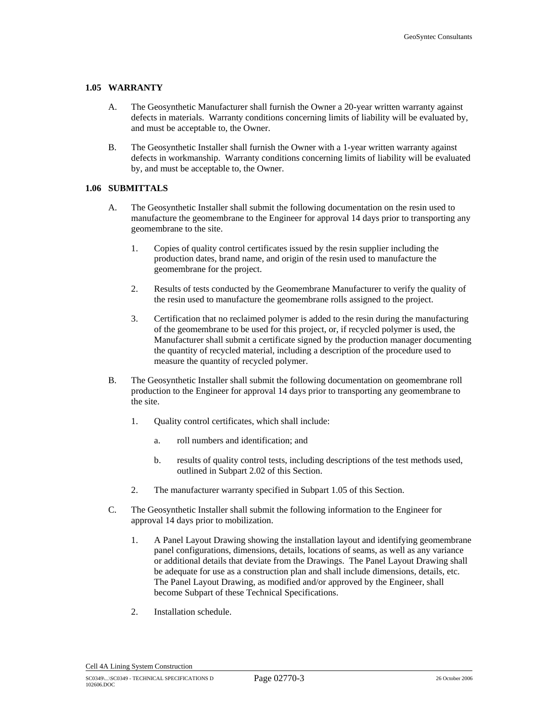#### **1.05 WARRANTY**

- A. The Geosynthetic Manufacturer shall furnish the Owner a 20-year written warranty against defects in materials. Warranty conditions concerning limits of liability will be evaluated by, and must be acceptable to, the Owner.
- B. The Geosynthetic Installer shall furnish the Owner with a 1-year written warranty against defects in workmanship. Warranty conditions concerning limits of liability will be evaluated by, and must be acceptable to, the Owner.

#### **1.06 SUBMITTALS**

- A. The Geosynthetic Installer shall submit the following documentation on the resin used to manufacture the geomembrane to the Engineer for approval 14 days prior to transporting any geomembrane to the site.
	- 1. Copies of quality control certificates issued by the resin supplier including the production dates, brand name, and origin of the resin used to manufacture the geomembrane for the project.
	- 2. Results of tests conducted by the Geomembrane Manufacturer to verify the quality of the resin used to manufacture the geomembrane rolls assigned to the project.
	- 3. Certification that no reclaimed polymer is added to the resin during the manufacturing of the geomembrane to be used for this project, or, if recycled polymer is used, the Manufacturer shall submit a certificate signed by the production manager documenting the quantity of recycled material, including a description of the procedure used to measure the quantity of recycled polymer.
- B. The Geosynthetic Installer shall submit the following documentation on geomembrane roll production to the Engineer for approval 14 days prior to transporting any geomembrane to the site.
	- 1. Quality control certificates, which shall include:
		- a. roll numbers and identification; and
		- b. results of quality control tests, including descriptions of the test methods used, outlined in Subpart 2.02 of this Section.
	- 2. The manufacturer warranty specified in Subpart 1.05 of this Section.
- C. The Geosynthetic Installer shall submit the following information to the Engineer for approval 14 days prior to mobilization.
	- 1. A Panel Layout Drawing showing the installation layout and identifying geomembrane panel configurations, dimensions, details, locations of seams, as well as any variance or additional details that deviate from the Drawings. The Panel Layout Drawing shall be adequate for use as a construction plan and shall include dimensions, details, etc. The Panel Layout Drawing, as modified and/or approved by the Engineer, shall become Subpart of these Technical Specifications.
	- 2. Installation schedule.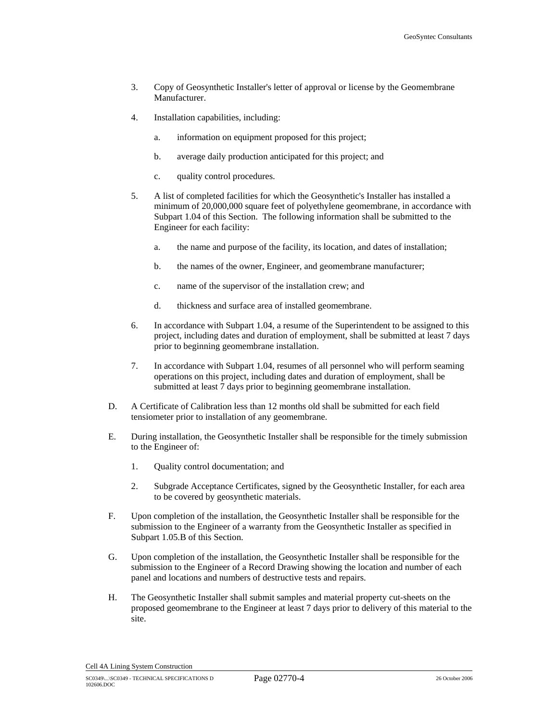- 3. Copy of Geosynthetic Installer's letter of approval or license by the Geomembrane Manufacturer.
- 4. Installation capabilities, including:
	- a. information on equipment proposed for this project;
	- b. average daily production anticipated for this project; and
	- c. quality control procedures.
- 5. A list of completed facilities for which the Geosynthetic's Installer has installed a minimum of 20,000,000 square feet of polyethylene geomembrane, in accordance with Subpart 1.04 of this Section. The following information shall be submitted to the Engineer for each facility:
	- a. the name and purpose of the facility, its location, and dates of installation;
	- b. the names of the owner, Engineer, and geomembrane manufacturer;
	- c. name of the supervisor of the installation crew; and
	- d. thickness and surface area of installed geomembrane.
- 6. In accordance with Subpart 1.04, a resume of the Superintendent to be assigned to this project, including dates and duration of employment, shall be submitted at least 7 days prior to beginning geomembrane installation.
- 7. In accordance with Subpart 1.04, resumes of all personnel who will perform seaming operations on this project, including dates and duration of employment, shall be submitted at least 7 days prior to beginning geomembrane installation.
- D. A Certificate of Calibration less than 12 months old shall be submitted for each field tensiometer prior to installation of any geomembrane.
- E. During installation, the Geosynthetic Installer shall be responsible for the timely submission to the Engineer of:
	- 1. Quality control documentation; and
	- 2. Subgrade Acceptance Certificates, signed by the Geosynthetic Installer, for each area to be covered by geosynthetic materials.
- F. Upon completion of the installation, the Geosynthetic Installer shall be responsible for the submission to the Engineer of a warranty from the Geosynthetic Installer as specified in Subpart 1.05.B of this Section.
- G. Upon completion of the installation, the Geosynthetic Installer shall be responsible for the submission to the Engineer of a Record Drawing showing the location and number of each panel and locations and numbers of destructive tests and repairs.
- H. The Geosynthetic Installer shall submit samples and material property cut-sheets on the proposed geomembrane to the Engineer at least 7 days prior to delivery of this material to the site.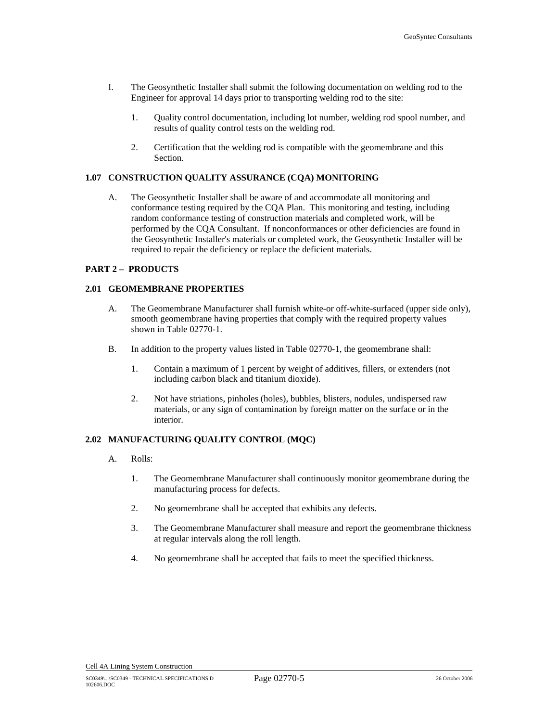- I. The Geosynthetic Installer shall submit the following documentation on welding rod to the Engineer for approval 14 days prior to transporting welding rod to the site:
	- 1. Quality control documentation, including lot number, welding rod spool number, and results of quality control tests on the welding rod.
	- 2. Certification that the welding rod is compatible with the geomembrane and this Section.

### **1.07 CONSTRUCTION QUALITY ASSURANCE (CQA) MONITORING**

A. The Geosynthetic Installer shall be aware of and accommodate all monitoring and conformance testing required by the CQA Plan. This monitoring and testing, including random conformance testing of construction materials and completed work, will be performed by the CQA Consultant. If nonconformances or other deficiencies are found in the Geosynthetic Installer's materials or completed work, the Geosynthetic Installer will be required to repair the deficiency or replace the deficient materials.

### **PART 2 – PRODUCTS**

### **2.01 GEOMEMBRANE PROPERTIES**

- A. The Geomembrane Manufacturer shall furnish white-or off-white-surfaced (upper side only), smooth geomembrane having properties that comply with the required property values shown in Table 02770-1.
- B. In addition to the property values listed in Table 02770-1, the geomembrane shall:
	- 1. Contain a maximum of 1 percent by weight of additives, fillers, or extenders (not including carbon black and titanium dioxide).
	- 2. Not have striations, pinholes (holes), bubbles, blisters, nodules, undispersed raw materials, or any sign of contamination by foreign matter on the surface or in the interior.

# **2.02 MANUFACTURING QUALITY CONTROL (MQC)**

- A. Rolls:
	- 1. The Geomembrane Manufacturer shall continuously monitor geomembrane during the manufacturing process for defects.
	- 2. No geomembrane shall be accepted that exhibits any defects.
	- 3. The Geomembrane Manufacturer shall measure and report the geomembrane thickness at regular intervals along the roll length.
	- 4. No geomembrane shall be accepted that fails to meet the specified thickness.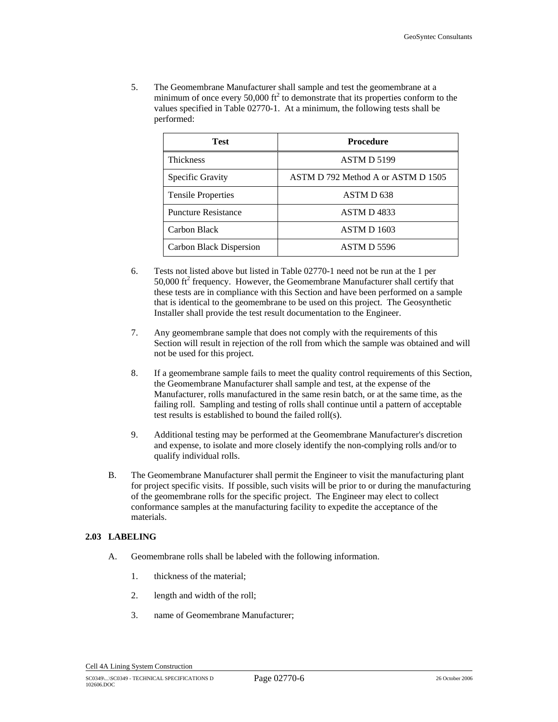5. The Geomembrane Manufacturer shall sample and test the geomembrane at a minimum of once every 50,000  $\text{ft}^2$  to demonstrate that its properties conform to the values specified in Table 02770-1. At a minimum, the following tests shall be performed:

| Test                       | Procedure                          |
|----------------------------|------------------------------------|
| <b>Thickness</b>           | ASTM D 5199                        |
| Specific Gravity           | ASTM D 792 Method A or ASTM D 1505 |
| <b>Tensile Properties</b>  | ASTM D <sub>638</sub>              |
| <b>Puncture Resistance</b> | ASTM D4833                         |
| Carbon Black               | ASTM D 1603                        |
| Carbon Black Dispersion    | ASTM D 5596                        |

- 6. Tests not listed above but listed in Table 02770-1 need not be run at the 1 per  $50,000$  ft<sup>2</sup> frequency. However, the Geomembrane Manufacturer shall certify that these tests are in compliance with this Section and have been performed on a sample that is identical to the geomembrane to be used on this project. The Geosynthetic Installer shall provide the test result documentation to the Engineer.
- 7. Any geomembrane sample that does not comply with the requirements of this Section will result in rejection of the roll from which the sample was obtained and will not be used for this project.
- 8. If a geomembrane sample fails to meet the quality control requirements of this Section, the Geomembrane Manufacturer shall sample and test, at the expense of the Manufacturer, rolls manufactured in the same resin batch, or at the same time, as the failing roll. Sampling and testing of rolls shall continue until a pattern of acceptable test results is established to bound the failed roll(s).
- 9. Additional testing may be performed at the Geomembrane Manufacturer's discretion and expense, to isolate and more closely identify the non-complying rolls and/or to qualify individual rolls.
- B. The Geomembrane Manufacturer shall permit the Engineer to visit the manufacturing plant for project specific visits. If possible, such visits will be prior to or during the manufacturing of the geomembrane rolls for the specific project. The Engineer may elect to collect conformance samples at the manufacturing facility to expedite the acceptance of the materials.

# **2.03 LABELING**

- A. Geomembrane rolls shall be labeled with the following information.
	- 1. thickness of the material;
	- 2. length and width of the roll;
	- 3. name of Geomembrane Manufacturer;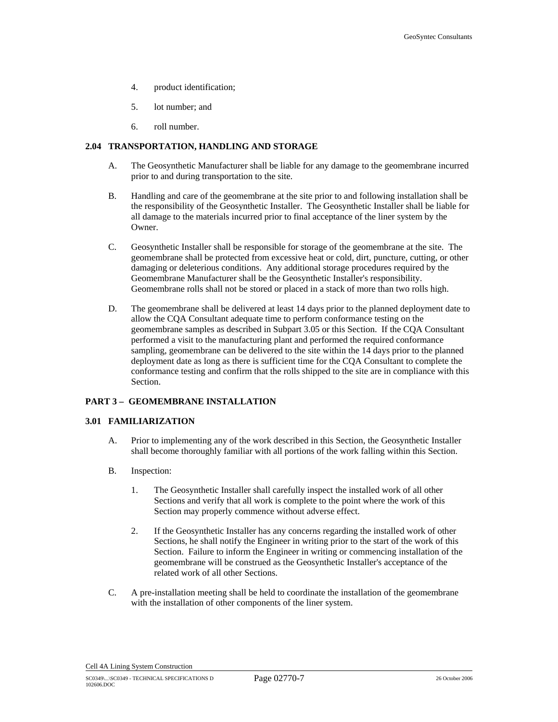- 4. product identification;
- 5. lot number; and
- 6. roll number.

### **2.04 TRANSPORTATION, HANDLING AND STORAGE**

- A. The Geosynthetic Manufacturer shall be liable for any damage to the geomembrane incurred prior to and during transportation to the site.
- B. Handling and care of the geomembrane at the site prior to and following installation shall be the responsibility of the Geosynthetic Installer. The Geosynthetic Installer shall be liable for all damage to the materials incurred prior to final acceptance of the liner system by the Owner.
- C. Geosynthetic Installer shall be responsible for storage of the geomembrane at the site. The geomembrane shall be protected from excessive heat or cold, dirt, puncture, cutting, or other damaging or deleterious conditions. Any additional storage procedures required by the Geomembrane Manufacturer shall be the Geosynthetic Installer's responsibility. Geomembrane rolls shall not be stored or placed in a stack of more than two rolls high.
- D. The geomembrane shall be delivered at least 14 days prior to the planned deployment date to allow the CQA Consultant adequate time to perform conformance testing on the geomembrane samples as described in Subpart 3.05 or this Section. If the CQA Consultant performed a visit to the manufacturing plant and performed the required conformance sampling, geomembrane can be delivered to the site within the 14 days prior to the planned deployment date as long as there is sufficient time for the CQA Consultant to complete the conformance testing and confirm that the rolls shipped to the site are in compliance with this Section.

### **PART 3 – GEOMEMBRANE INSTALLATION**

#### **3.01 FAMILIARIZATION**

- A. Prior to implementing any of the work described in this Section, the Geosynthetic Installer shall become thoroughly familiar with all portions of the work falling within this Section.
- B. Inspection:
	- 1. The Geosynthetic Installer shall carefully inspect the installed work of all other Sections and verify that all work is complete to the point where the work of this Section may properly commence without adverse effect.
	- 2. If the Geosynthetic Installer has any concerns regarding the installed work of other Sections, he shall notify the Engineer in writing prior to the start of the work of this Section. Failure to inform the Engineer in writing or commencing installation of the geomembrane will be construed as the Geosynthetic Installer's acceptance of the related work of all other Sections.
- C. A pre-installation meeting shall be held to coordinate the installation of the geomembrane with the installation of other components of the liner system.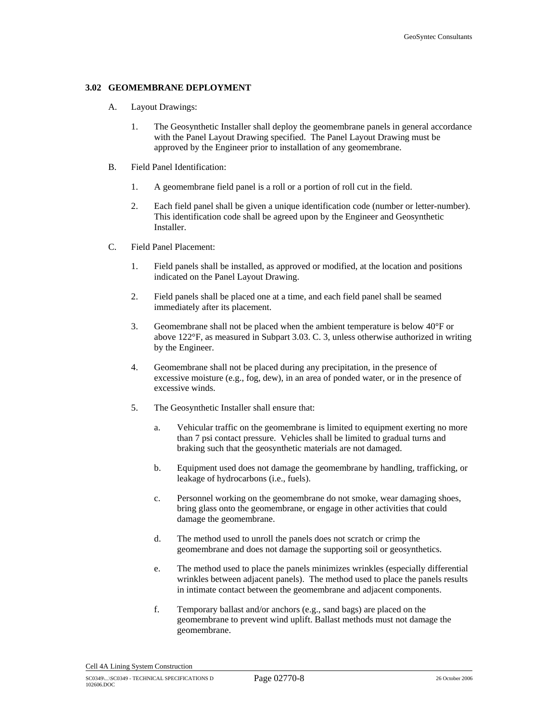# **3.02 GEOMEMBRANE DEPLOYMENT**

- A. Layout Drawings:
	- 1. The Geosynthetic Installer shall deploy the geomembrane panels in general accordance with the Panel Layout Drawing specified. The Panel Layout Drawing must be approved by the Engineer prior to installation of any geomembrane.
- B. Field Panel Identification:
	- 1. A geomembrane field panel is a roll or a portion of roll cut in the field.
	- 2. Each field panel shall be given a unique identification code (number or letter-number). This identification code shall be agreed upon by the Engineer and Geosynthetic Installer.
- C. Field Panel Placement:
	- 1. Field panels shall be installed, as approved or modified, at the location and positions indicated on the Panel Layout Drawing.
	- 2. Field panels shall be placed one at a time, and each field panel shall be seamed immediately after its placement.
	- 3. Geomembrane shall not be placed when the ambient temperature is below 40°F or above 122°F, as measured in Subpart 3.03. C. 3, unless otherwise authorized in writing by the Engineer.
	- 4. Geomembrane shall not be placed during any precipitation, in the presence of excessive moisture (e.g., fog, dew), in an area of ponded water, or in the presence of excessive winds.
	- 5. The Geosynthetic Installer shall ensure that:
		- a. Vehicular traffic on the geomembrane is limited to equipment exerting no more than 7 psi contact pressure. Vehicles shall be limited to gradual turns and braking such that the geosynthetic materials are not damaged.
		- b. Equipment used does not damage the geomembrane by handling, trafficking, or leakage of hydrocarbons (i.e., fuels).
		- c. Personnel working on the geomembrane do not smoke, wear damaging shoes, bring glass onto the geomembrane, or engage in other activities that could damage the geomembrane.
		- d. The method used to unroll the panels does not scratch or crimp the geomembrane and does not damage the supporting soil or geosynthetics.
		- e. The method used to place the panels minimizes wrinkles (especially differential wrinkles between adjacent panels). The method used to place the panels results in intimate contact between the geomembrane and adjacent components.
		- f. Temporary ballast and/or anchors (e.g., sand bags) are placed on the geomembrane to prevent wind uplift. Ballast methods must not damage the geomembrane.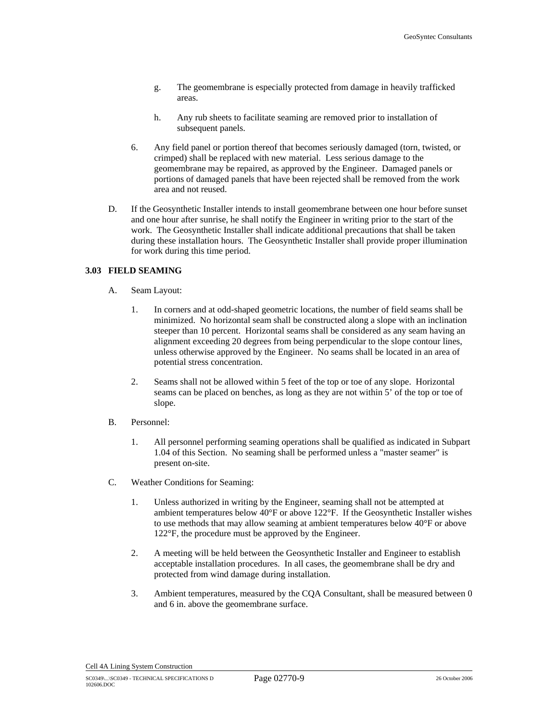- g. The geomembrane is especially protected from damage in heavily trafficked areas.
- h. Any rub sheets to facilitate seaming are removed prior to installation of subsequent panels.
- 6. Any field panel or portion thereof that becomes seriously damaged (torn, twisted, or crimped) shall be replaced with new material. Less serious damage to the geomembrane may be repaired, as approved by the Engineer. Damaged panels or portions of damaged panels that have been rejected shall be removed from the work area and not reused.
- D. If the Geosynthetic Installer intends to install geomembrane between one hour before sunset and one hour after sunrise, he shall notify the Engineer in writing prior to the start of the work. The Geosynthetic Installer shall indicate additional precautions that shall be taken during these installation hours. The Geosynthetic Installer shall provide proper illumination for work during this time period.

# **3.03 FIELD SEAMING**

- A. Seam Layout:
	- 1. In corners and at odd-shaped geometric locations, the number of field seams shall be minimized. No horizontal seam shall be constructed along a slope with an inclination steeper than 10 percent. Horizontal seams shall be considered as any seam having an alignment exceeding 20 degrees from being perpendicular to the slope contour lines, unless otherwise approved by the Engineer. No seams shall be located in an area of potential stress concentration.
	- 2. Seams shall not be allowed within 5 feet of the top or toe of any slope. Horizontal seams can be placed on benches, as long as they are not within 5' of the top or toe of slope.
- B. Personnel:
	- 1. All personnel performing seaming operations shall be qualified as indicated in Subpart 1.04 of this Section. No seaming shall be performed unless a "master seamer" is present on-site.
- C. Weather Conditions for Seaming:
	- 1. Unless authorized in writing by the Engineer, seaming shall not be attempted at ambient temperatures below  $40^{\circ}$ F or above 122 $^{\circ}$ F. If the Geosynthetic Installer wishes to use methods that may allow seaming at ambient temperatures below 40°F or above 122°F, the procedure must be approved by the Engineer.
	- 2. A meeting will be held between the Geosynthetic Installer and Engineer to establish acceptable installation procedures. In all cases, the geomembrane shall be dry and protected from wind damage during installation.
	- 3. Ambient temperatures, measured by the CQA Consultant, shall be measured between 0 and 6 in. above the geomembrane surface.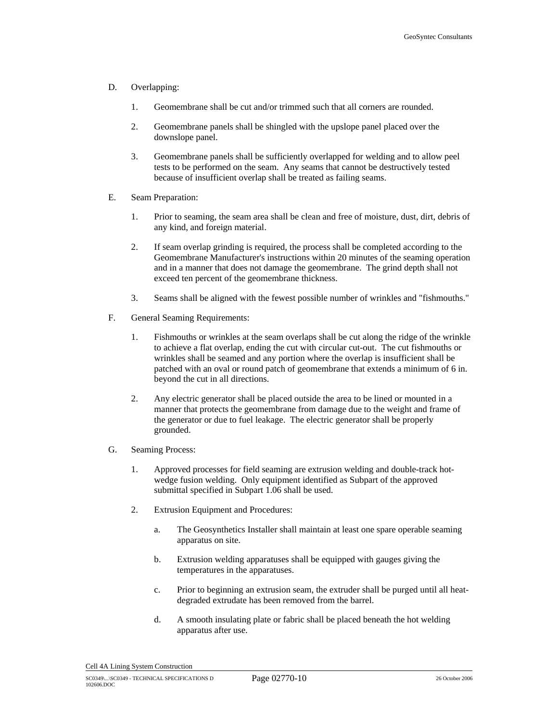#### D. Overlapping:

- 1. Geomembrane shall be cut and/or trimmed such that all corners are rounded.
- 2. Geomembrane panels shall be shingled with the upslope panel placed over the downslope panel.
- 3. Geomembrane panels shall be sufficiently overlapped for welding and to allow peel tests to be performed on the seam. Any seams that cannot be destructively tested because of insufficient overlap shall be treated as failing seams.
- E. Seam Preparation:
	- 1. Prior to seaming, the seam area shall be clean and free of moisture, dust, dirt, debris of any kind, and foreign material.
	- 2. If seam overlap grinding is required, the process shall be completed according to the Geomembrane Manufacturer's instructions within 20 minutes of the seaming operation and in a manner that does not damage the geomembrane. The grind depth shall not exceed ten percent of the geomembrane thickness.
	- 3. Seams shall be aligned with the fewest possible number of wrinkles and "fishmouths."
- F. General Seaming Requirements:
	- 1. Fishmouths or wrinkles at the seam overlaps shall be cut along the ridge of the wrinkle to achieve a flat overlap, ending the cut with circular cut-out. The cut fishmouths or wrinkles shall be seamed and any portion where the overlap is insufficient shall be patched with an oval or round patch of geomembrane that extends a minimum of 6 in. beyond the cut in all directions.
	- 2. Any electric generator shall be placed outside the area to be lined or mounted in a manner that protects the geomembrane from damage due to the weight and frame of the generator or due to fuel leakage. The electric generator shall be properly grounded.
- G. Seaming Process:
	- 1. Approved processes for field seaming are extrusion welding and double-track hotwedge fusion welding. Only equipment identified as Subpart of the approved submittal specified in Subpart 1.06 shall be used.
	- 2. Extrusion Equipment and Procedures:
		- a. The Geosynthetics Installer shall maintain at least one spare operable seaming apparatus on site.
		- b. Extrusion welding apparatuses shall be equipped with gauges giving the temperatures in the apparatuses.
		- c. Prior to beginning an extrusion seam, the extruder shall be purged until all heatdegraded extrudate has been removed from the barrel.
		- d. A smooth insulating plate or fabric shall be placed beneath the hot welding apparatus after use.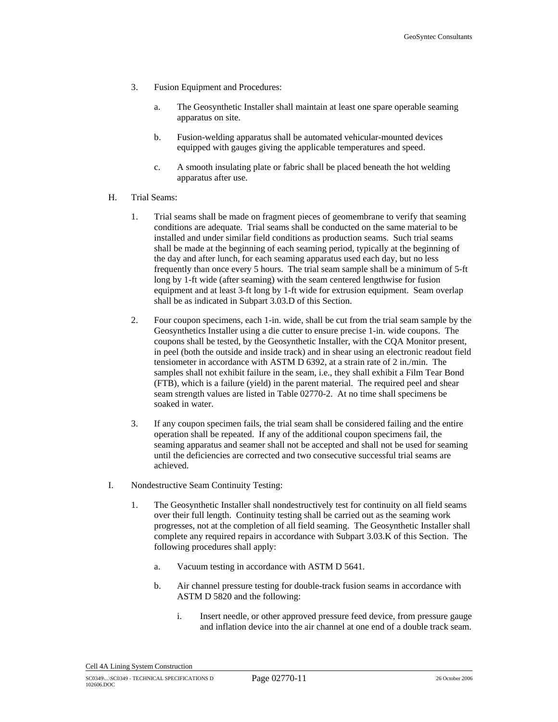- 3. Fusion Equipment and Procedures:
	- a. The Geosynthetic Installer shall maintain at least one spare operable seaming apparatus on site.
	- b. Fusion-welding apparatus shall be automated vehicular-mounted devices equipped with gauges giving the applicable temperatures and speed.
	- c. A smooth insulating plate or fabric shall be placed beneath the hot welding apparatus after use.
- H. Trial Seams:
	- 1. Trial seams shall be made on fragment pieces of geomembrane to verify that seaming conditions are adequate. Trial seams shall be conducted on the same material to be installed and under similar field conditions as production seams. Such trial seams shall be made at the beginning of each seaming period, typically at the beginning of the day and after lunch, for each seaming apparatus used each day, but no less frequently than once every 5 hours. The trial seam sample shall be a minimum of 5-ft long by 1-ft wide (after seaming) with the seam centered lengthwise for fusion equipment and at least 3-ft long by 1-ft wide for extrusion equipment. Seam overlap shall be as indicated in Subpart 3.03.D of this Section.
	- 2. Four coupon specimens, each 1-in. wide, shall be cut from the trial seam sample by the Geosynthetics Installer using a die cutter to ensure precise 1-in. wide coupons. The coupons shall be tested, by the Geosynthetic Installer, with the CQA Monitor present, in peel (both the outside and inside track) and in shear using an electronic readout field tensiometer in accordance with ASTM D 6392, at a strain rate of 2 in./min. The samples shall not exhibit failure in the seam, i.e., they shall exhibit a Film Tear Bond (FTB), which is a failure (yield) in the parent material. The required peel and shear seam strength values are listed in Table 02770-2. At no time shall specimens be soaked in water.
	- 3. If any coupon specimen fails, the trial seam shall be considered failing and the entire operation shall be repeated. If any of the additional coupon specimens fail, the seaming apparatus and seamer shall not be accepted and shall not be used for seaming until the deficiencies are corrected and two consecutive successful trial seams are achieved.
- I. Nondestructive Seam Continuity Testing:
	- 1. The Geosynthetic Installer shall nondestructively test for continuity on all field seams over their full length. Continuity testing shall be carried out as the seaming work progresses, not at the completion of all field seaming. The Geosynthetic Installer shall complete any required repairs in accordance with Subpart 3.03.K of this Section. The following procedures shall apply:
		- a. Vacuum testing in accordance with ASTM D 5641.
		- b. Air channel pressure testing for double-track fusion seams in accordance with ASTM D 5820 and the following:
			- i. Insert needle, or other approved pressure feed device, from pressure gauge and inflation device into the air channel at one end of a double track seam.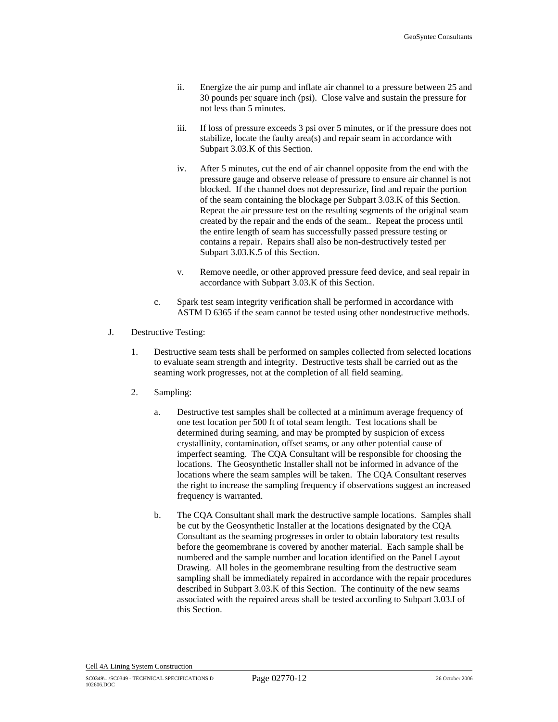- ii. Energize the air pump and inflate air channel to a pressure between 25 and 30 pounds per square inch (psi). Close valve and sustain the pressure for not less than 5 minutes.
- iii. If loss of pressure exceeds 3 psi over 5 minutes, or if the pressure does not stabilize, locate the faulty area(s) and repair seam in accordance with Subpart 3.03.K of this Section.
- iv. After 5 minutes, cut the end of air channel opposite from the end with the pressure gauge and observe release of pressure to ensure air channel is not blocked. If the channel does not depressurize, find and repair the portion of the seam containing the blockage per Subpart 3.03.K of this Section. Repeat the air pressure test on the resulting segments of the original seam created by the repair and the ends of the seam.. Repeat the process until the entire length of seam has successfully passed pressure testing or contains a repair. Repairs shall also be non-destructively tested per Subpart 3.03.K.5 of this Section.
- v. Remove needle, or other approved pressure feed device, and seal repair in accordance with Subpart 3.03.K of this Section.
- c. Spark test seam integrity verification shall be performed in accordance with ASTM D 6365 if the seam cannot be tested using other nondestructive methods.
- J. Destructive Testing:
	- 1. Destructive seam tests shall be performed on samples collected from selected locations to evaluate seam strength and integrity. Destructive tests shall be carried out as the seaming work progresses, not at the completion of all field seaming.
	- 2. Sampling:
		- a. Destructive test samples shall be collected at a minimum average frequency of one test location per 500 ft of total seam length. Test locations shall be determined during seaming, and may be prompted by suspicion of excess crystallinity, contamination, offset seams, or any other potential cause of imperfect seaming. The CQA Consultant will be responsible for choosing the locations. The Geosynthetic Installer shall not be informed in advance of the locations where the seam samples will be taken. The CQA Consultant reserves the right to increase the sampling frequency if observations suggest an increased frequency is warranted.
		- b. The CQA Consultant shall mark the destructive sample locations. Samples shall be cut by the Geosynthetic Installer at the locations designated by the CQA Consultant as the seaming progresses in order to obtain laboratory test results before the geomembrane is covered by another material. Each sample shall be numbered and the sample number and location identified on the Panel Layout Drawing. All holes in the geomembrane resulting from the destructive seam sampling shall be immediately repaired in accordance with the repair procedures described in Subpart 3.03.K of this Section. The continuity of the new seams associated with the repaired areas shall be tested according to Subpart 3.03.I of this Section.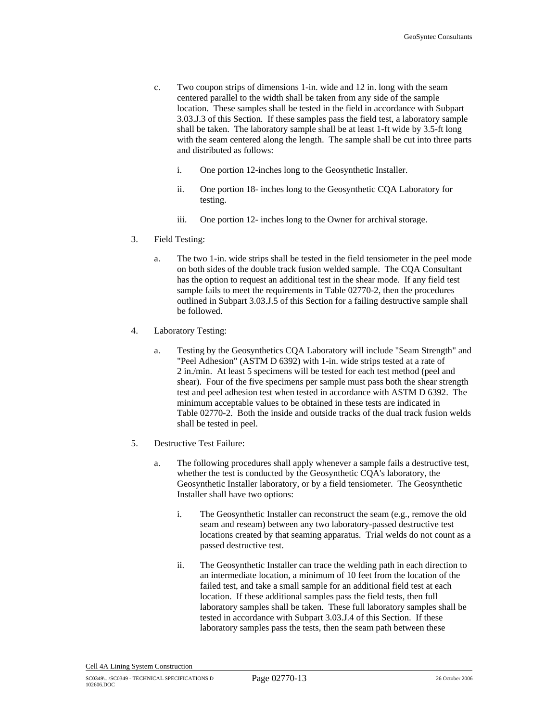- c. Two coupon strips of dimensions 1-in. wide and 12 in. long with the seam centered parallel to the width shall be taken from any side of the sample location. These samples shall be tested in the field in accordance with Subpart 3.03.J.3 of this Section. If these samples pass the field test, a laboratory sample shall be taken. The laboratory sample shall be at least 1-ft wide by 3.5-ft long with the seam centered along the length. The sample shall be cut into three parts and distributed as follows:
	- i. One portion 12-inches long to the Geosynthetic Installer.
	- ii. One portion 18- inches long to the Geosynthetic CQA Laboratory for testing.
	- iii. One portion 12- inches long to the Owner for archival storage.
- 3. Field Testing:
	- a. The two 1-in. wide strips shall be tested in the field tensiometer in the peel mode on both sides of the double track fusion welded sample. The CQA Consultant has the option to request an additional test in the shear mode. If any field test sample fails to meet the requirements in Table 02770-2, then the procedures outlined in Subpart 3.03.J.5 of this Section for a failing destructive sample shall be followed.
- 4. Laboratory Testing:
	- a. Testing by the Geosynthetics CQA Laboratory will include "Seam Strength" and "Peel Adhesion" (ASTM D 6392) with 1-in. wide strips tested at a rate of 2 in./min. At least 5 specimens will be tested for each test method (peel and shear). Four of the five specimens per sample must pass both the shear strength test and peel adhesion test when tested in accordance with ASTM D 6392. The minimum acceptable values to be obtained in these tests are indicated in Table 02770-2. Both the inside and outside tracks of the dual track fusion welds shall be tested in peel.
- 5. Destructive Test Failure:
	- a. The following procedures shall apply whenever a sample fails a destructive test, whether the test is conducted by the Geosynthetic CQA's laboratory, the Geosynthetic Installer laboratory, or by a field tensiometer. The Geosynthetic Installer shall have two options:
		- i. The Geosynthetic Installer can reconstruct the seam (e.g., remove the old seam and reseam) between any two laboratory-passed destructive test locations created by that seaming apparatus. Trial welds do not count as a passed destructive test.
		- ii. The Geosynthetic Installer can trace the welding path in each direction to an intermediate location, a minimum of 10 feet from the location of the failed test, and take a small sample for an additional field test at each location. If these additional samples pass the field tests, then full laboratory samples shall be taken. These full laboratory samples shall be tested in accordance with Subpart 3.03.J.4 of this Section. If these laboratory samples pass the tests, then the seam path between these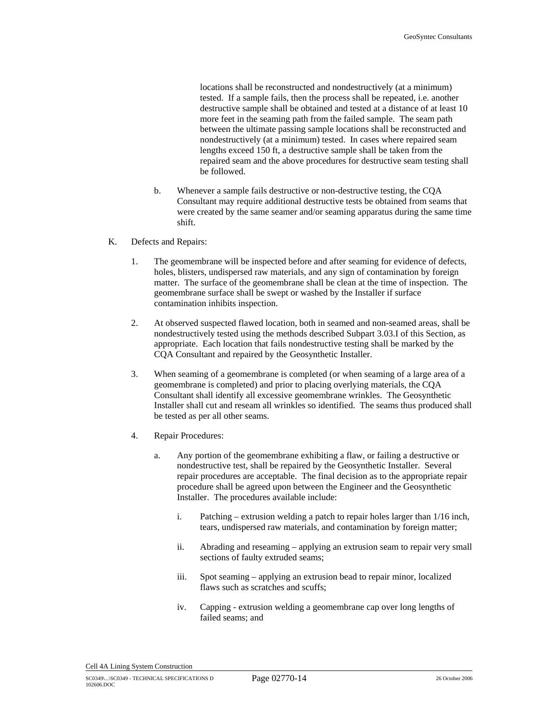locations shall be reconstructed and nondestructively (at a minimum) tested. If a sample fails, then the process shall be repeated, i.e. another destructive sample shall be obtained and tested at a distance of at least 10 more feet in the seaming path from the failed sample. The seam path between the ultimate passing sample locations shall be reconstructed and nondestructively (at a minimum) tested. In cases where repaired seam lengths exceed 150 ft, a destructive sample shall be taken from the repaired seam and the above procedures for destructive seam testing shall be followed.

- b. Whenever a sample fails destructive or non-destructive testing, the CQA Consultant may require additional destructive tests be obtained from seams that were created by the same seamer and/or seaming apparatus during the same time shift.
- K. Defects and Repairs:
	- 1. The geomembrane will be inspected before and after seaming for evidence of defects, holes, blisters, undispersed raw materials, and any sign of contamination by foreign matter. The surface of the geomembrane shall be clean at the time of inspection. The geomembrane surface shall be swept or washed by the Installer if surface contamination inhibits inspection.
	- 2. At observed suspected flawed location, both in seamed and non-seamed areas, shall be nondestructively tested using the methods described Subpart 3.03.I of this Section, as appropriate. Each location that fails nondestructive testing shall be marked by the CQA Consultant and repaired by the Geosynthetic Installer.
	- 3. When seaming of a geomembrane is completed (or when seaming of a large area of a geomembrane is completed) and prior to placing overlying materials, the CQA Consultant shall identify all excessive geomembrane wrinkles. The Geosynthetic Installer shall cut and reseam all wrinkles so identified. The seams thus produced shall be tested as per all other seams.
	- 4. Repair Procedures:
		- a. Any portion of the geomembrane exhibiting a flaw, or failing a destructive or nondestructive test, shall be repaired by the Geosynthetic Installer. Several repair procedures are acceptable. The final decision as to the appropriate repair procedure shall be agreed upon between the Engineer and the Geosynthetic Installer. The procedures available include:
			- i. Patching extrusion welding a patch to repair holes larger than 1/16 inch, tears, undispersed raw materials, and contamination by foreign matter;
			- ii. Abrading and reseaming applying an extrusion seam to repair very small sections of faulty extruded seams;
			- iii. Spot seaming applying an extrusion bead to repair minor, localized flaws such as scratches and scuffs;
			- iv. Capping extrusion welding a geomembrane cap over long lengths of failed seams; and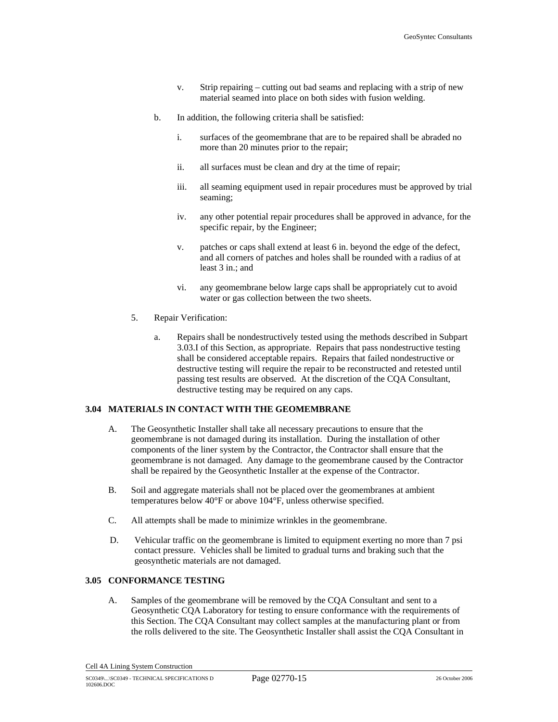- v. Strip repairing cutting out bad seams and replacing with a strip of new material seamed into place on both sides with fusion welding.
- b. In addition, the following criteria shall be satisfied:
	- i. surfaces of the geomembrane that are to be repaired shall be abraded no more than 20 minutes prior to the repair;
	- ii. all surfaces must be clean and dry at the time of repair;
	- iii. all seaming equipment used in repair procedures must be approved by trial seaming;
	- iv. any other potential repair procedures shall be approved in advance, for the specific repair, by the Engineer;
	- v. patches or caps shall extend at least 6 in. beyond the edge of the defect, and all corners of patches and holes shall be rounded with a radius of at least 3 in.; and
	- vi. any geomembrane below large caps shall be appropriately cut to avoid water or gas collection between the two sheets.
- 5. Repair Verification:
	- a. Repairs shall be nondestructively tested using the methods described in Subpart 3.03.I of this Section, as appropriate. Repairs that pass nondestructive testing shall be considered acceptable repairs. Repairs that failed nondestructive or destructive testing will require the repair to be reconstructed and retested until passing test results are observed. At the discretion of the CQA Consultant, destructive testing may be required on any caps.

#### **3.04 MATERIALS IN CONTACT WITH THE GEOMEMBRANE**

- A. The Geosynthetic Installer shall take all necessary precautions to ensure that the geomembrane is not damaged during its installation. During the installation of other components of the liner system by the Contractor, the Contractor shall ensure that the geomembrane is not damaged. Any damage to the geomembrane caused by the Contractor shall be repaired by the Geosynthetic Installer at the expense of the Contractor.
- B. Soil and aggregate materials shall not be placed over the geomembranes at ambient temperatures below 40°F or above 104°F, unless otherwise specified.
- C. All attempts shall be made to minimize wrinkles in the geomembrane.
- D. Vehicular traffic on the geomembrane is limited to equipment exerting no more than 7 psi contact pressure. Vehicles shall be limited to gradual turns and braking such that the geosynthetic materials are not damaged.

### **3.05 CONFORMANCE TESTING**

A. Samples of the geomembrane will be removed by the CQA Consultant and sent to a Geosynthetic CQA Laboratory for testing to ensure conformance with the requirements of this Section. The CQA Consultant may collect samples at the manufacturing plant or from the rolls delivered to the site. The Geosynthetic Installer shall assist the CQA Consultant in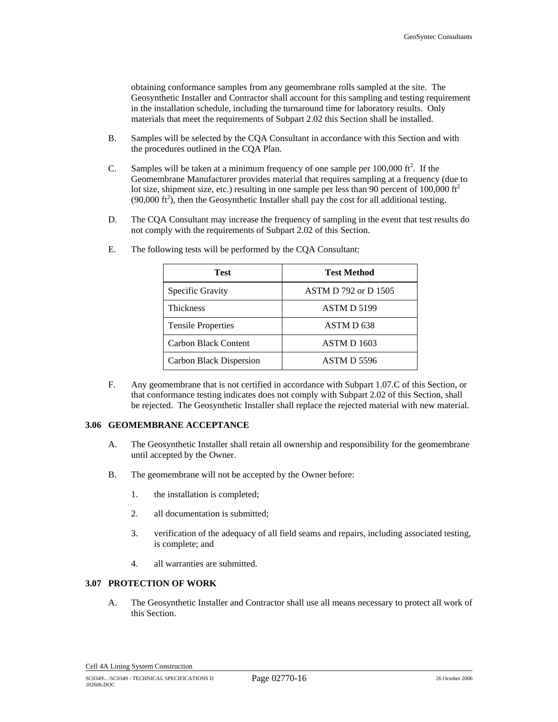obtaining conformance samples from any geomembrane rolls sampled at the site. The Geosynthetic Installer and Contractor shall account for this sampling and testing requirement in the installation schedule, including the turnaround time for laboratory results. Only materials that meet the requirements of Subpart 2.02 this Section shall be installed.

- B. Samples will be selected by the CQA Consultant in accordance with this Section and with the procedures outlined in the CQA Plan.
- C. Samples will be taken at a minimum frequency of one sample per  $100,000$  ft<sup>2</sup>. If the Geomembrane Manufacturer provides material that requires sampling at a frequency (due to lot size, shipment size, etc.) resulting in one sample per less than 90 percent of 100,000 ft<sup>2</sup>  $(90,000 \text{ ft}^2)$ , then the Geosynthetic Installer shall pay the cost for all additional testing.
- D. The CQA Consultant may increase the frequency of sampling in the event that test results do not comply with the requirements of Subpart 2.02 of this Section.

| <b>Test</b>               | <b>Test Method</b>    |
|---------------------------|-----------------------|
| Specific Gravity          | ASTM D 792 or D 1505  |
| <b>Thickness</b>          | ASTM D 5199           |
| <b>Tensile Properties</b> | ASTM D <sub>638</sub> |
| Carbon Black Content      | <b>ASTM D 1603</b>    |
| Carbon Black Dispersion   | ASTM D 5596           |

E. The following tests will be performed by the CQA Consultant:

F. Any geomembrane that is not certified in accordance with Subpart 1.07.C of this Section, or that conformance testing indicates does not comply with Subpart 2.02 of this Section, shall be rejected. The Geosynthetic Installer shall replace the rejected material with new material.

#### **3.06 GEOMEMBRANE ACCEPTANCE**

- A. The Geosynthetic Installer shall retain all ownership and responsibility for the geomembrane until accepted by the Owner.
- B. The geomembrane will not be accepted by the Owner before:
	- 1. the installation is completed;
	- 2. all documentation is submitted;
	- 3. verification of the adequacy of all field seams and repairs, including associated testing, is complete; and
	- 4. all warranties are submitted.

#### **3.07 PROTECTION OF WORK**

A. The Geosynthetic Installer and Contractor shall use all means necessary to protect all work of this Section.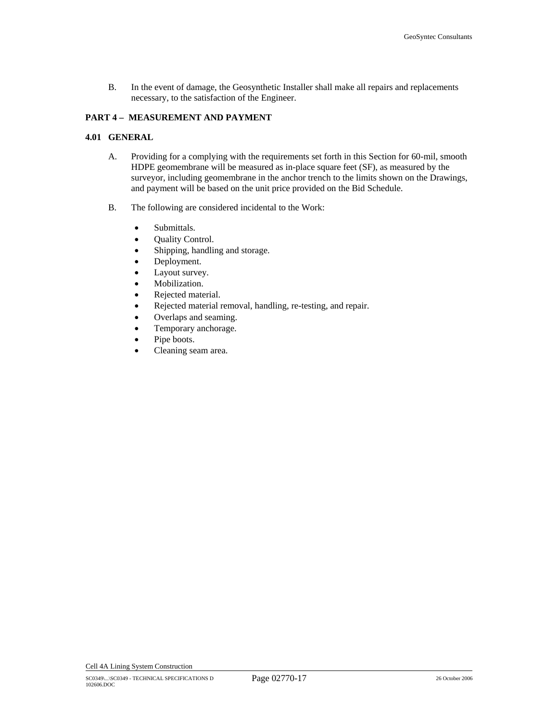B. In the event of damage, the Geosynthetic Installer shall make all repairs and replacements necessary, to the satisfaction of the Engineer.

# **PART 4 – MEASUREMENT AND PAYMENT**

#### **4.01 GENERAL**

- A. Providing for a complying with the requirements set forth in this Section for 60-mil, smooth HDPE geomembrane will be measured as in-place square feet (SF), as measured by the surveyor, including geomembrane in the anchor trench to the limits shown on the Drawings, and payment will be based on the unit price provided on the Bid Schedule.
- B. The following are considered incidental to the Work:
	- Submittals.
	- Quality Control.
	- Shipping, handling and storage.
	- Deployment.
	- Layout survey.
	- Mobilization.
	- Rejected material.
	- Rejected material removal, handling, re-testing, and repair.
	- Overlaps and seaming.
	- Temporary anchorage.
	- Pipe boots.
	- Cleaning seam area.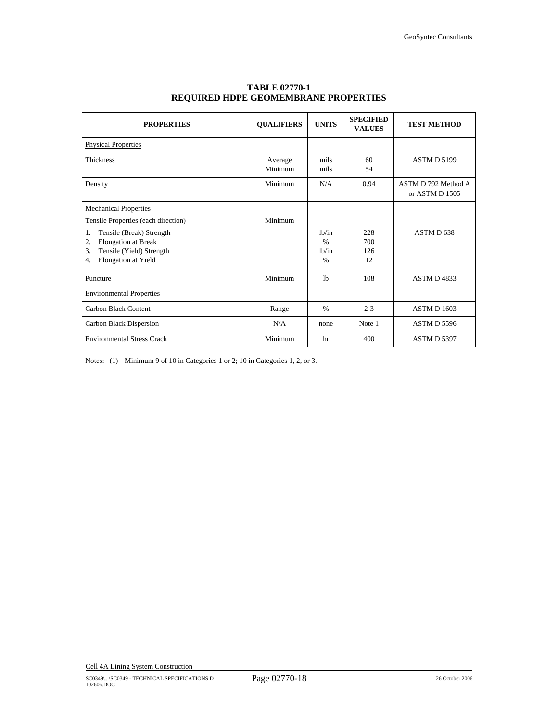| <b>PROPERTIES</b>                                                                                                                                                                                               | <b>QUALIFIERS</b>  | <b>UNITS</b>                                                  | <b>SPECIFIED</b><br><b>VALUES</b> | <b>TEST METHOD</b>                    |
|-----------------------------------------------------------------------------------------------------------------------------------------------------------------------------------------------------------------|--------------------|---------------------------------------------------------------|-----------------------------------|---------------------------------------|
| <b>Physical Properties</b>                                                                                                                                                                                      |                    |                                                               |                                   |                                       |
| <b>Thickness</b>                                                                                                                                                                                                | Average<br>Minimum | mils<br>mils                                                  | 60<br>54                          | ASTM D 5199                           |
| Density                                                                                                                                                                                                         | Minimum            | N/A                                                           | 0.94                              | ASTM D 792 Method A<br>or ASTM D 1505 |
| <b>Mechanical Properties</b><br>Tensile Properties (each direction)<br>Tensile (Break) Strength<br>1.<br><b>Elongation</b> at Break<br>2.<br>Tensile (Yield) Strength<br>3.<br><b>Elongation</b> at Yield<br>4. | Minimum            | 1h/in<br>$\frac{0}{0}$<br>1 <sub>h</sub> /in<br>$\frac{0}{0}$ | 228<br>700<br>126<br>12           | ASTM D638                             |
| Puncture                                                                                                                                                                                                        | Minimum            | 1 <sub>b</sub>                                                | 108                               | ASTM D4833                            |
| <b>Environmental Properties</b>                                                                                                                                                                                 |                    |                                                               |                                   |                                       |
| Carbon Black Content                                                                                                                                                                                            | Range              | $\frac{0}{0}$                                                 | $2 - 3$                           | <b>ASTM D 1603</b>                    |
| Carbon Black Dispersion                                                                                                                                                                                         | N/A                | none                                                          | Note 1                            | ASTM D 5596                           |
| <b>Environmental Stress Crack</b>                                                                                                                                                                               | Minimum            | hr                                                            | 400                               | ASTM D 5397                           |

# **TABLE 02770-1 REQUIRED HDPE GEOMEMBRANE PROPERTIES**

Notes: (1) Minimum 9 of 10 in Categories 1 or 2; 10 in Categories 1, 2, or 3.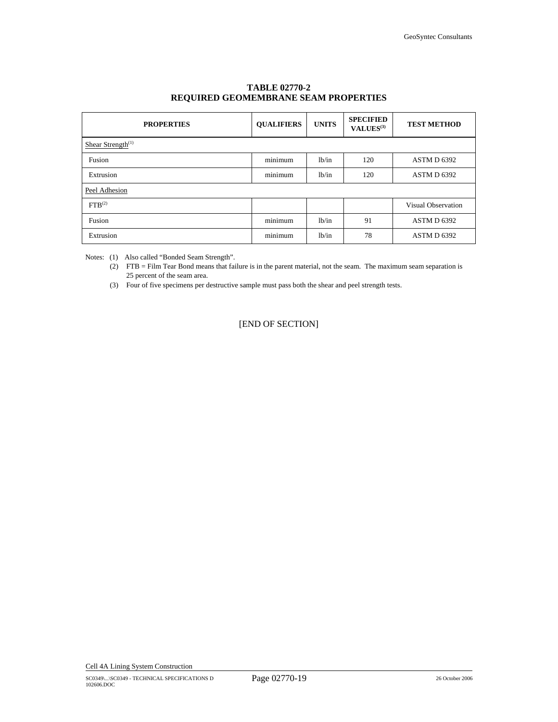| <b>PROPERTIES</b>             | <b>QUALIFIERS</b> | <b>UNITS</b> | <b>SPECIFIED</b><br>VALUES <sup>(3)</sup> | <b>TEST METHOD</b> |
|-------------------------------|-------------------|--------------|-------------------------------------------|--------------------|
| Shear Strength <sup>(1)</sup> |                   |              |                                           |                    |
| Fusion                        | minimum           | lb/in        | 120                                       | ASTM D 6392        |
| Extrusion                     | minimum           | 1b/in        | 120                                       | ASTM D 6392        |
| Peel Adhesion                 |                   |              |                                           |                    |
| FTB <sup>(2)</sup>            |                   |              |                                           | Visual Observation |
| Fusion                        | minimum           | 1b/in        | 91                                        | ASTM D 6392        |
| Extrusion                     | minimum           | 1b/in        | 78                                        | ASTM D 6392        |

# **TABLE 02770-2 REQUIRED GEOMEMBRANE SEAM PROPERTIES**

Notes: (1) Also called "Bonded Seam Strength".

(2) FTB = Film Tear Bond means that failure is in the parent material, not the seam. The maximum seam separation is 25 percent of the seam area.

(3) Four of five specimens per destructive sample must pass both the shear and peel strength tests.

[END OF SECTION]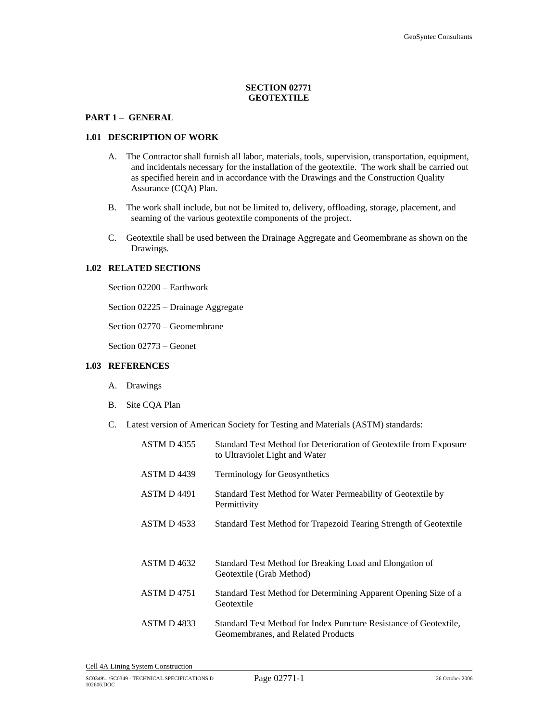# **SECTION 02771 GEOTEXTILE**

### **PART 1 – GENERAL**

#### **1.01 DESCRIPTION OF WORK**

- A. The Contractor shall furnish all labor, materials, tools, supervision, transportation, equipment, and incidentals necessary for the installation of the geotextile. The work shall be carried out as specified herein and in accordance with the Drawings and the Construction Quality Assurance (CQA) Plan.
- B. The work shall include, but not be limited to, delivery, offloading, storage, placement, and seaming of the various geotextile components of the project.
- C. Geotextile shall be used between the Drainage Aggregate and Geomembrane as shown on the Drawings.

#### **1.02 RELATED SECTIONS**

Section 02200 – Earthwork

Section 02225 – Drainage Aggregate

Section 02770 – Geomembrane

Section 02773 – Geonet

### **1.03 REFERENCES**

- A. Drawings
- B. Site CQA Plan
- C. Latest version of American Society for Testing and Materials (ASTM) standards:

| <b>ASTM D4355</b>  | Standard Test Method for Deterioration of Geotextile from Exposure<br>to Ultraviolet Light and Water    |
|--------------------|---------------------------------------------------------------------------------------------------------|
| ASTM D4439         | <b>Terminology for Geosynthetics</b>                                                                    |
| <b>ASTM D 4491</b> | Standard Test Method for Water Permeability of Geotextile by<br>Permittivity                            |
| ASTM D4533         | Standard Test Method for Trapezoid Tearing Strength of Geotextile                                       |
| ASTM D4632         | Standard Test Method for Breaking Load and Elongation of<br>Geotextile (Grab Method)                    |
| <b>ASTM D 4751</b> | Standard Test Method for Determining Apparent Opening Size of a<br>Geotextile                           |
| ASTM D4833         | Standard Test Method for Index Puncture Resistance of Geotextile.<br>Geomembranes, and Related Products |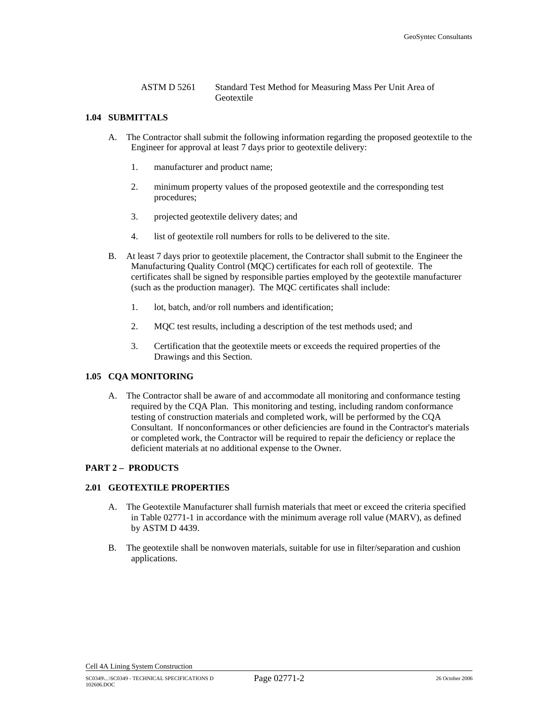ASTM D 5261 Standard Test Method for Measuring Mass Per Unit Area of Geotextile

### **1.04 SUBMITTALS**

- A. The Contractor shall submit the following information regarding the proposed geotextile to the Engineer for approval at least 7 days prior to geotextile delivery:
	- 1. manufacturer and product name;
	- 2. minimum property values of the proposed geotextile and the corresponding test procedures;
	- 3. projected geotextile delivery dates; and
	- 4. list of geotextile roll numbers for rolls to be delivered to the site.
- B. At least 7 days prior to geotextile placement, the Contractor shall submit to the Engineer the Manufacturing Quality Control (MQC) certificates for each roll of geotextile. The certificates shall be signed by responsible parties employed by the geotextile manufacturer (such as the production manager). The MQC certificates shall include:
	- 1. lot, batch, and/or roll numbers and identification;
	- 2. MQC test results, including a description of the test methods used; and
	- 3. Certification that the geotextile meets or exceeds the required properties of the Drawings and this Section.

### **1.05 CQA MONITORING**

A. The Contractor shall be aware of and accommodate all monitoring and conformance testing required by the CQA Plan. This monitoring and testing, including random conformance testing of construction materials and completed work, will be performed by the CQA Consultant. If nonconformances or other deficiencies are found in the Contractor's materials or completed work, the Contractor will be required to repair the deficiency or replace the deficient materials at no additional expense to the Owner.

#### **PART 2 – PRODUCTS**

### **2.01 GEOTEXTILE PROPERTIES**

- A. The Geotextile Manufacturer shall furnish materials that meet or exceed the criteria specified in Table 02771-1 in accordance with the minimum average roll value (MARV), as defined by ASTM D 4439.
- B. The geotextile shall be nonwoven materials, suitable for use in filter/separation and cushion applications.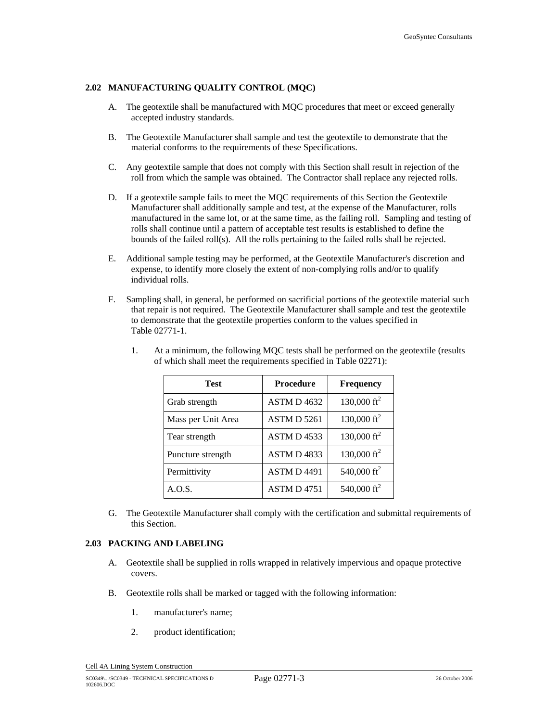# **2.02 MANUFACTURING QUALITY CONTROL (MQC)**

- A. The geotextile shall be manufactured with MQC procedures that meet or exceed generally accepted industry standards.
- B. The Geotextile Manufacturer shall sample and test the geotextile to demonstrate that the material conforms to the requirements of these Specifications.
- C. Any geotextile sample that does not comply with this Section shall result in rejection of the roll from which the sample was obtained. The Contractor shall replace any rejected rolls.
- D. If a geotextile sample fails to meet the MQC requirements of this Section the Geotextile Manufacturer shall additionally sample and test, at the expense of the Manufacturer, rolls manufactured in the same lot, or at the same time, as the failing roll. Sampling and testing of rolls shall continue until a pattern of acceptable test results is established to define the bounds of the failed roll(s). All the rolls pertaining to the failed rolls shall be rejected.
- E. Additional sample testing may be performed, at the Geotextile Manufacturer's discretion and expense, to identify more closely the extent of non-complying rolls and/or to qualify individual rolls.
- F. Sampling shall, in general, be performed on sacrificial portions of the geotextile material such that repair is not required. The Geotextile Manufacturer shall sample and test the geotextile to demonstrate that the geotextile properties conform to the values specified in Table 02771-1.

| <b>Test</b>        | <b>Procedure</b>   | <b>Frequency</b>        |
|--------------------|--------------------|-------------------------|
| Grab strength      | ASTM D 4632        | 130,000 $\text{ft}^2$   |
| Mass per Unit Area | <b>ASTM D 5261</b> | 130,000 $\text{ft}^2$   |
| Tear strength      | ASTM D 4533        | 130,000 $\text{ft}^2$   |
| Puncture strength  | ASTM D4833         | 130,000 $\text{ft}^2$   |
| Permittivity       | <b>ASTM D 4491</b> | 540,000 ft <sup>2</sup> |
| A.O.S.             | ASTM D 4751        | 540,000 $ft^2$          |

1. At a minimum, the following MQC tests shall be performed on the geotextile (results of which shall meet the requirements specified in Table 02271):

G. The Geotextile Manufacturer shall comply with the certification and submittal requirements of this Section.

### **2.03 PACKING AND LABELING**

- A. Geotextile shall be supplied in rolls wrapped in relatively impervious and opaque protective covers.
- B. Geotextile rolls shall be marked or tagged with the following information:
	- 1. manufacturer's name;
	- 2. product identification;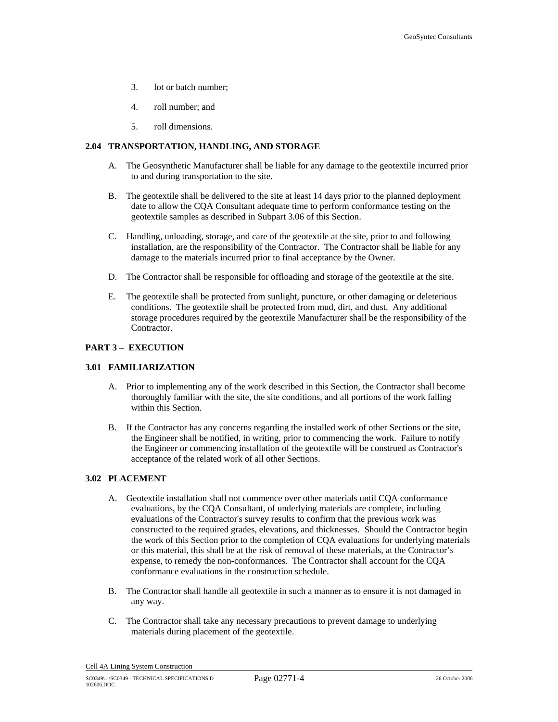- 3. lot or batch number;
- 4. roll number; and
- 5. roll dimensions.

### **2.04 TRANSPORTATION, HANDLING, AND STORAGE**

- A. The Geosynthetic Manufacturer shall be liable for any damage to the geotextile incurred prior to and during transportation to the site.
- B. The geotextile shall be delivered to the site at least 14 days prior to the planned deployment date to allow the CQA Consultant adequate time to perform conformance testing on the geotextile samples as described in Subpart 3.06 of this Section.
- C. Handling, unloading, storage, and care of the geotextile at the site, prior to and following installation, are the responsibility of the Contractor. The Contractor shall be liable for any damage to the materials incurred prior to final acceptance by the Owner.
- D. The Contractor shall be responsible for offloading and storage of the geotextile at the site.
- E. The geotextile shall be protected from sunlight, puncture, or other damaging or deleterious conditions. The geotextile shall be protected from mud, dirt, and dust. Any additional storage procedures required by the geotextile Manufacturer shall be the responsibility of the Contractor.

### **PART 3 – EXECUTION**

#### **3.01 FAMILIARIZATION**

- A. Prior to implementing any of the work described in this Section, the Contractor shall become thoroughly familiar with the site, the site conditions, and all portions of the work falling within this Section.
- B. If the Contractor has any concerns regarding the installed work of other Sections or the site, the Engineer shall be notified, in writing, prior to commencing the work. Failure to notify the Engineer or commencing installation of the geotextile will be construed as Contractor's acceptance of the related work of all other Sections.

### **3.02 PLACEMENT**

- A. Geotextile installation shall not commence over other materials until CQA conformance evaluations, by the CQA Consultant, of underlying materials are complete, including evaluations of the Contractor's survey results to confirm that the previous work was constructed to the required grades, elevations, and thicknesses. Should the Contractor begin the work of this Section prior to the completion of CQA evaluations for underlying materials or this material, this shall be at the risk of removal of these materials, at the Contractor's expense, to remedy the non-conformances. The Contractor shall account for the CQA conformance evaluations in the construction schedule.
- B. The Contractor shall handle all geotextile in such a manner as to ensure it is not damaged in any way.
- C. The Contractor shall take any necessary precautions to prevent damage to underlying materials during placement of the geotextile.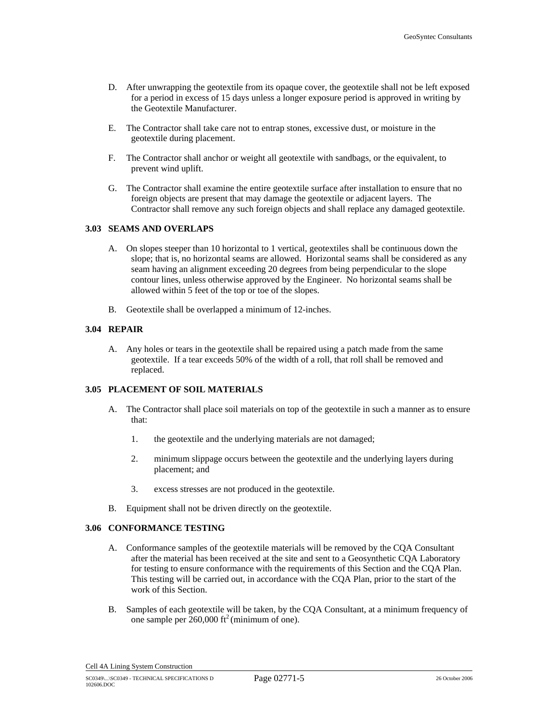- D. After unwrapping the geotextile from its opaque cover, the geotextile shall not be left exposed for a period in excess of 15 days unless a longer exposure period is approved in writing by the Geotextile Manufacturer.
- E. The Contractor shall take care not to entrap stones, excessive dust, or moisture in the geotextile during placement.
- F. The Contractor shall anchor or weight all geotextile with sandbags, or the equivalent, to prevent wind uplift.
- G. The Contractor shall examine the entire geotextile surface after installation to ensure that no foreign objects are present that may damage the geotextile or adjacent layers. The Contractor shall remove any such foreign objects and shall replace any damaged geotextile.

### **3.03 SEAMS AND OVERLAPS**

- A. On slopes steeper than 10 horizontal to 1 vertical, geotextiles shall be continuous down the slope; that is, no horizontal seams are allowed. Horizontal seams shall be considered as any seam having an alignment exceeding 20 degrees from being perpendicular to the slope contour lines, unless otherwise approved by the Engineer. No horizontal seams shall be allowed within 5 feet of the top or toe of the slopes.
- B. Geotextile shall be overlapped a minimum of 12-inches.

### **3.04 REPAIR**

A. Any holes or tears in the geotextile shall be repaired using a patch made from the same geotextile. If a tear exceeds 50% of the width of a roll, that roll shall be removed and replaced.

# **3.05 PLACEMENT OF SOIL MATERIALS**

- A. The Contractor shall place soil materials on top of the geotextile in such a manner as to ensure that:
	- 1. the geotextile and the underlying materials are not damaged;
	- 2. minimum slippage occurs between the geotextile and the underlying layers during placement; and
	- 3. excess stresses are not produced in the geotextile.
- B. Equipment shall not be driven directly on the geotextile.

# **3.06 CONFORMANCE TESTING**

- A. Conformance samples of the geotextile materials will be removed by the CQA Consultant after the material has been received at the site and sent to a Geosynthetic CQA Laboratory for testing to ensure conformance with the requirements of this Section and the CQA Plan. This testing will be carried out, in accordance with the CQA Plan, prior to the start of the work of this Section.
- B. Samples of each geotextile will be taken, by the CQA Consultant, at a minimum frequency of one sample per  $260,000$  ft<sup>2</sup> (minimum of one).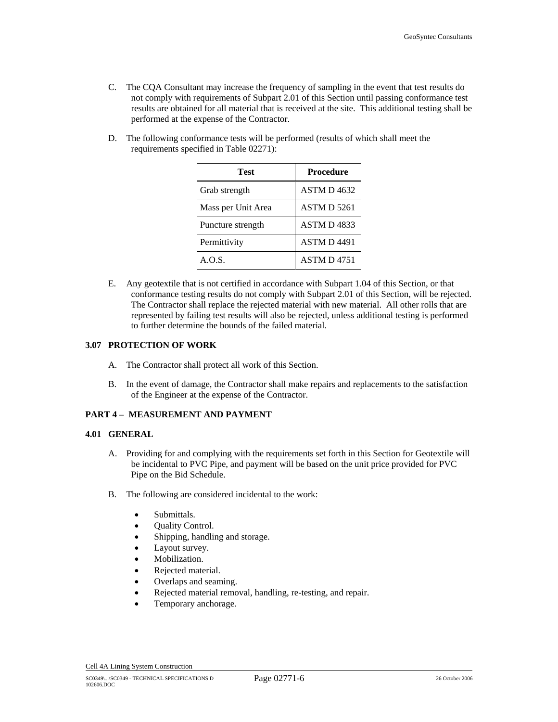- C. The CQA Consultant may increase the frequency of sampling in the event that test results do not comply with requirements of Subpart 2.01 of this Section until passing conformance test results are obtained for all material that is received at the site. This additional testing shall be performed at the expense of the Contractor.
- D. The following conformance tests will be performed (results of which shall meet the requirements specified in Table 02271):

| Test               | <b>Procedure</b>   |
|--------------------|--------------------|
| Grab strength      | ASTM D4632         |
| Mass per Unit Area | <b>ASTM D 5261</b> |
| Puncture strength  | ASTM D4833         |
| Permittivity       | <b>ASTM D 4491</b> |
| A.O.S.             | <b>ASTM D4751</b>  |

E. Any geotextile that is not certified in accordance with Subpart 1.04 of this Section, or that conformance testing results do not comply with Subpart 2.01 of this Section, will be rejected. The Contractor shall replace the rejected material with new material. All other rolls that are represented by failing test results will also be rejected, unless additional testing is performed to further determine the bounds of the failed material.

# **3.07 PROTECTION OF WORK**

- A. The Contractor shall protect all work of this Section.
- B. In the event of damage, the Contractor shall make repairs and replacements to the satisfaction of the Engineer at the expense of the Contractor.

# **PART 4 – MEASUREMENT AND PAYMENT**

### **4.01 GENERAL**

- A. Providing for and complying with the requirements set forth in this Section for Geotextile will be incidental to PVC Pipe, and payment will be based on the unit price provided for PVC Pipe on the Bid Schedule.
- B. The following are considered incidental to the work:
	- Submittals.
	- Quality Control.
	- Shipping, handling and storage.
	- Layout survey.
	- Mobilization.
	- Rejected material.
	- Overlaps and seaming.
	- Rejected material removal, handling, re-testing, and repair.
	- Temporary anchorage.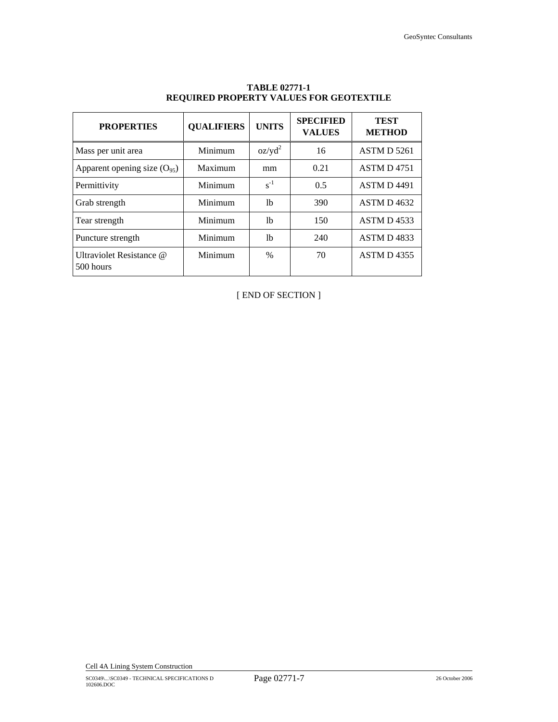| <b>PROPERTIES</b>                     | <b>QUALIFIERS</b> | <b>UNITS</b> | <b>SPECIFIED</b><br><b>VALUES</b> | <b>TEST</b><br><b>METHOD</b> |
|---------------------------------------|-------------------|--------------|-----------------------------------|------------------------------|
| Mass per unit area                    | Minimum           | $oz/yd^2$    | 16                                | <b>ASTM D 5261</b>           |
| Apparent opening size $(O_{95})$      | Maximum           | mm           | 0.21                              | <b>ASTM D4751</b>            |
| Permittivity                          | Minimum           | $s^{-1}$     | 0.5                               | <b>ASTM D 4491</b>           |
| Grab strength                         | Minimum           | 1b           | 390                               | <b>ASTM D 4632</b>           |
| Tear strength                         | Minimum           | 1b           | 150                               | ASTM D 4533                  |
| Puncture strength                     | Minimum           | 1b           | 240                               | <b>ASTM D4833</b>            |
| Ultraviolet Resistance @<br>500 hours | Minimum           | $\%$         | 70                                | <b>ASTM D4355</b>            |

# **TABLE 02771-1 REQUIRED PROPERTY VALUES FOR GEOTEXTILE**

[ END OF SECTION ]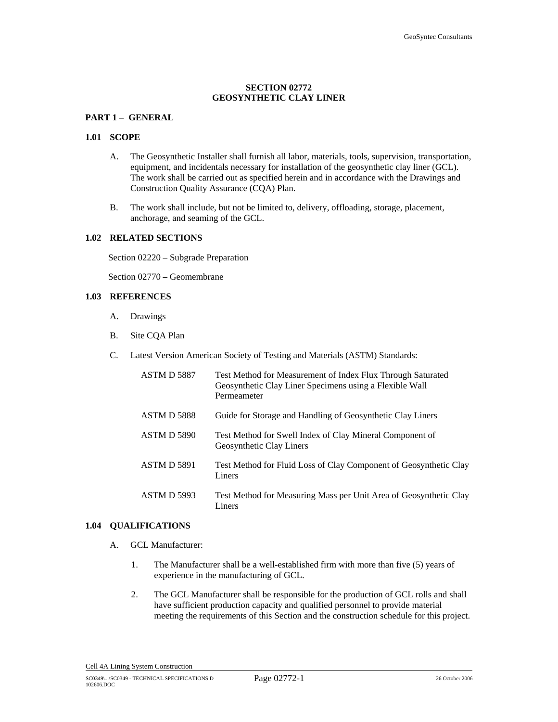# **SECTION 02772 GEOSYNTHETIC CLAY LINER**

# **PART 1 – GENERAL**

#### **1.01 SCOPE**

- A. The Geosynthetic Installer shall furnish all labor, materials, tools, supervision, transportation, equipment, and incidentals necessary for installation of the geosynthetic clay liner (GCL). The work shall be carried out as specified herein and in accordance with the Drawings and Construction Quality Assurance (CQA) Plan.
- B. The work shall include, but not be limited to, delivery, offloading, storage, placement, anchorage, and seaming of the GCL.

## **1.02 RELATED SECTIONS**

Section 02220 – Subgrade Preparation

Section 02770 – Geomembrane

### **1.03 REFERENCES**

- A. Drawings
- B. Site CQA Plan
- C. Latest Version American Society of Testing and Materials (ASTM) Standards:

| ASTM D 5887        | Test Method for Measurement of Index Flux Through Saturated<br>Geosynthetic Clay Liner Specimens using a Flexible Wall<br>Permeameter |
|--------------------|---------------------------------------------------------------------------------------------------------------------------------------|
| <b>ASTM D 5888</b> | Guide for Storage and Handling of Geosynthetic Clay Liners                                                                            |
| <b>ASTM D 5890</b> | Test Method for Swell Index of Clay Mineral Component of<br><b>Geosynthetic Clay Liners</b>                                           |
| <b>ASTM D 5891</b> | Test Method for Fluid Loss of Clay Component of Geosynthetic Clay<br>Liners                                                           |
| ASTM D 5993        | Test Method for Measuring Mass per Unit Area of Geosynthetic Clay<br>Liners                                                           |

#### **1.04 QUALIFICATIONS**

- A. GCL Manufacturer:
	- 1. The Manufacturer shall be a well-established firm with more than five (5) years of experience in the manufacturing of GCL.
	- 2. The GCL Manufacturer shall be responsible for the production of GCL rolls and shall have sufficient production capacity and qualified personnel to provide material meeting the requirements of this Section and the construction schedule for this project.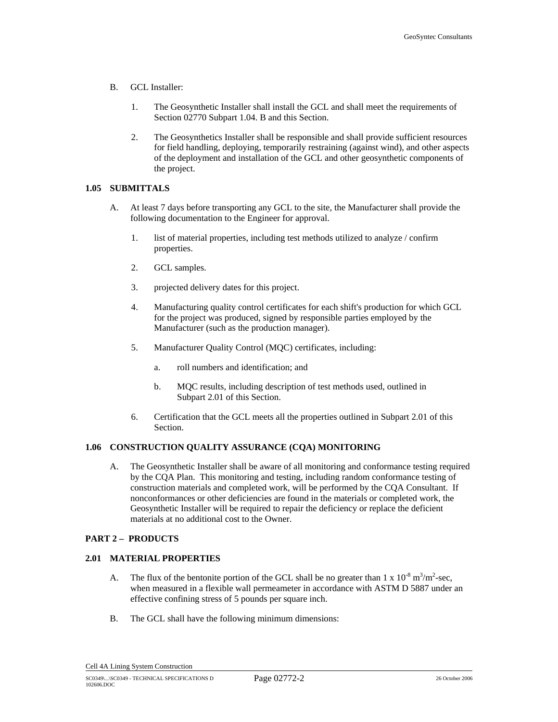- B. GCL Installer:
	- 1. The Geosynthetic Installer shall install the GCL and shall meet the requirements of Section 02770 Subpart 1.04. B and this Section.
	- 2. The Geosynthetics Installer shall be responsible and shall provide sufficient resources for field handling, deploying, temporarily restraining (against wind), and other aspects of the deployment and installation of the GCL and other geosynthetic components of the project.

### **1.05 SUBMITTALS**

- A. At least 7 days before transporting any GCL to the site, the Manufacturer shall provide the following documentation to the Engineer for approval.
	- 1. list of material properties, including test methods utilized to analyze / confirm properties.
	- 2. GCL samples.
	- 3. projected delivery dates for this project.
	- 4. Manufacturing quality control certificates for each shift's production for which GCL for the project was produced, signed by responsible parties employed by the Manufacturer (such as the production manager).
	- 5. Manufacturer Quality Control (MQC) certificates, including:
		- a. roll numbers and identification; and
		- b. MQC results, including description of test methods used, outlined in Subpart 2.01 of this Section.
	- 6. Certification that the GCL meets all the properties outlined in Subpart 2.01 of this Section.

# **1.06 CONSTRUCTION QUALITY ASSURANCE (CQA) MONITORING**

A. The Geosynthetic Installer shall be aware of all monitoring and conformance testing required by the CQA Plan. This monitoring and testing, including random conformance testing of construction materials and completed work, will be performed by the CQA Consultant. If nonconformances or other deficiencies are found in the materials or completed work, the Geosynthetic Installer will be required to repair the deficiency or replace the deficient materials at no additional cost to the Owner.

# **PART 2 – PRODUCTS**

# **2.01 MATERIAL PROPERTIES**

- A. The flux of the bentonite portion of the GCL shall be no greater than  $1 \times 10^{-8}$  m<sup>3</sup>/m<sup>2</sup>-sec, when measured in a flexible wall permeameter in accordance with ASTM D 5887 under an effective confining stress of 5 pounds per square inch.
- B. The GCL shall have the following minimum dimensions: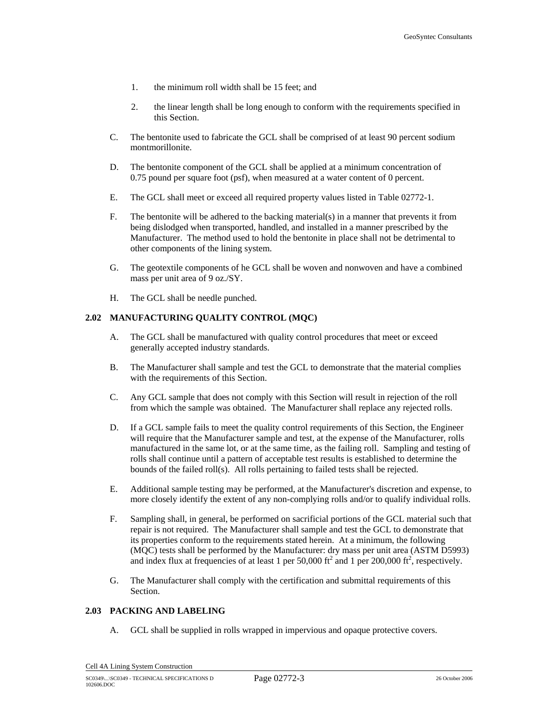- 1. the minimum roll width shall be 15 feet; and
- 2. the linear length shall be long enough to conform with the requirements specified in this Section.
- C. The bentonite used to fabricate the GCL shall be comprised of at least 90 percent sodium montmorillonite.
- D. The bentonite component of the GCL shall be applied at a minimum concentration of 0.75 pound per square foot (psf), when measured at a water content of 0 percent.
- E. The GCL shall meet or exceed all required property values listed in Table 02772-1.
- F. The bentonite will be adhered to the backing material(s) in a manner that prevents it from being dislodged when transported, handled, and installed in a manner prescribed by the Manufacturer. The method used to hold the bentonite in place shall not be detrimental to other components of the lining system.
- G. The geotextile components of he GCL shall be woven and nonwoven and have a combined mass per unit area of 9 oz./SY.
- H. The GCL shall be needle punched.

#### **2.02 MANUFACTURING QUALITY CONTROL (MQC)**

- A. The GCL shall be manufactured with quality control procedures that meet or exceed generally accepted industry standards.
- B. The Manufacturer shall sample and test the GCL to demonstrate that the material complies with the requirements of this Section.
- C. Any GCL sample that does not comply with this Section will result in rejection of the roll from which the sample was obtained. The Manufacturer shall replace any rejected rolls.
- D. If a GCL sample fails to meet the quality control requirements of this Section, the Engineer will require that the Manufacturer sample and test, at the expense of the Manufacturer, rolls manufactured in the same lot, or at the same time, as the failing roll. Sampling and testing of rolls shall continue until a pattern of acceptable test results is established to determine the bounds of the failed roll(s). All rolls pertaining to failed tests shall be rejected.
- E. Additional sample testing may be performed, at the Manufacturer's discretion and expense, to more closely identify the extent of any non-complying rolls and/or to qualify individual rolls.
- F. Sampling shall, in general, be performed on sacrificial portions of the GCL material such that repair is not required. The Manufacturer shall sample and test the GCL to demonstrate that its properties conform to the requirements stated herein. At a minimum, the following (MQC) tests shall be performed by the Manufacturer: dry mass per unit area (ASTM D5993) and index flux at frequencies of at least 1 per 50,000 ft<sup>2</sup> and 1 per 200,000 ft<sup>2</sup>, respectively.
- G. The Manufacturer shall comply with the certification and submittal requirements of this Section.

# **2.03 PACKING AND LABELING**

A. GCL shall be supplied in rolls wrapped in impervious and opaque protective covers.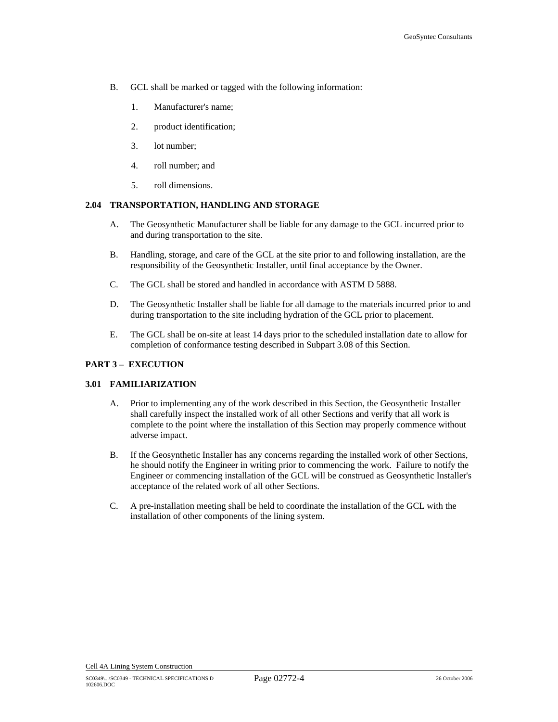- B. GCL shall be marked or tagged with the following information:
	- 1. Manufacturer's name;
	- 2. product identification;
	- 3. lot number;
	- 4. roll number; and
	- 5. roll dimensions.

### **2.04 TRANSPORTATION, HANDLING AND STORAGE**

- A. The Geosynthetic Manufacturer shall be liable for any damage to the GCL incurred prior to and during transportation to the site.
- B. Handling, storage, and care of the GCL at the site prior to and following installation, are the responsibility of the Geosynthetic Installer, until final acceptance by the Owner.
- C. The GCL shall be stored and handled in accordance with ASTM D 5888.
- D. The Geosynthetic Installer shall be liable for all damage to the materials incurred prior to and during transportation to the site including hydration of the GCL prior to placement.
- E. The GCL shall be on-site at least 14 days prior to the scheduled installation date to allow for completion of conformance testing described in Subpart 3.08 of this Section.

#### **PART 3 – EXECUTION**

# **3.01 FAMILIARIZATION**

- A. Prior to implementing any of the work described in this Section, the Geosynthetic Installer shall carefully inspect the installed work of all other Sections and verify that all work is complete to the point where the installation of this Section may properly commence without adverse impact.
- B. If the Geosynthetic Installer has any concerns regarding the installed work of other Sections, he should notify the Engineer in writing prior to commencing the work. Failure to notify the Engineer or commencing installation of the GCL will be construed as Geosynthetic Installer's acceptance of the related work of all other Sections.
- C. A pre-installation meeting shall be held to coordinate the installation of the GCL with the installation of other components of the lining system.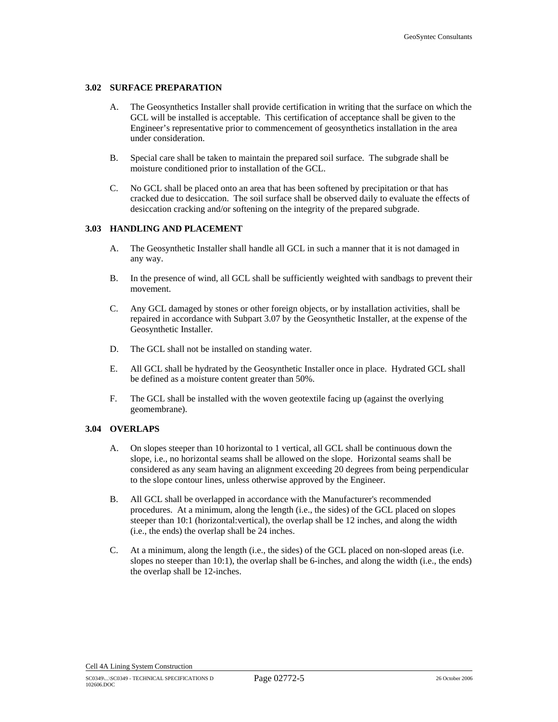### **3.02 SURFACE PREPARATION**

- A. The Geosynthetics Installer shall provide certification in writing that the surface on which the GCL will be installed is acceptable. This certification of acceptance shall be given to the Engineer's representative prior to commencement of geosynthetics installation in the area under consideration.
- B. Special care shall be taken to maintain the prepared soil surface. The subgrade shall be moisture conditioned prior to installation of the GCL.
- C. No GCL shall be placed onto an area that has been softened by precipitation or that has cracked due to desiccation. The soil surface shall be observed daily to evaluate the effects of desiccation cracking and/or softening on the integrity of the prepared subgrade.

#### **3.03 HANDLING AND PLACEMENT**

- A. The Geosynthetic Installer shall handle all GCL in such a manner that it is not damaged in any way.
- B. In the presence of wind, all GCL shall be sufficiently weighted with sandbags to prevent their movement.
- C. Any GCL damaged by stones or other foreign objects, or by installation activities, shall be repaired in accordance with Subpart 3.07 by the Geosynthetic Installer, at the expense of the Geosynthetic Installer.
- D. The GCL shall not be installed on standing water.
- E. All GCL shall be hydrated by the Geosynthetic Installer once in place. Hydrated GCL shall be defined as a moisture content greater than 50%.
- F. The GCL shall be installed with the woven geotextile facing up (against the overlying geomembrane).

### **3.04 OVERLAPS**

- A. On slopes steeper than 10 horizontal to 1 vertical, all GCL shall be continuous down the slope, i.e., no horizontal seams shall be allowed on the slope. Horizontal seams shall be considered as any seam having an alignment exceeding 20 degrees from being perpendicular to the slope contour lines, unless otherwise approved by the Engineer.
- B. All GCL shall be overlapped in accordance with the Manufacturer's recommended procedures. At a minimum, along the length (i.e., the sides) of the GCL placed on slopes steeper than 10:1 (horizontal:vertical), the overlap shall be 12 inches, and along the width (i.e., the ends) the overlap shall be 24 inches.
- C. At a minimum, along the length (i.e., the sides) of the GCL placed on non-sloped areas (i.e. slopes no steeper than 10:1), the overlap shall be 6-inches, and along the width (i.e., the ends) the overlap shall be 12-inches.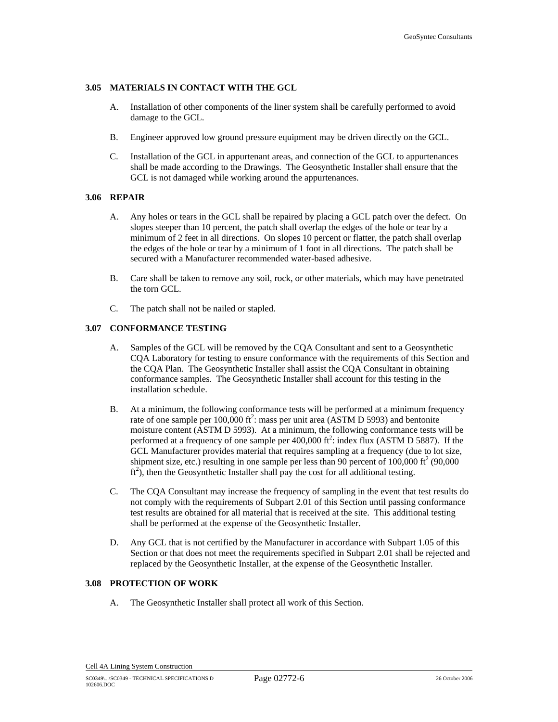### **3.05 MATERIALS IN CONTACT WITH THE GCL**

- A. Installation of other components of the liner system shall be carefully performed to avoid damage to the GCL.
- B. Engineer approved low ground pressure equipment may be driven directly on the GCL.
- C. Installation of the GCL in appurtenant areas, and connection of the GCL to appurtenances shall be made according to the Drawings. The Geosynthetic Installer shall ensure that the GCL is not damaged while working around the appurtenances.

### **3.06 REPAIR**

- A. Any holes or tears in the GCL shall be repaired by placing a GCL patch over the defect. On slopes steeper than 10 percent, the patch shall overlap the edges of the hole or tear by a minimum of 2 feet in all directions. On slopes 10 percent or flatter, the patch shall overlap the edges of the hole or tear by a minimum of 1 foot in all directions. The patch shall be secured with a Manufacturer recommended water-based adhesive.
- B. Care shall be taken to remove any soil, rock, or other materials, which may have penetrated the torn GCL.
- C. The patch shall not be nailed or stapled.

### **3.07 CONFORMANCE TESTING**

- A. Samples of the GCL will be removed by the CQA Consultant and sent to a Geosynthetic CQA Laboratory for testing to ensure conformance with the requirements of this Section and the CQA Plan. The Geosynthetic Installer shall assist the CQA Consultant in obtaining conformance samples. The Geosynthetic Installer shall account for this testing in the installation schedule.
- B. At a minimum, the following conformance tests will be performed at a minimum frequency rate of one sample per  $100,000$  ft<sup>2</sup>: mass per unit area (ASTM D 5993) and bentonite moisture content (ASTM D 5993). At a minimum, the following conformance tests will be performed at a frequency of one sample per  $400,000$  ft<sup>2</sup>: index flux (ASTM D 5887). If the GCL Manufacturer provides material that requires sampling at a frequency (due to lot size, shipment size, etc.) resulting in one sample per less than 90 percent of  $100,000$  ft<sup>2</sup> (90,000  $ft^2$ ), then the Geosynthetic Installer shall pay the cost for all additional testing.
- C. The CQA Consultant may increase the frequency of sampling in the event that test results do not comply with the requirements of Subpart 2.01 of this Section until passing conformance test results are obtained for all material that is received at the site. This additional testing shall be performed at the expense of the Geosynthetic Installer.
- D. Any GCL that is not certified by the Manufacturer in accordance with Subpart 1.05 of this Section or that does not meet the requirements specified in Subpart 2.01 shall be rejected and replaced by the Geosynthetic Installer, at the expense of the Geosynthetic Installer.

### **3.08 PROTECTION OF WORK**

A. The Geosynthetic Installer shall protect all work of this Section.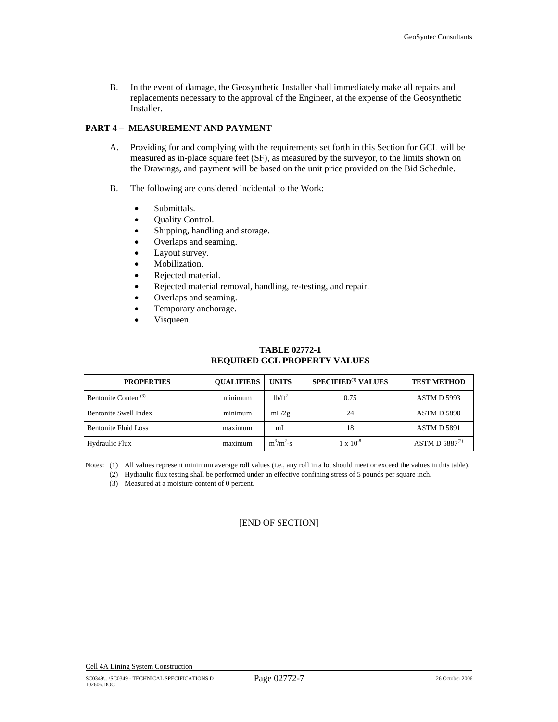B. In the event of damage, the Geosynthetic Installer shall immediately make all repairs and replacements necessary to the approval of the Engineer, at the expense of the Geosynthetic Installer.

# **PART 4 – MEASUREMENT AND PAYMENT**

- A. Providing for and complying with the requirements set forth in this Section for GCL will be measured as in-place square feet (SF), as measured by the surveyor, to the limits shown on the Drawings, and payment will be based on the unit price provided on the Bid Schedule.
- B. The following are considered incidental to the Work:
	- Submittals.
	- Ouality Control.
	- Shipping, handling and storage.
	- Overlaps and seaming.
	- Layout survey.
	- Mobilization.
	- Rejected material.
	- Rejected material removal, handling, re-testing, and repair.
	- Overlaps and seaming.
	- Temporary anchorage.
	- Visqueen.

# **TABLE 02772-1 REQUIRED GCL PROPERTY VALUES**

| <b>PROPERTIES</b>                | <b>OUALIFIERS</b> | <b>UNITS</b>                    | SPECIFIED <sup>(1)</sup> VALUES | <b>TEST METHOD</b>  |
|----------------------------------|-------------------|---------------------------------|---------------------------------|---------------------|
| Bentonite Content <sup>(3)</sup> | minimum           | 1 <sup>b</sup> /ft <sup>2</sup> | 0.75                            | <b>ASTM D 5993</b>  |
| <b>Bentonite Swell Index</b>     | minimum           | mL/2g                           | 24                              | <b>ASTM D 5890</b>  |
| <b>Bentonite Fluid Loss</b>      | maximum           | mL                              | 18                              | <b>ASTM D 5891</b>  |
| Hydraulic Flux                   | maximum           | $m^3/m^2-s$                     | $1 \times 10^{-8}$              | ASTM D $5887^{(2)}$ |

Notes: (1) All values represent minimum average roll values (i.e., any roll in a lot should meet or exceed the values in this table). (2) Hydraulic flux testing shall be performed under an effective confining stress of 5 pounds per square inch.

(3) Measured at a moisture content of 0 percent.

[END OF SECTION]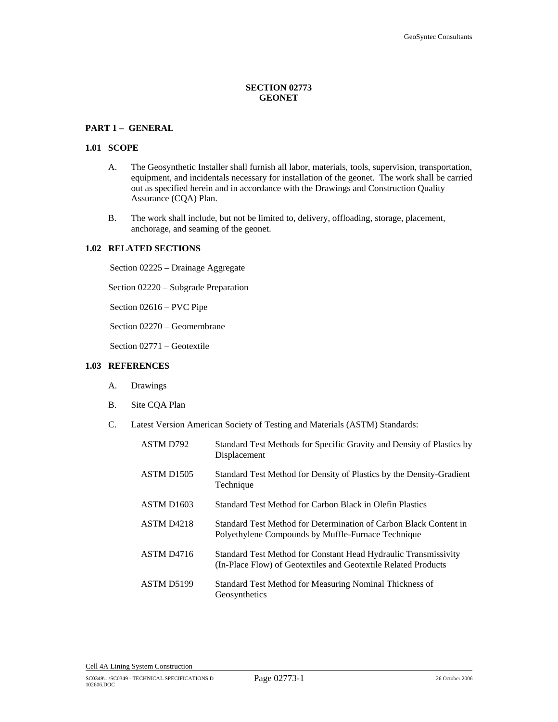## **SECTION 02773 GEONET**

## **PART 1 – GENERAL**

#### **1.01 SCOPE**

- A. The Geosynthetic Installer shall furnish all labor, materials, tools, supervision, transportation, equipment, and incidentals necessary for installation of the geonet. The work shall be carried out as specified herein and in accordance with the Drawings and Construction Quality Assurance (CQA) Plan.
- B. The work shall include, but not be limited to, delivery, offloading, storage, placement, anchorage, and seaming of the geonet.

#### **1.02 RELATED SECTIONS**

Section 02225 – Drainage Aggregate

Section 02220 – Subgrade Preparation

Section 02616 – PVC Pipe

Section 02270 – Geomembrane

Section 02771 – Geotextile

## **1.03 REFERENCES**

- A. Drawings
- B. Site CQA Plan
- C. Latest Version American Society of Testing and Materials (ASTM) Standards:

| ASTM D792              | Standard Test Methods for Specific Gravity and Density of Plastics by<br>Displacement                                             |
|------------------------|-----------------------------------------------------------------------------------------------------------------------------------|
| ASTM D <sub>1505</sub> | Standard Test Method for Density of Plastics by the Density-Gradient<br>Technique                                                 |
| ASTM D <sub>1603</sub> | Standard Test Method for Carbon Black in Olefin Plastics                                                                          |
| ASTM D <sub>4218</sub> | Standard Test Method for Determination of Carbon Black Content in<br>Polyethylene Compounds by Muffle-Furnace Technique           |
| ASTM D <sub>4716</sub> | Standard Test Method for Constant Head Hydraulic Transmissivity<br>(In-Place Flow) of Geotextiles and Geotextile Related Products |
| ASTM D5199             | Standard Test Method for Measuring Nominal Thickness of<br>Geosynthetics                                                          |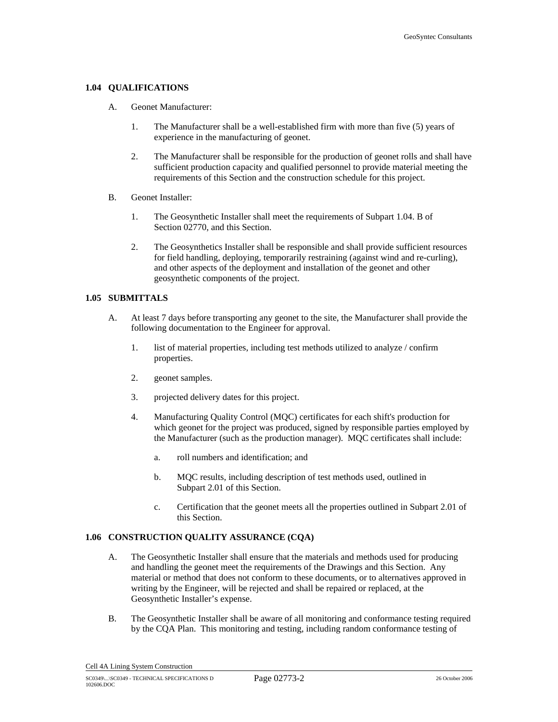#### **1.04 QUALIFICATIONS**

- A. Geonet Manufacturer:
	- 1. The Manufacturer shall be a well-established firm with more than five (5) years of experience in the manufacturing of geonet.
	- 2. The Manufacturer shall be responsible for the production of geonet rolls and shall have sufficient production capacity and qualified personnel to provide material meeting the requirements of this Section and the construction schedule for this project.
- B. Geonet Installer:
	- 1. The Geosynthetic Installer shall meet the requirements of Subpart 1.04. B of Section 02770, and this Section.
	- 2. The Geosynthetics Installer shall be responsible and shall provide sufficient resources for field handling, deploying, temporarily restraining (against wind and re-curling), and other aspects of the deployment and installation of the geonet and other geosynthetic components of the project.

## **1.05 SUBMITTALS**

- A. At least 7 days before transporting any geonet to the site, the Manufacturer shall provide the following documentation to the Engineer for approval.
	- 1. list of material properties, including test methods utilized to analyze / confirm properties.
	- 2. geonet samples.
	- 3. projected delivery dates for this project.
	- 4. Manufacturing Quality Control (MQC) certificates for each shift's production for which geonet for the project was produced, signed by responsible parties employed by the Manufacturer (such as the production manager). MQC certificates shall include:
		- a. roll numbers and identification; and
		- b. MQC results, including description of test methods used, outlined in Subpart 2.01 of this Section.
		- c. Certification that the geonet meets all the properties outlined in Subpart 2.01 of this Section.

## **1.06 CONSTRUCTION QUALITY ASSURANCE (CQA)**

- A. The Geosynthetic Installer shall ensure that the materials and methods used for producing and handling the geonet meet the requirements of the Drawings and this Section. Any material or method that does not conform to these documents, or to alternatives approved in writing by the Engineer, will be rejected and shall be repaired or replaced, at the Geosynthetic Installer's expense.
- B. The Geosynthetic Installer shall be aware of all monitoring and conformance testing required by the CQA Plan. This monitoring and testing, including random conformance testing of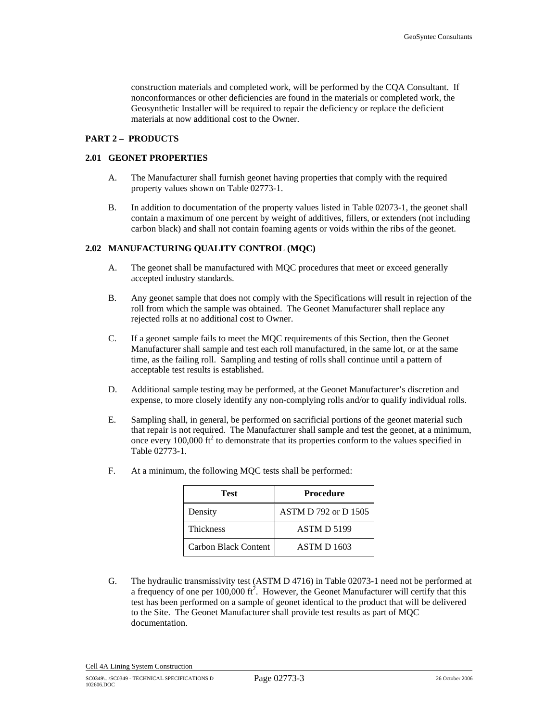construction materials and completed work, will be performed by the CQA Consultant. If nonconformances or other deficiencies are found in the materials or completed work, the Geosynthetic Installer will be required to repair the deficiency or replace the deficient materials at now additional cost to the Owner.

## **PART 2 – PRODUCTS**

## **2.01 GEONET PROPERTIES**

- A. The Manufacturer shall furnish geonet having properties that comply with the required property values shown on Table 02773-1.
- B. In addition to documentation of the property values listed in Table 02073-1, the geonet shall contain a maximum of one percent by weight of additives, fillers, or extenders (not including carbon black) and shall not contain foaming agents or voids within the ribs of the geonet.

## **2.02 MANUFACTURING QUALITY CONTROL (MQC)**

- A. The geonet shall be manufactured with MQC procedures that meet or exceed generally accepted industry standards.
- B. Any geonet sample that does not comply with the Specifications will result in rejection of the roll from which the sample was obtained. The Geonet Manufacturer shall replace any rejected rolls at no additional cost to Owner.
- C. If a geonet sample fails to meet the MQC requirements of this Section, then the Geonet Manufacturer shall sample and test each roll manufactured, in the same lot, or at the same time, as the failing roll. Sampling and testing of rolls shall continue until a pattern of acceptable test results is established.
- D. Additional sample testing may be performed, at the Geonet Manufacturer's discretion and expense, to more closely identify any non-complying rolls and/or to qualify individual rolls.
- E. Sampling shall, in general, be performed on sacrificial portions of the geonet material such that repair is not required. The Manufacturer shall sample and test the geonet, at a minimum, once every  $100,000$  ft<sup>2</sup> to demonstrate that its properties conform to the values specified in Table 02773-1.

| Test                 | <b>Procedure</b>     |
|----------------------|----------------------|
| Density              | ASTM D 792 or D 1505 |
| <b>Thickness</b>     | <b>ASTM D 5199</b>   |
| Carbon Black Content | <b>ASTM D 1603</b>   |

F. At a minimum, the following MQC tests shall be performed:

G. The hydraulic transmissivity test (ASTM D 4716) in Table 02073-1 need not be performed at a frequency of one per 100,000 ft<sup>2</sup>. However, the Geonet Manufacturer will certify that this test has been performed on a sample of geonet identical to the product that will be delivered to the Site. The Geonet Manufacturer shall provide test results as part of MQC documentation.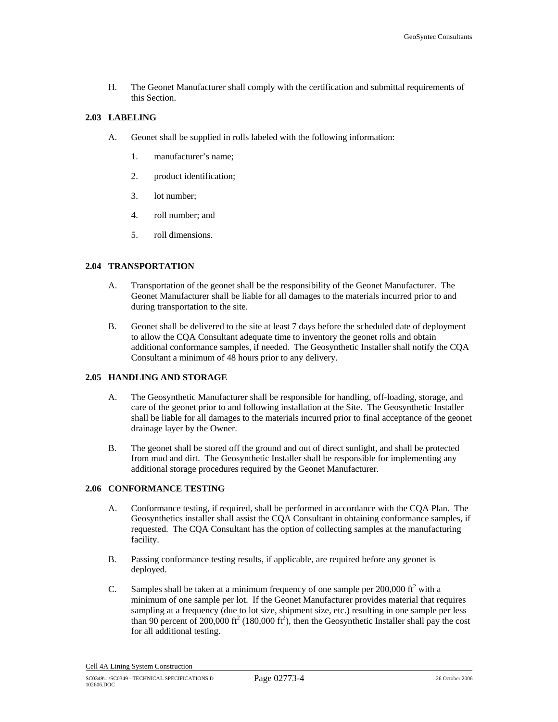H. The Geonet Manufacturer shall comply with the certification and submittal requirements of this Section.

#### **2.03 LABELING**

- A. Geonet shall be supplied in rolls labeled with the following information:
	- 1. manufacturer's name;
	- 2. product identification;
	- 3. lot number;
	- 4. roll number; and
	- 5. roll dimensions.

# **2.04 TRANSPORTATION**

- A. Transportation of the geonet shall be the responsibility of the Geonet Manufacturer. The Geonet Manufacturer shall be liable for all damages to the materials incurred prior to and during transportation to the site.
- B. Geonet shall be delivered to the site at least 7 days before the scheduled date of deployment to allow the CQA Consultant adequate time to inventory the geonet rolls and obtain additional conformance samples, if needed. The Geosynthetic Installer shall notify the CQA Consultant a minimum of 48 hours prior to any delivery.

## **2.05 HANDLING AND STORAGE**

- A. The Geosynthetic Manufacturer shall be responsible for handling, off-loading, storage, and care of the geonet prior to and following installation at the Site. The Geosynthetic Installer shall be liable for all damages to the materials incurred prior to final acceptance of the geonet drainage layer by the Owner.
- B. The geonet shall be stored off the ground and out of direct sunlight, and shall be protected from mud and dirt. The Geosynthetic Installer shall be responsible for implementing any additional storage procedures required by the Geonet Manufacturer.

#### **2.06 CONFORMANCE TESTING**

- A. Conformance testing, if required, shall be performed in accordance with the CQA Plan. The Geosynthetics installer shall assist the CQA Consultant in obtaining conformance samples, if requested. The CQA Consultant has the option of collecting samples at the manufacturing facility.
- B. Passing conformance testing results, if applicable, are required before any geonet is deployed.
- C. Samples shall be taken at a minimum frequency of one sample per  $200,000$  ft<sup>2</sup> with a minimum of one sample per lot. If the Geonet Manufacturer provides material that requires sampling at a frequency (due to lot size, shipment size, etc.) resulting in one sample per less than 90 percent of 200,000 ft<sup>2</sup> (180,000 ft<sup>2</sup>), then the Geosynthetic Installer shall pay the cost for all additional testing.

Cell 4A Lining System Construction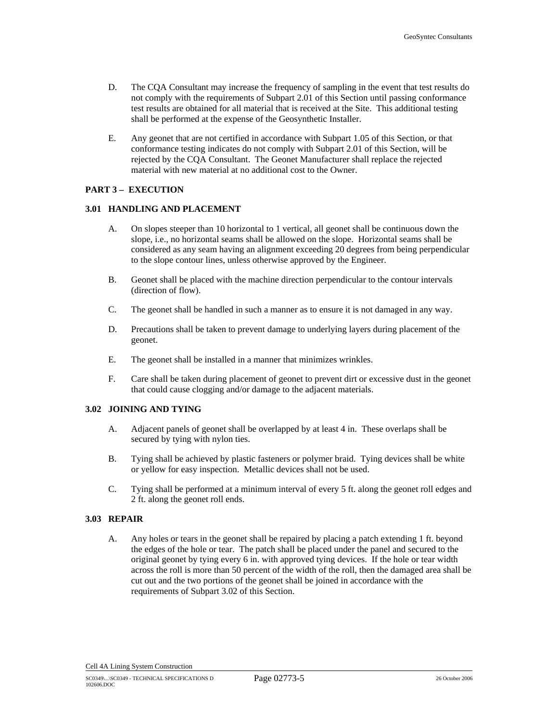- D. The CQA Consultant may increase the frequency of sampling in the event that test results do not comply with the requirements of Subpart 2.01 of this Section until passing conformance test results are obtained for all material that is received at the Site. This additional testing shall be performed at the expense of the Geosynthetic Installer.
- E. Any geonet that are not certified in accordance with Subpart 1.05 of this Section, or that conformance testing indicates do not comply with Subpart 2.01 of this Section, will be rejected by the CQA Consultant. The Geonet Manufacturer shall replace the rejected material with new material at no additional cost to the Owner.

## **PART 3 – EXECUTION**

#### **3.01 HANDLING AND PLACEMENT**

- A. On slopes steeper than 10 horizontal to 1 vertical, all geonet shall be continuous down the slope, i.e., no horizontal seams shall be allowed on the slope. Horizontal seams shall be considered as any seam having an alignment exceeding 20 degrees from being perpendicular to the slope contour lines, unless otherwise approved by the Engineer.
- B. Geonet shall be placed with the machine direction perpendicular to the contour intervals (direction of flow).
- C. The geonet shall be handled in such a manner as to ensure it is not damaged in any way.
- D. Precautions shall be taken to prevent damage to underlying layers during placement of the geonet.
- E. The geonet shall be installed in a manner that minimizes wrinkles.
- F. Care shall be taken during placement of geonet to prevent dirt or excessive dust in the geonet that could cause clogging and/or damage to the adjacent materials.

## **3.02 JOINING AND TYING**

- A. Adjacent panels of geonet shall be overlapped by at least 4 in. These overlaps shall be secured by tying with nylon ties.
- B. Tying shall be achieved by plastic fasteners or polymer braid. Tying devices shall be white or yellow for easy inspection. Metallic devices shall not be used.
- C. Tying shall be performed at a minimum interval of every 5 ft. along the geonet roll edges and 2 ft. along the geonet roll ends.

## **3.03 REPAIR**

A. Any holes or tears in the geonet shall be repaired by placing a patch extending 1 ft. beyond the edges of the hole or tear. The patch shall be placed under the panel and secured to the original geonet by tying every 6 in. with approved tying devices. If the hole or tear width across the roll is more than 50 percent of the width of the roll, then the damaged area shall be cut out and the two portions of the geonet shall be joined in accordance with the requirements of Subpart 3.02 of this Section.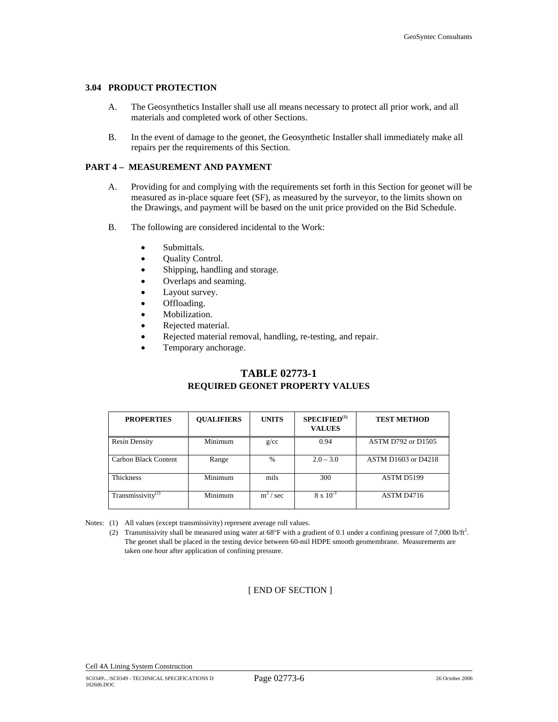#### **3.04 PRODUCT PROTECTION**

- A. The Geosynthetics Installer shall use all means necessary to protect all prior work, and all materials and completed work of other Sections.
- B. In the event of damage to the geonet, the Geosynthetic Installer shall immediately make all repairs per the requirements of this Section.

## **PART 4 – MEASUREMENT AND PAYMENT**

- A. Providing for and complying with the requirements set forth in this Section for geonet will be measured as in-place square feet (SF), as measured by the surveyor, to the limits shown on the Drawings, and payment will be based on the unit price provided on the Bid Schedule.
- B. The following are considered incidental to the Work:
	- Submittals.
	- Quality Control.
	- Shipping, handling and storage.
	- Overlaps and seaming.
	- Layout survey.
	- Offloading.
	- Mobilization.
	- Rejected material.
	- Rejected material removal, handling, re-testing, and repair.
	- Temporary anchorage.

# **TABLE 02773-1 REQUIRED GEONET PROPERTY VALUES**

| <b>PROPERTIES</b>             | <b>OUALIFIERS</b> | <b>UNITS</b>     | SPECTFIED <sup>(1)</sup><br><b>VALUES</b> | <b>TEST METHOD</b>        |
|-------------------------------|-------------------|------------------|-------------------------------------------|---------------------------|
| <b>Resin Density</b>          | Minimum           | g/cc             | 0.94                                      | <b>ASTM D792 or D1505</b> |
| Carbon Black Content          | Range             | $\%$             | $2.0 - 3.0$                               | ASTM D1603 or D4218       |
| Thickness                     | Minimum           | mils             | 300                                       | ASTM D5199                |
| Transmissivity <sup>(2)</sup> | Minimum           | $m^2$<br>$/$ sec | $8 \times 10^{-3}$                        | ASTM D4716                |

Notes: (1) All values (except transmissivity) represent average roll values.

(2) Transmissivity shall be measured using water at  $68^{\circ}$ F with a gradient of 0.1 under a confining pressure of 7,000 lb/ft<sup>2</sup>. The geonet shall be placed in the testing device between 60-mil HDPE smooth geomembrane. Measurements are taken one hour after application of confining pressure.

[ END OF SECTION ]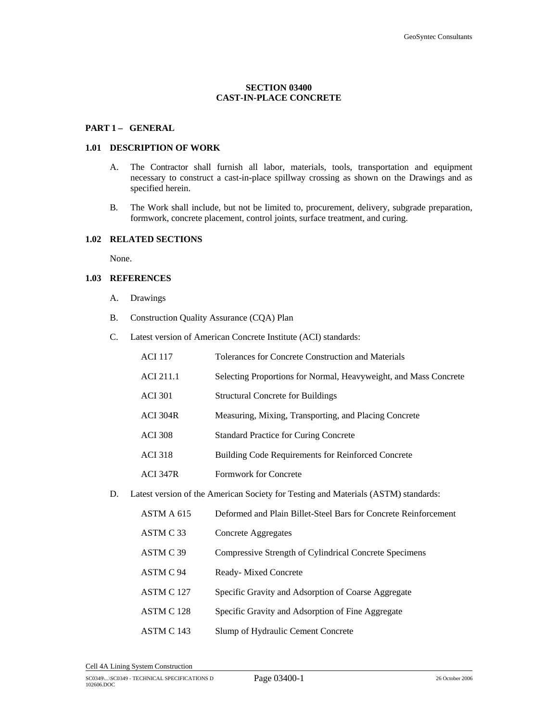## **SECTION 03400 CAST-IN-PLACE CONCRETE**

## PART 1- GENERAL

#### **1.01 DESCRIPTION OF WORK**

- A. The Contractor shall furnish all labor, materials, tools, transportation and equipment necessary to construct a cast-in-place spillway crossing as shown on the Drawings and as specified herein.
- B. The Work shall include, but not be limited to, procurement, delivery, subgrade preparation, formwork, concrete placement, control joints, surface treatment, and curing.

## **1.02 RELATED SECTIONS**

None.

#### **1.03 REFERENCES**

- A. Drawings
- B. Construction Quality Assurance (CQA) Plan
- C. Latest version of American Concrete Institute (ACI) standards:

| <b>ACI 117</b>  | Tolerances for Concrete Construction and Materials               |
|-----------------|------------------------------------------------------------------|
| ACI 211.1       | Selecting Proportions for Normal, Heavyweight, and Mass Concrete |
| <b>ACI</b> 301  | <b>Structural Concrete for Buildings</b>                         |
| <b>ACI 304R</b> | Measuring, Mixing, Transporting, and Placing Concrete            |
| <b>ACI 308</b>  | <b>Standard Practice for Curing Concrete</b>                     |
| <b>ACI</b> 318  | <b>Building Code Requirements for Reinforced Concrete</b>        |
| <b>ACI 347R</b> | Formwork for Concrete                                            |
|                 |                                                                  |

D. Latest version of the American Society for Testing and Materials (ASTM) standards:

| ASTM A 615 | Deformed and Plain Billet-Steel Bars for Concrete Reinforcement |
|------------|-----------------------------------------------------------------|
| ASTM C 33  | Concrete Aggregates                                             |
| ASTM C 39  | Compressive Strength of Cylindrical Concrete Specimens          |
| ASTM C 94  | Ready-Mixed Concrete                                            |
| ASTM C 127 | Specific Gravity and Adsorption of Coarse Aggregate             |
| ASTM C 128 | Specific Gravity and Adsorption of Fine Aggregate               |
| ASTM C 143 | Slump of Hydraulic Cement Concrete                              |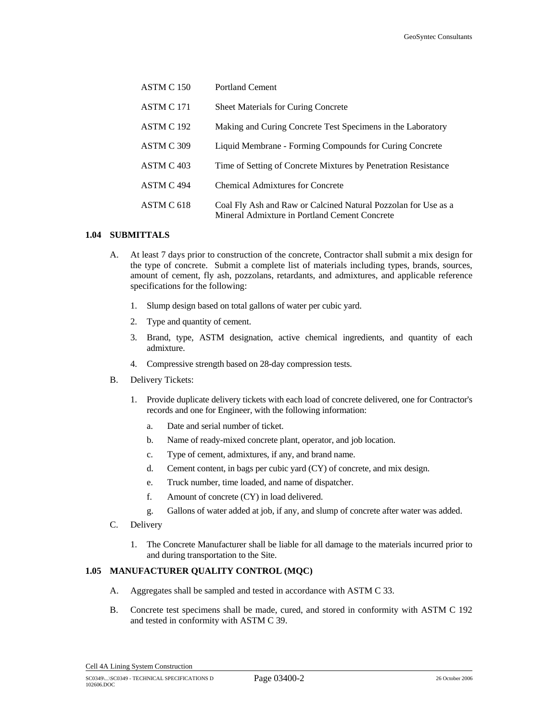| ASTM C 150 | <b>Portland Cement</b>                                                                                          |
|------------|-----------------------------------------------------------------------------------------------------------------|
| ASTM C 171 | <b>Sheet Materials for Curing Concrete</b>                                                                      |
| ASTM C 192 | Making and Curing Concrete Test Specimens in the Laboratory                                                     |
| ASTM C 309 | Liquid Membrane - Forming Compounds for Curing Concrete                                                         |
| ASTM C 403 | Time of Setting of Concrete Mixtures by Penetration Resistance                                                  |
| ASTM C 494 | Chemical Admixtures for Concrete                                                                                |
| ASTM C 618 | Coal Fly Ash and Raw or Calcined Natural Pozzolan for Use as a<br>Mineral Admixture in Portland Cement Concrete |

### **1.04 SUBMITTALS**

- A. At least 7 days prior to construction of the concrete, Contractor shall submit a mix design for the type of concrete. Submit a complete list of materials including types, brands, sources, amount of cement, fly ash, pozzolans, retardants, and admixtures, and applicable reference specifications for the following:
	- 1. Slump design based on total gallons of water per cubic yard.
	- 2. Type and quantity of cement.
	- 3. Brand, type, ASTM designation, active chemical ingredients, and quantity of each admixture.
	- 4. Compressive strength based on 28-day compression tests.
- B. Delivery Tickets:
	- 1. Provide duplicate delivery tickets with each load of concrete delivered, one for Contractor's records and one for Engineer, with the following information:
		- a. Date and serial number of ticket.
		- b. Name of ready-mixed concrete plant, operator, and job location.
		- c. Type of cement, admixtures, if any, and brand name.
		- d. Cement content, in bags per cubic yard (CY) of concrete, and mix design.
		- e. Truck number, time loaded, and name of dispatcher.
		- f. Amount of concrete (CY) in load delivered.
		- g. Gallons of water added at job, if any, and slump of concrete after water was added.
- C. Delivery
	- 1. The Concrete Manufacturer shall be liable for all damage to the materials incurred prior to and during transportation to the Site.

## **1.05 MANUFACTURER QUALITY CONTROL (MQC)**

- A. Aggregates shall be sampled and tested in accordance with ASTM C 33.
- B. Concrete test specimens shall be made, cured, and stored in conformity with ASTM C 192 and tested in conformity with ASTM C 39.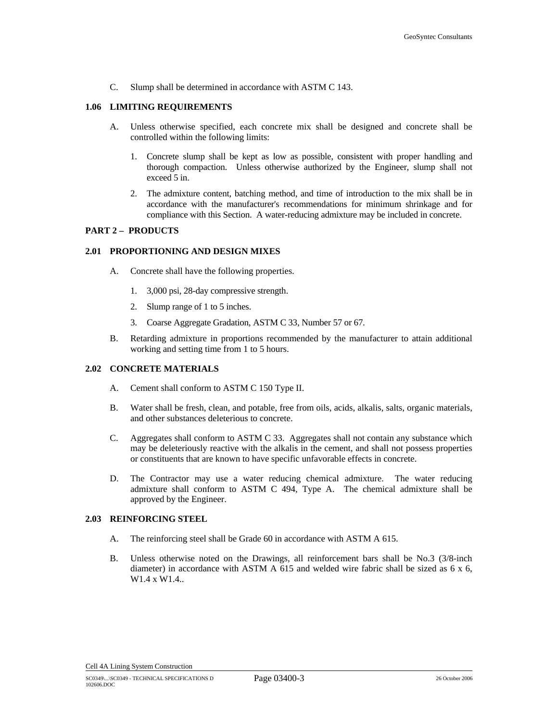C. Slump shall be determined in accordance with ASTM C 143.

#### **1.06 LIMITING REQUIREMENTS**

- A. Unless otherwise specified, each concrete mix shall be designed and concrete shall be controlled within the following limits:
	- 1. Concrete slump shall be kept as low as possible, consistent with proper handling and thorough compaction. Unless otherwise authorized by the Engineer, slump shall not exceed 5 in.
	- 2. The admixture content, batching method, and time of introduction to the mix shall be in accordance with the manufacturer's recommendations for minimum shrinkage and for compliance with this Section. A water-reducing admixture may be included in concrete.

## **PART 2 – PRODUCTS**

#### **2.01 PROPORTIONING AND DESIGN MIXES**

- A. Concrete shall have the following properties.
	- 1. 3,000 psi, 28-day compressive strength.
	- 2. Slump range of 1 to 5 inches.
	- 3. Coarse Aggregate Gradation, ASTM C 33, Number 57 or 67.
- B. Retarding admixture in proportions recommended by the manufacturer to attain additional working and setting time from 1 to 5 hours.

## **2.02 CONCRETE MATERIALS**

- A. Cement shall conform to ASTM C 150 Type II.
- B. Water shall be fresh, clean, and potable, free from oils, acids, alkalis, salts, organic materials, and other substances deleterious to concrete.
- C. Aggregates shall conform to ASTM C 33. Aggregates shall not contain any substance which may be deleteriously reactive with the alkalis in the cement, and shall not possess properties or constituents that are known to have specific unfavorable effects in concrete.
- D. The Contractor may use a water reducing chemical admixture. The water reducing admixture shall conform to ASTM C 494, Type A. The chemical admixture shall be approved by the Engineer.

#### **2.03 REINFORCING STEEL**

- A. The reinforcing steel shall be Grade 60 in accordance with ASTM A 615.
- B. Unless otherwise noted on the Drawings, all reinforcement bars shall be No.3 (3/8-inch diameter) in accordance with ASTM A 615 and welded wire fabric shall be sized as  $6 \times 6$ , W1.4 x W1.4..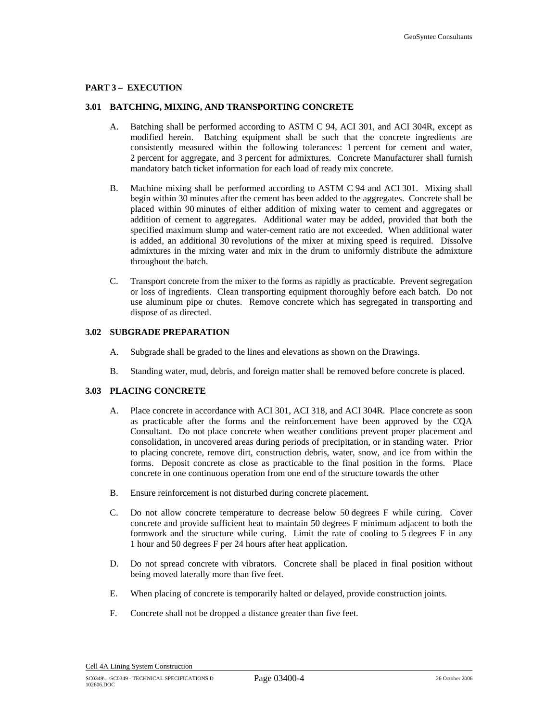#### **PART 3 – EXECUTION**

#### **3.01 BATCHING, MIXING, AND TRANSPORTING CONCRETE**

- A. Batching shall be performed according to ASTM C 94, ACI 301, and ACI 304R, except as modified herein. Batching equipment shall be such that the concrete ingredients are consistently measured within the following tolerances: 1 percent for cement and water, 2 percent for aggregate, and 3 percent for admixtures. Concrete Manufacturer shall furnish mandatory batch ticket information for each load of ready mix concrete.
- B. Machine mixing shall be performed according to ASTM C 94 and ACI 301. Mixing shall begin within 30 minutes after the cement has been added to the aggregates. Concrete shall be placed within 90 minutes of either addition of mixing water to cement and aggregates or addition of cement to aggregates. Additional water may be added, provided that both the specified maximum slump and water-cement ratio are not exceeded. When additional water is added, an additional 30 revolutions of the mixer at mixing speed is required. Dissolve admixtures in the mixing water and mix in the drum to uniformly distribute the admixture throughout the batch.
- C. Transport concrete from the mixer to the forms as rapidly as practicable. Prevent segregation or loss of ingredients. Clean transporting equipment thoroughly before each batch. Do not use aluminum pipe or chutes. Remove concrete which has segregated in transporting and dispose of as directed.

#### **3.02 SUBGRADE PREPARATION**

- A. Subgrade shall be graded to the lines and elevations as shown on the Drawings.
- B. Standing water, mud, debris, and foreign matter shall be removed before concrete is placed.

## **3.03 PLACING CONCRETE**

- A. Place concrete in accordance with ACI 301, ACI 318, and ACI 304R. Place concrete as soon as practicable after the forms and the reinforcement have been approved by the CQA Consultant. Do not place concrete when weather conditions prevent proper placement and consolidation, in uncovered areas during periods of precipitation, or in standing water. Prior to placing concrete, remove dirt, construction debris, water, snow, and ice from within the forms. Deposit concrete as close as practicable to the final position in the forms. Place concrete in one continuous operation from one end of the structure towards the other
- B. Ensure reinforcement is not disturbed during concrete placement.
- C. Do not allow concrete temperature to decrease below 50 degrees F while curing. Cover concrete and provide sufficient heat to maintain 50 degrees F minimum adjacent to both the formwork and the structure while curing. Limit the rate of cooling to 5 degrees F in any 1 hour and 50 degrees F per 24 hours after heat application.
- D. Do not spread concrete with vibrators. Concrete shall be placed in final position without being moved laterally more than five feet.
- E. When placing of concrete is temporarily halted or delayed, provide construction joints.
- F. Concrete shall not be dropped a distance greater than five feet.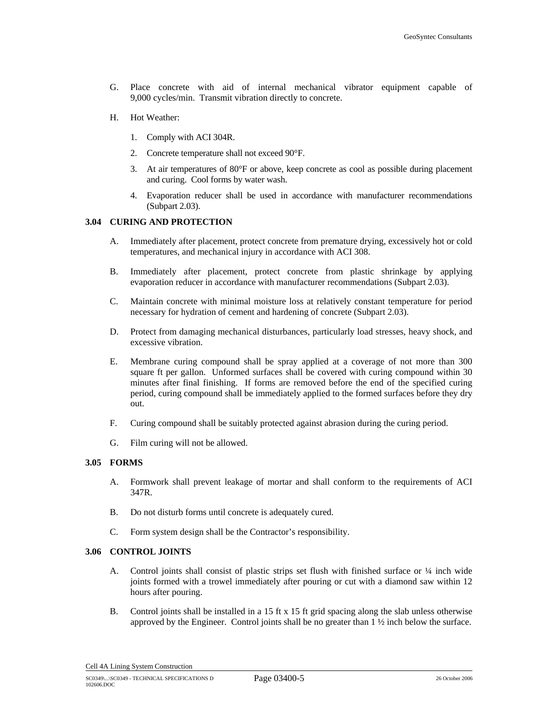- G. Place concrete with aid of internal mechanical vibrator equipment capable of 9,000 cycles/min. Transmit vibration directly to concrete.
- H. Hot Weather:
	- 1. Comply with ACI 304R.
	- 2. Concrete temperature shall not exceed 90°F.
	- 3. At air temperatures of 80°F or above, keep concrete as cool as possible during placement and curing. Cool forms by water wash.
	- 4. Evaporation reducer shall be used in accordance with manufacturer recommendations (Subpart 2.03).

#### **3.04 CURING AND PROTECTION**

- A. Immediately after placement, protect concrete from premature drying, excessively hot or cold temperatures, and mechanical injury in accordance with ACI 308.
- B. Immediately after placement, protect concrete from plastic shrinkage by applying evaporation reducer in accordance with manufacturer recommendations (Subpart 2.03).
- C. Maintain concrete with minimal moisture loss at relatively constant temperature for period necessary for hydration of cement and hardening of concrete (Subpart 2.03).
- D. Protect from damaging mechanical disturbances, particularly load stresses, heavy shock, and excessive vibration.
- E. Membrane curing compound shall be spray applied at a coverage of not more than 300 square ft per gallon. Unformed surfaces shall be covered with curing compound within 30 minutes after final finishing. If forms are removed before the end of the specified curing period, curing compound shall be immediately applied to the formed surfaces before they dry out.
- F. Curing compound shall be suitably protected against abrasion during the curing period.
- G. Film curing will not be allowed.

#### **3.05 FORMS**

- A. Formwork shall prevent leakage of mortar and shall conform to the requirements of ACI 347R.
- B. Do not disturb forms until concrete is adequately cured.
- C. Form system design shall be the Contractor's responsibility.

#### **3.06 CONTROL JOINTS**

- A. Control joints shall consist of plastic strips set flush with finished surface or  $\frac{1}{4}$  inch wide joints formed with a trowel immediately after pouring or cut with a diamond saw within 12 hours after pouring.
- B. Control joints shall be installed in a 15 ft x 15 ft grid spacing along the slab unless otherwise approved by the Engineer. Control joints shall be no greater than 1 ½ inch below the surface.